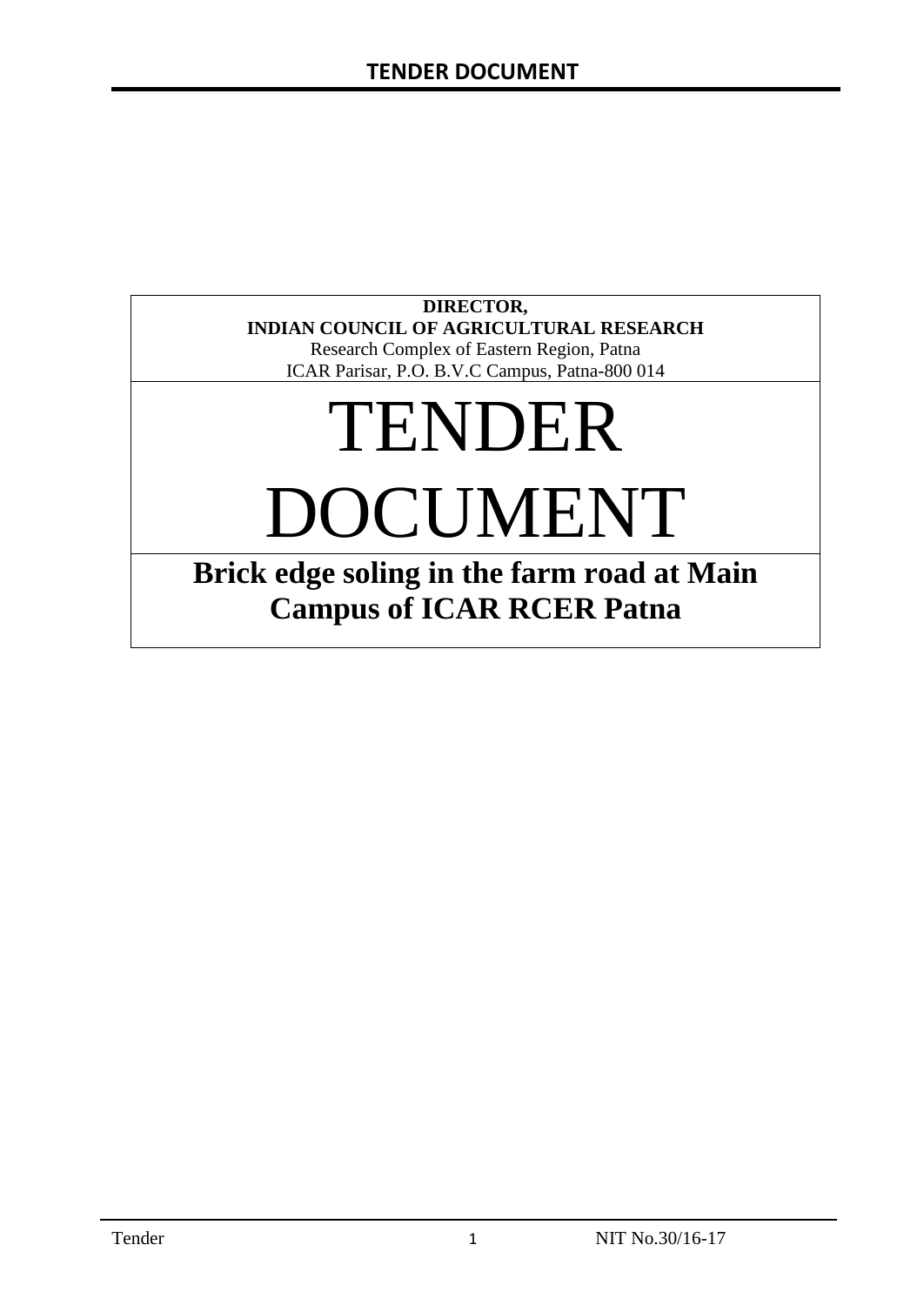### **DIRECTOR, INDIAN COUNCIL OF AGRICULTURAL RESEARCH**

Research Complex of Eastern Region, Patna ICAR Parisar, P.O. B.V.C Campus, Patna-800 014

# TENDER DOCUMENT

# **Brick edge soling in the farm road at Main Campus of ICAR RCER Patna**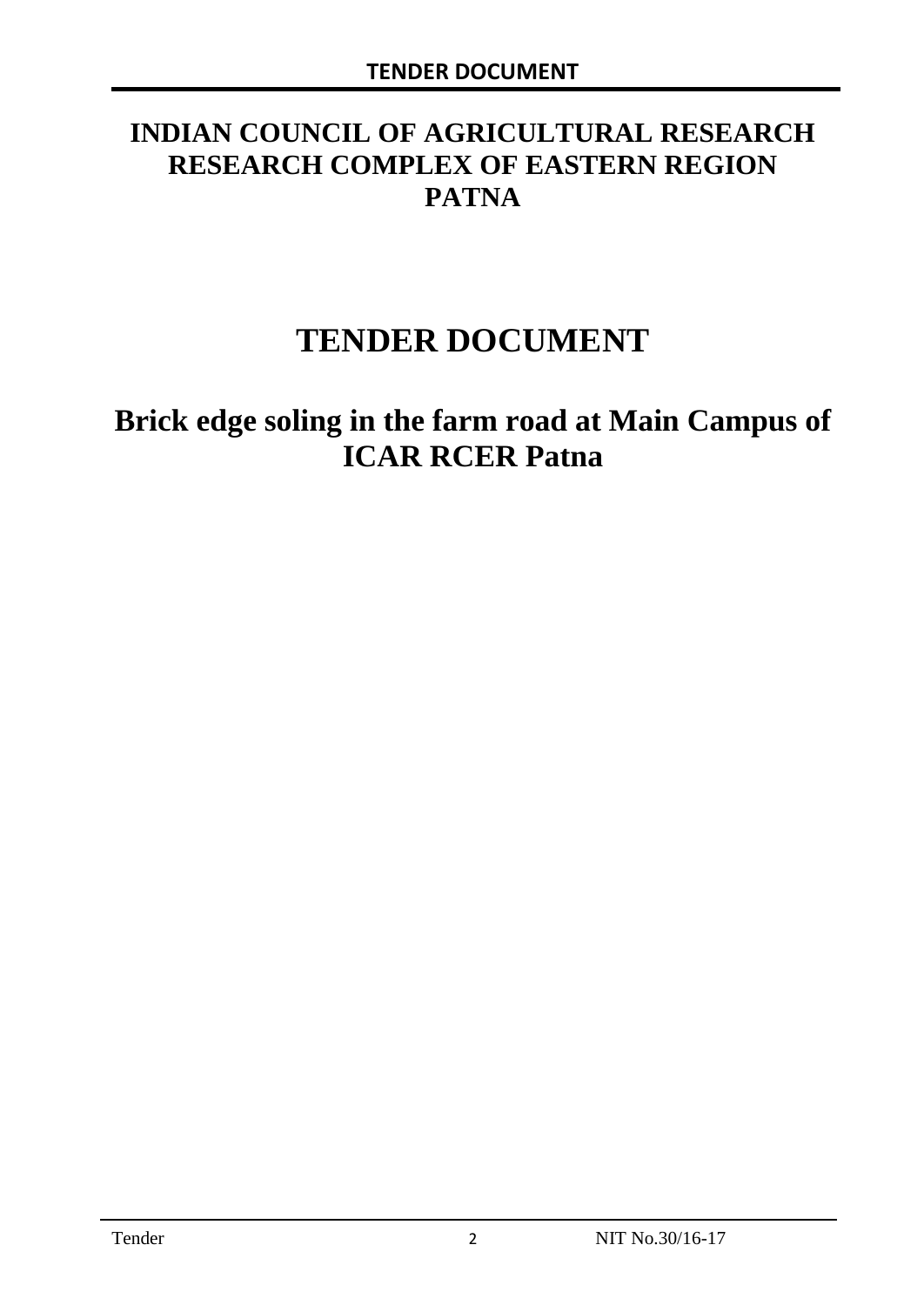# **INDIAN COUNCIL OF AGRICULTURAL RESEARCH RESEARCH COMPLEX OF EASTERN REGION PATNA**

# **TENDER DOCUMENT**

# **Brick edge soling in the farm road at Main Campus of ICAR RCER Patna**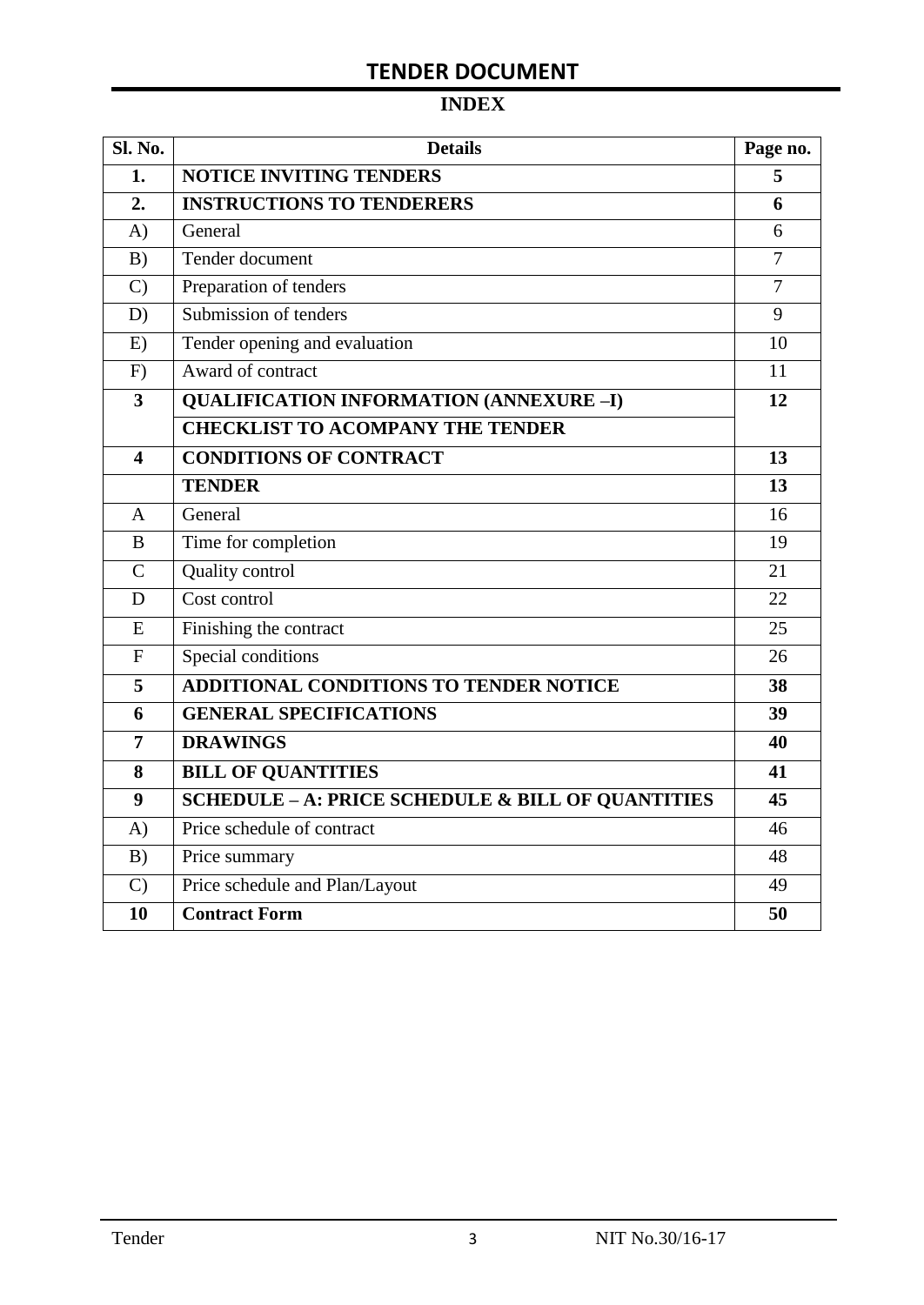# **TENDER DOCUMENT**

# **INDEX**

| Sl. No.                 | <b>Details</b>                                    | Page no.       |
|-------------------------|---------------------------------------------------|----------------|
| 1.                      | <b>NOTICE INVITING TENDERS</b>                    |                |
| 2.                      | <b>INSTRUCTIONS TO TENDERERS</b>                  | 6              |
| A)                      | General                                           | 6              |
| B)                      | Tender document                                   | $\overline{7}$ |
| $\mathcal{C}$           | Preparation of tenders                            | $\overline{7}$ |
| D)                      | Submission of tenders                             | 9              |
| E)                      | Tender opening and evaluation                     | 10             |
| F)                      | Award of contract                                 | 11             |
| $\overline{\mathbf{3}}$ | <b>QUALIFICATION INFORMATION (ANNEXURE-I)</b>     | 12             |
|                         | <b>CHECKLIST TO ACOMPANY THE TENDER</b>           |                |
| 4                       | <b>CONDITIONS OF CONTRACT</b>                     | 13             |
|                         | <b>TENDER</b>                                     | 13             |
| $\overline{A}$          | General                                           | 16             |
| B                       | Time for completion                               | 19             |
| $\overline{C}$          | Quality control                                   | 21             |
| D                       | Cost control                                      | 22             |
| E                       | Finishing the contract                            | 25             |
| $\mathbf{F}$            | Special conditions                                | 26             |
| 5                       | <b>ADDITIONAL CONDITIONS TO TENDER NOTICE</b>     | 38             |
| 6                       | <b>GENERAL SPECIFICATIONS</b>                     | 39             |
| $\overline{7}$          | <b>DRAWINGS</b>                                   | 40             |
| 8                       | <b>BILL OF QUANTITIES</b>                         | 41             |
| 9                       | SCHEDULE - A: PRICE SCHEDULE & BILL OF QUANTITIES | 45             |
| A)                      | Price schedule of contract                        | 46             |
| B)                      | Price summary                                     | 48             |
| $\mathcal{C}$           | Price schedule and Plan/Layout                    | 49             |
| 10                      | <b>Contract Form</b>                              | 50             |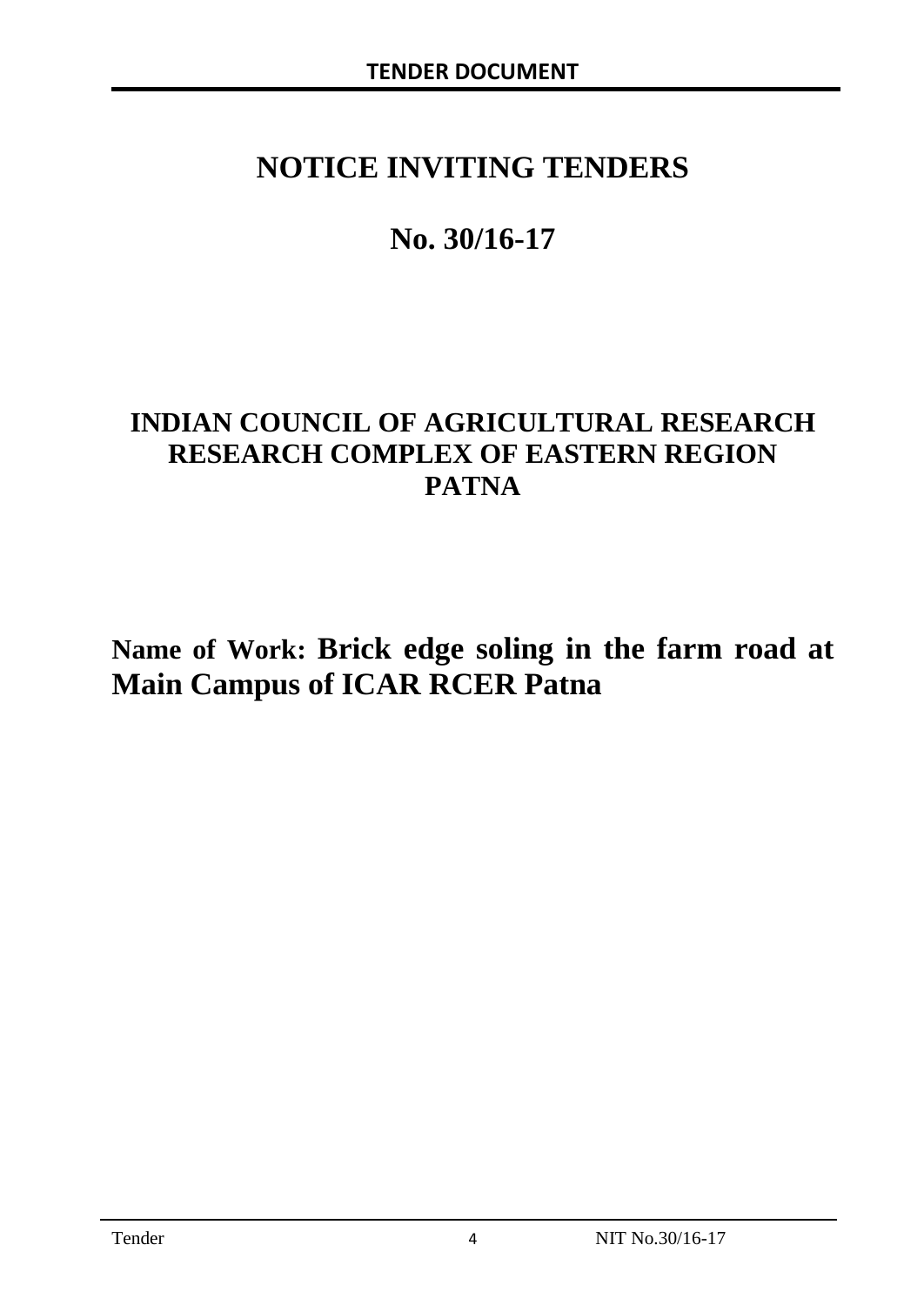# **NOTICE INVITING TENDERS**

# **No. 30/16-17**

# **INDIAN COUNCIL OF AGRICULTURAL RESEARCH RESEARCH COMPLEX OF EASTERN REGION PATNA**

**Name of Work: Brick edge soling in the farm road at Main Campus of ICAR RCER Patna**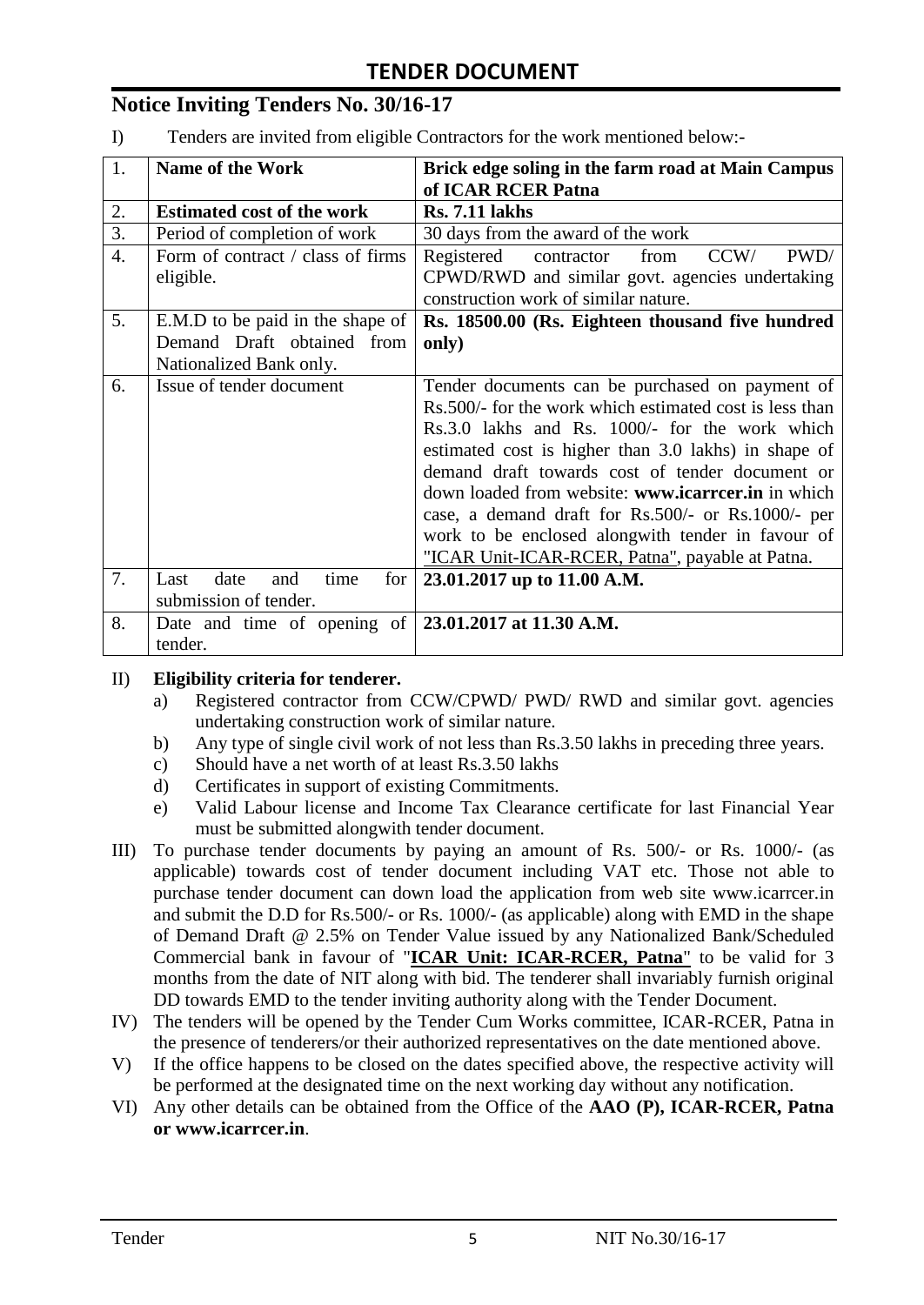# **Notice Inviting Tenders No. 30/16-17**

I) Tenders are invited from eligible Contractors for the work mentioned below:-

| 1. | <b>Name of the Work</b>                                      | Brick edge soling in the farm road at Main Campus       |
|----|--------------------------------------------------------------|---------------------------------------------------------|
|    |                                                              | of ICAR RCER Patna                                      |
| 2. | <b>Estimated cost of the work</b>                            | <b>Rs. 7.11 lakhs</b>                                   |
| 3. | Period of completion of work                                 | 30 days from the award of the work                      |
| 4. | Form of contract / class of firms                            | PWD/<br>Registered<br>contractor<br>from<br>CCW/        |
|    | eligible.                                                    | CPWD/RWD and similar govt. agencies undertaking         |
|    |                                                              | construction work of similar nature.                    |
| 5. | E.M.D to be paid in the shape of                             | Rs. 18500.00 (Rs. Eighteen thousand five hundred        |
|    | Demand Draft obtained from                                   | only)                                                   |
|    | Nationalized Bank only.                                      |                                                         |
| 6. | Issue of tender document                                     | Tender documents can be purchased on payment of         |
|    |                                                              | Rs.500/- for the work which estimated cost is less than |
|    |                                                              | Rs.3.0 lakhs and Rs. 1000/- for the work which          |
|    |                                                              | estimated cost is higher than 3.0 lakhs) in shape of    |
|    |                                                              | demand draft towards cost of tender document or         |
|    |                                                              | down loaded from website: www.icarreer.in in which      |
|    |                                                              | case, a demand draft for Rs.500/- or Rs.1000/- per      |
|    |                                                              | work to be enclosed alongwith tender in favour of       |
|    |                                                              | "ICAR Unit-ICAR-RCER, Patna", payable at Patna.         |
| 7. | date<br>time<br>for<br>Last<br>and                           | 23.01.2017 up to 11.00 A.M.                             |
|    | submission of tender.                                        |                                                         |
| 8. | Date and time of opening of $\vert$ 23.01.2017 at 11.30 A.M. |                                                         |
|    | tender.                                                      |                                                         |

#### II) **Eligibility criteria for tenderer.**

- a) Registered contractor from CCW/CPWD/ PWD/ RWD and similar govt. agencies undertaking construction work of similar nature.
- b) Any type of single civil work of not less than Rs.3.50 lakhs in preceding three years.
- c) Should have a net worth of at least Rs.3.50 lakhs
- d) Certificates in support of existing Commitments.
- e) Valid Labour license and Income Tax Clearance certificate for last Financial Year must be submitted alongwith tender document.
- III) To purchase tender documents by paying an amount of Rs. 500/- or Rs. 1000/- (as applicable) towards cost of tender document including VAT etc. Those not able to purchase tender document can down load the application from web site www.icarrcer.in and submit the D.D for Rs.500/- or Rs. 1000/- (as applicable) along with EMD in the shape of Demand Draft @ 2.5% on Tender Value issued by any Nationalized Bank/Scheduled Commercial bank in favour of "**ICAR Unit: ICAR-RCER, Patna**" to be valid for 3 months from the date of NIT along with bid. The tenderer shall invariably furnish original DD towards EMD to the tender inviting authority along with the Tender Document.
- IV) The tenders will be opened by the Tender Cum Works committee, ICAR-RCER, Patna in the presence of tenderers/or their authorized representatives on the date mentioned above.
- V) If the office happens to be closed on the dates specified above, the respective activity will be performed at the designated time on the next working day without any notification.
- VI) Any other details can be obtained from the Office of the **AAO (P), ICAR-RCER, Patna or www.icarrcer.in**.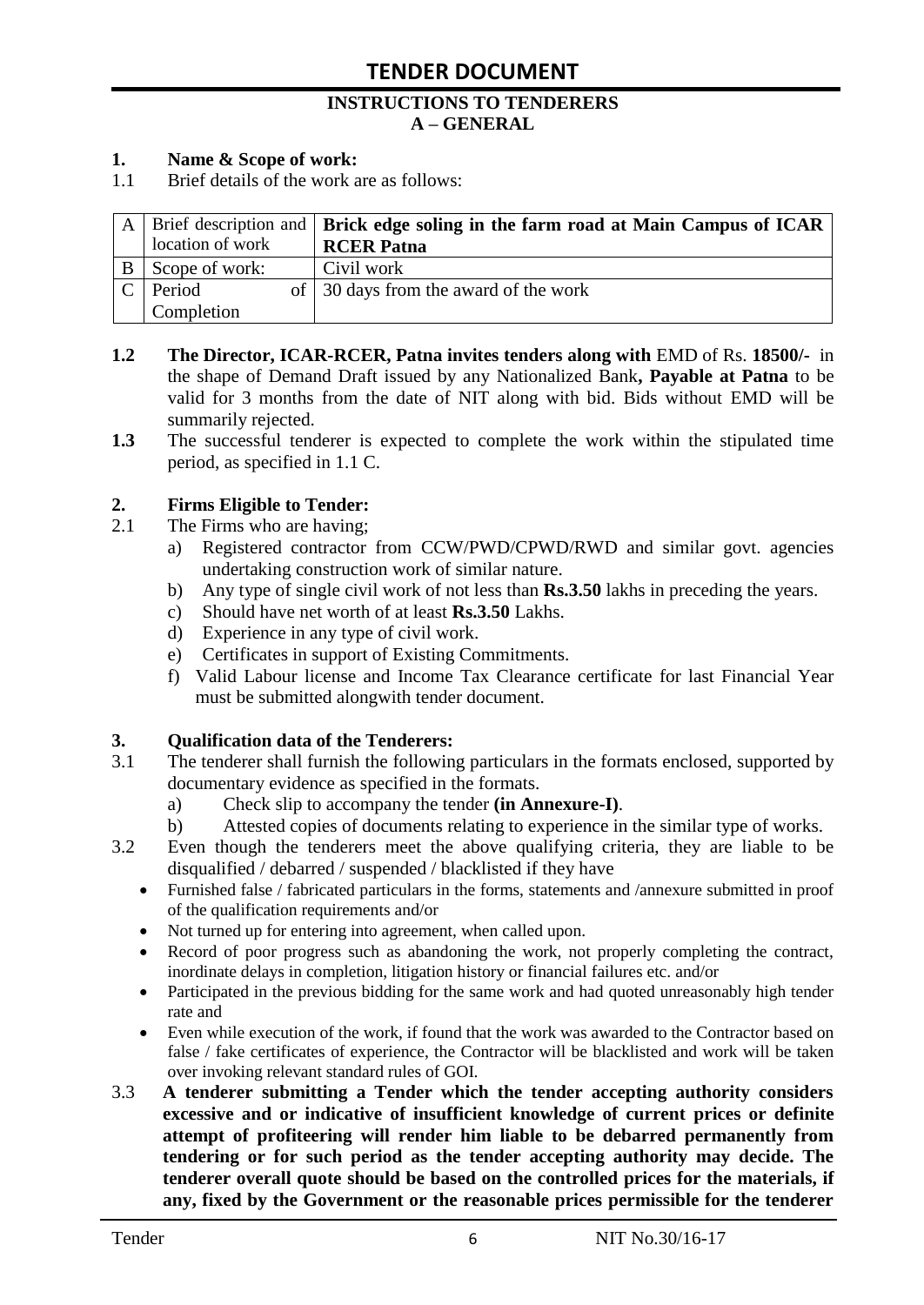#### **INSTRUCTIONS TO TENDERERS A – GENERAL**

#### **1. Name & Scope of work:**

1.1 Brief details of the work are as follows:

|                  | $A \mid$ Brief description and $\mid$ Brick edge soling in the farm road at Main Campus of ICAR |
|------------------|-------------------------------------------------------------------------------------------------|
| location of work | <b>RCER Patna</b>                                                                               |
| Scope of work:   | Civil work                                                                                      |
| Period           | of 30 days from the award of the work                                                           |
| Completion       |                                                                                                 |

- **1.2 The Director, ICAR-RCER, Patna invites tenders along with** EMD of Rs. **18500/-** in the shape of Demand Draft issued by any Nationalized Bank**, Payable at Patna** to be valid for 3 months from the date of NIT along with bid. Bids without EMD will be summarily rejected.
- **1.3** The successful tenderer is expected to complete the work within the stipulated time period, as specified in 1.1 C.

#### **2. Firms Eligible to Tender:**

- 2.1 The Firms who are having;
	- a) Registered contractor from CCW/PWD/CPWD/RWD and similar govt. agencies undertaking construction work of similar nature.
	- b) Any type of single civil work of not less than **Rs.3.50** lakhs in preceding the years.
	- c) Should have net worth of at least **Rs.3.50** Lakhs.
	- d) Experience in any type of civil work.
	- e) Certificates in support of Existing Commitments.
	- f) Valid Labour license and Income Tax Clearance certificate for last Financial Year must be submitted alongwith tender document.

#### **3. Qualification data of the Tenderers:**

- 3.1 The tenderer shall furnish the following particulars in the formats enclosed, supported by documentary evidence as specified in the formats.
	- a) Check slip to accompany the tender **(in Annexure-I)**.
	- b) Attested copies of documents relating to experience in the similar type of works.
- 3.2 Even though the tenderers meet the above qualifying criteria, they are liable to be disqualified / debarred / suspended / blacklisted if they have
	- Furnished false / fabricated particulars in the forms, statements and /annexure submitted in proof of the qualification requirements and/or
	- Not turned up for entering into agreement, when called upon.
	- Record of poor progress such as abandoning the work, not properly completing the contract, inordinate delays in completion, litigation history or financial failures etc. and/or
	- Participated in the previous bidding for the same work and had quoted unreasonably high tender rate and
	- Even while execution of the work, if found that the work was awarded to the Contractor based on false / fake certificates of experience, the Contractor will be blacklisted and work will be taken over invoking relevant standard rules of GOI.
- 3.3 **A tenderer submitting a Tender which the tender accepting authority considers excessive and or indicative of insufficient knowledge of current prices or definite attempt of profiteering will render him liable to be debarred permanently from tendering or for such period as the tender accepting authority may decide. The tenderer overall quote should be based on the controlled prices for the materials, if any, fixed by the Government or the reasonable prices permissible for the tenderer**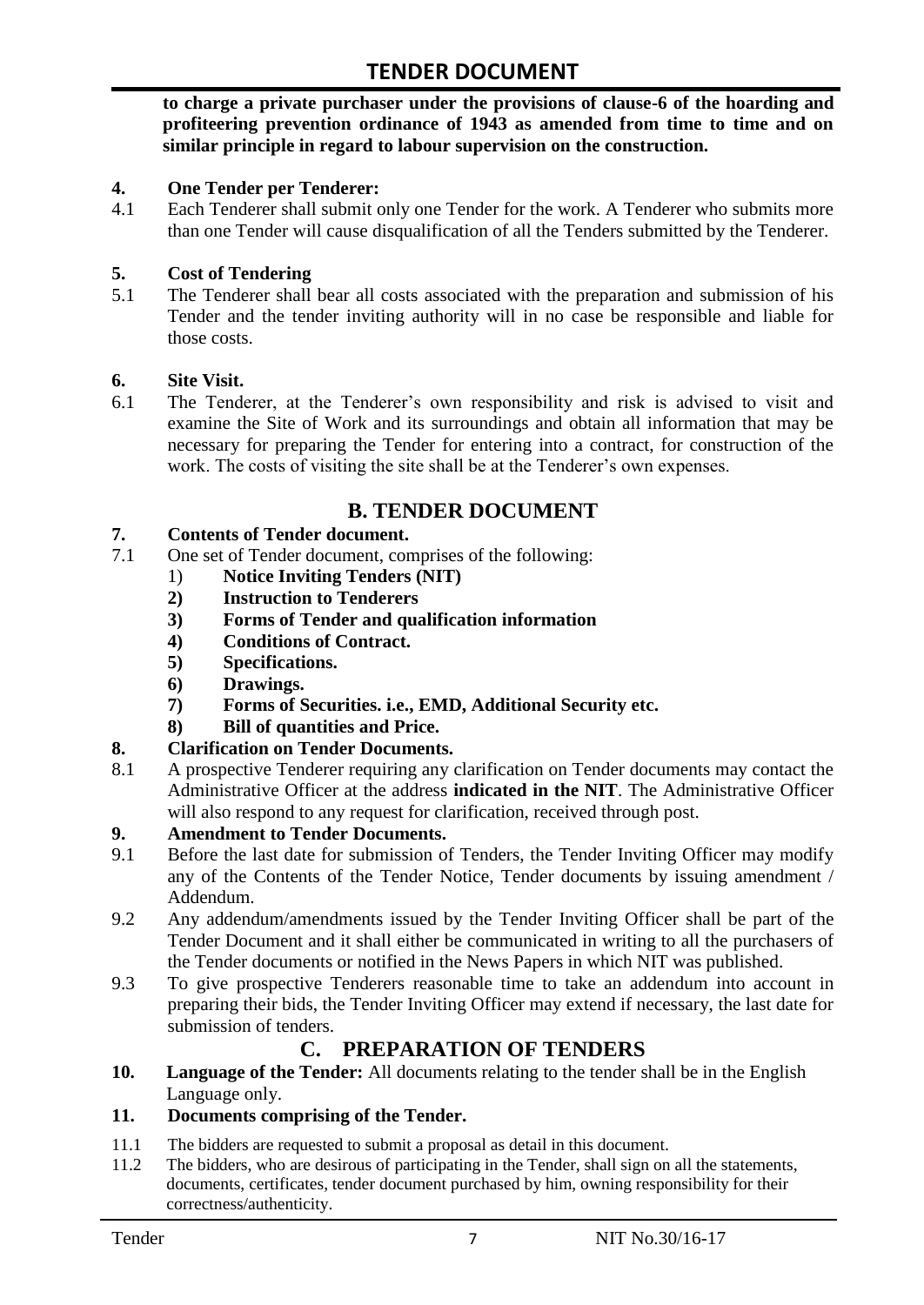**to charge a private purchaser under the provisions of clause-6 of the hoarding and profiteering prevention ordinance of 1943 as amended from time to time and on similar principle in regard to labour supervision on the construction.**

#### **4. One Tender per Tenderer:**

4.1 Each Tenderer shall submit only one Tender for the work. A Tenderer who submits more than one Tender will cause disqualification of all the Tenders submitted by the Tenderer.

#### **5. Cost of Tendering**

5.1 The Tenderer shall bear all costs associated with the preparation and submission of his Tender and the tender inviting authority will in no case be responsible and liable for those costs.

#### **6. Site Visit.**

6.1 The Tenderer, at the Tenderer"s own responsibility and risk is advised to visit and examine the Site of Work and its surroundings and obtain all information that may be necessary for preparing the Tender for entering into a contract, for construction of the work. The costs of visiting the site shall be at the Tenderer's own expenses.

### **B. TENDER DOCUMENT**

#### **7. Contents of Tender document.**

- 7.1 One set of Tender document, comprises of the following:
	- 1) **Notice Inviting Tenders (NIT)**
	- **2) Instruction to Tenderers**
	- **3) Forms of Tender and qualification information**
	- **4) Conditions of Contract.**
	- **5) Specifications.**
	- **6) Drawings.**
	- **7) Forms of Securities. i.e., EMD, Additional Security etc.**
	- **8) Bill of quantities and Price.**

#### **8. Clarification on Tender Documents.**

8.1 A prospective Tenderer requiring any clarification on Tender documents may contact the Administrative Officer at the address **indicated in the NIT**. The Administrative Officer will also respond to any request for clarification, received through post.

#### **9. Amendment to Tender Documents.**

- 9.1 Before the last date for submission of Tenders, the Tender Inviting Officer may modify any of the Contents of the Tender Notice, Tender documents by issuing amendment / Addendum.
- 9.2 Any addendum/amendments issued by the Tender Inviting Officer shall be part of the Tender Document and it shall either be communicated in writing to all the purchasers of the Tender documents or notified in the News Papers in which NIT was published.
- 9.3 To give prospective Tenderers reasonable time to take an addendum into account in preparing their bids, the Tender Inviting Officer may extend if necessary, the last date for submission of tenders.

# **C. PREPARATION OF TENDERS**

**10. Language of the Tender:** All documents relating to the tender shall be in the English Language only.

#### **11. Documents comprising of the Tender.**

- 11.1 The bidders are requested to submit a proposal as detail in this document.<br>11.2 The bidders, who are desirous of participating in the Tender, shall sign on
- The bidders, who are desirous of participating in the Tender, shall sign on all the statements, documents, certificates, tender document purchased by him, owning responsibility for their correctness/authenticity.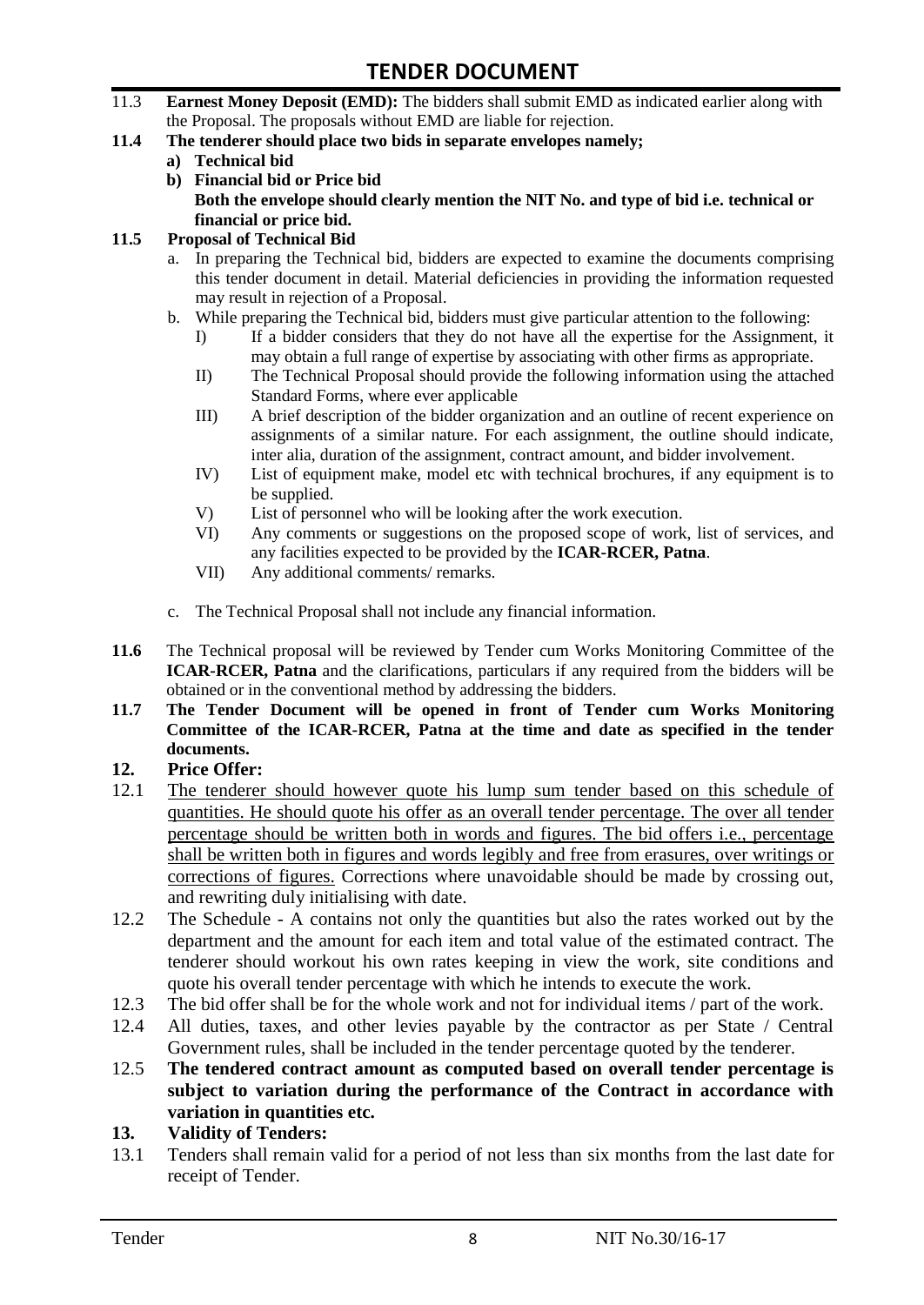- 11.3 **Earnest Money Deposit (EMD):** The bidders shall submit EMD as indicated earlier along with the Proposal. The proposals without EMD are liable for rejection.
- **11.4 The tenderer should place two bids in separate envelopes namely;**
	- **a) Technical bid**
	- **b) Financial bid or Price bid Both the envelope should clearly mention the NIT No. and type of bid i.e. technical or financial or price bid.**

#### **11.5 Proposal of Technical Bid**

- a. In preparing the Technical bid, bidders are expected to examine the documents comprising this tender document in detail. Material deficiencies in providing the information requested may result in rejection of a Proposal.
- b. While preparing the Technical bid, bidders must give particular attention to the following:
	- I) If a bidder considers that they do not have all the expertise for the Assignment, it may obtain a full range of expertise by associating with other firms as appropriate.
	- II) The Technical Proposal should provide the following information using the attached Standard Forms, where ever applicable
	- III) A brief description of the bidder organization and an outline of recent experience on assignments of a similar nature. For each assignment, the outline should indicate, inter alia, duration of the assignment, contract amount, and bidder involvement.
	- IV) List of equipment make, model etc with technical brochures, if any equipment is to be supplied.
	- V) List of personnel who will be looking after the work execution.
	- VI) Any comments or suggestions on the proposed scope of work, list of services, and any facilities expected to be provided by the **ICAR-RCER, Patna**.
	- VII) Any additional comments/ remarks.
- c. The Technical Proposal shall not include any financial information.
- **11.6** The Technical proposal will be reviewed by Tender cum Works Monitoring Committee of the **ICAR-RCER, Patna** and the clarifications, particulars if any required from the bidders will be obtained or in the conventional method by addressing the bidders.
- **11.7 The Tender Document will be opened in front of Tender cum Works Monitoring Committee of the ICAR-RCER, Patna at the time and date as specified in the tender documents.**

#### **12. Price Offer:**

- 12.1 The tenderer should however quote his lump sum tender based on this schedule of quantities. He should quote his offer as an overall tender percentage. The over all tender percentage should be written both in words and figures. The bid offers i.e., percentage shall be written both in figures and words legibly and free from erasures, over writings or corrections of figures. Corrections where unavoidable should be made by crossing out, and rewriting duly initialising with date.
- 12.2 The Schedule A contains not only the quantities but also the rates worked out by the department and the amount for each item and total value of the estimated contract. The tenderer should workout his own rates keeping in view the work, site conditions and quote his overall tender percentage with which he intends to execute the work.
- 12.3 The bid offer shall be for the whole work and not for individual items / part of the work.
- 12.4 All duties, taxes, and other levies payable by the contractor as per State / Central Government rules, shall be included in the tender percentage quoted by the tenderer.
- 12.5 **The tendered contract amount as computed based on overall tender percentage is subject to variation during the performance of the Contract in accordance with variation in quantities etc.**
- **13. Validity of Tenders:**
- 13.1 Tenders shall remain valid for a period of not less than six months from the last date for receipt of Tender.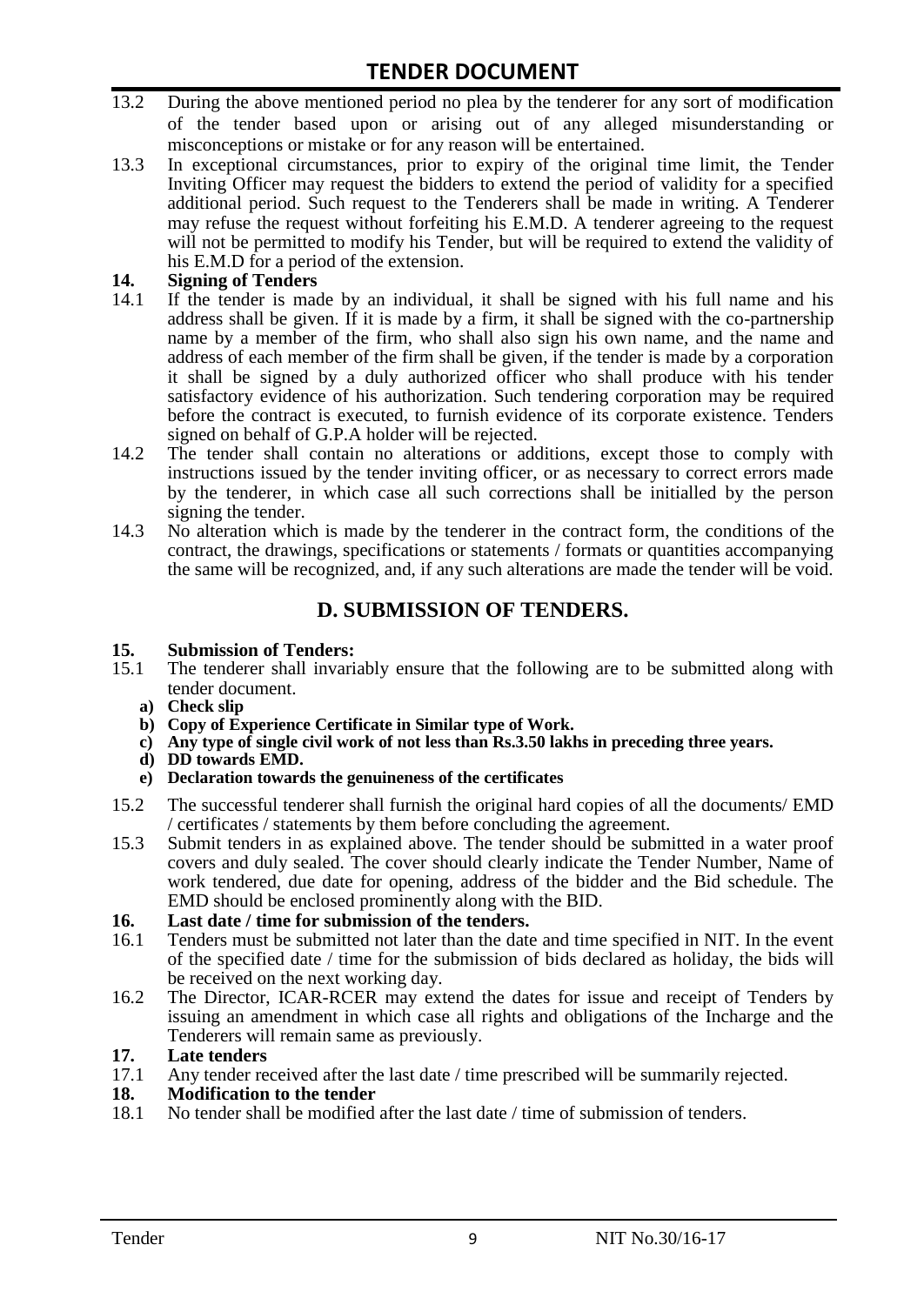- 13.2 During the above mentioned period no plea by the tenderer for any sort of modification of the tender based upon or arising out of any alleged misunderstanding or misconceptions or mistake or for any reason will be entertained.
- 13.3 In exceptional circumstances, prior to expiry of the original time limit, the Tender Inviting Officer may request the bidders to extend the period of validity for a specified additional period. Such request to the Tenderers shall be made in writing. A Tenderer may refuse the request without forfeiting his E.M.D. A tenderer agreeing to the request will not be permitted to modify his Tender, but will be required to extend the validity of his E.M.D for a period of the extension.

# 14. **Signing of Tenders**<br>14.1 If the tender is mag

- If the tender is made by an individual, it shall be signed with his full name and his address shall be given. If it is made by a firm, it shall be signed with the co-partnership name by a member of the firm, who shall also sign his own name, and the name and address of each member of the firm shall be given, if the tender is made by a corporation it shall be signed by a duly authorized officer who shall produce with his tender satisfactory evidence of his authorization. Such tendering corporation may be required before the contract is executed, to furnish evidence of its corporate existence. Tenders signed on behalf of G.P.A holder will be rejected.
- 14.2 The tender shall contain no alterations or additions, except those to comply with instructions issued by the tender inviting officer, or as necessary to correct errors made by the tenderer, in which case all such corrections shall be initialled by the person signing the tender.
- 14.3 No alteration which is made by the tenderer in the contract form, the conditions of the contract, the drawings, specifications or statements / formats or quantities accompanying the same will be recognized, and, if any such alterations are made the tender will be void.

# **D. SUBMISSION OF TENDERS.**

#### **15. Submission of Tenders:**

- 15.1 The tenderer shall invariably ensure that the following are to be submitted along with tender document.
	- **a) Check slip**
	- **b) Copy of Experience Certificate in Similar type of Work.**
	- **c) Any type of single civil work of not less than Rs.3.50 lakhs in preceding three years.**
	- **d) DD towards EMD.**
	- **e) Declaration towards the genuineness of the certificates**
- 15.2 The successful tenderer shall furnish the original hard copies of all the documents/ EMD / certificates / statements by them before concluding the agreement.
- 15.3 Submit tenders in as explained above. The tender should be submitted in a water proof covers and duly sealed. The cover should clearly indicate the Tender Number, Name of work tendered, due date for opening, address of the bidder and the Bid schedule. The EMD should be enclosed prominently along with the BID.

# **16. Last date / time for submission of the tenders.**

- 16.1 Tenders must be submitted not later than the date and time specified in NIT. In the event of the specified date / time for the submission of bids declared as holiday, the bids will be received on the next working day.
- 16.2 The Director, ICAR-RCER may extend the dates for issue and receipt of Tenders by issuing an amendment in which case all rights and obligations of the Incharge and the Tenderers will remain same as previously.

#### **17. Late tenders**

17.1 Any tender received after the last date / time prescribed will be summarily rejected.<br>18. Modification to the tender

# **18. Modification to the tender**<br>18.1 No tender shall be modified

No tender shall be modified after the last date / time of submission of tenders.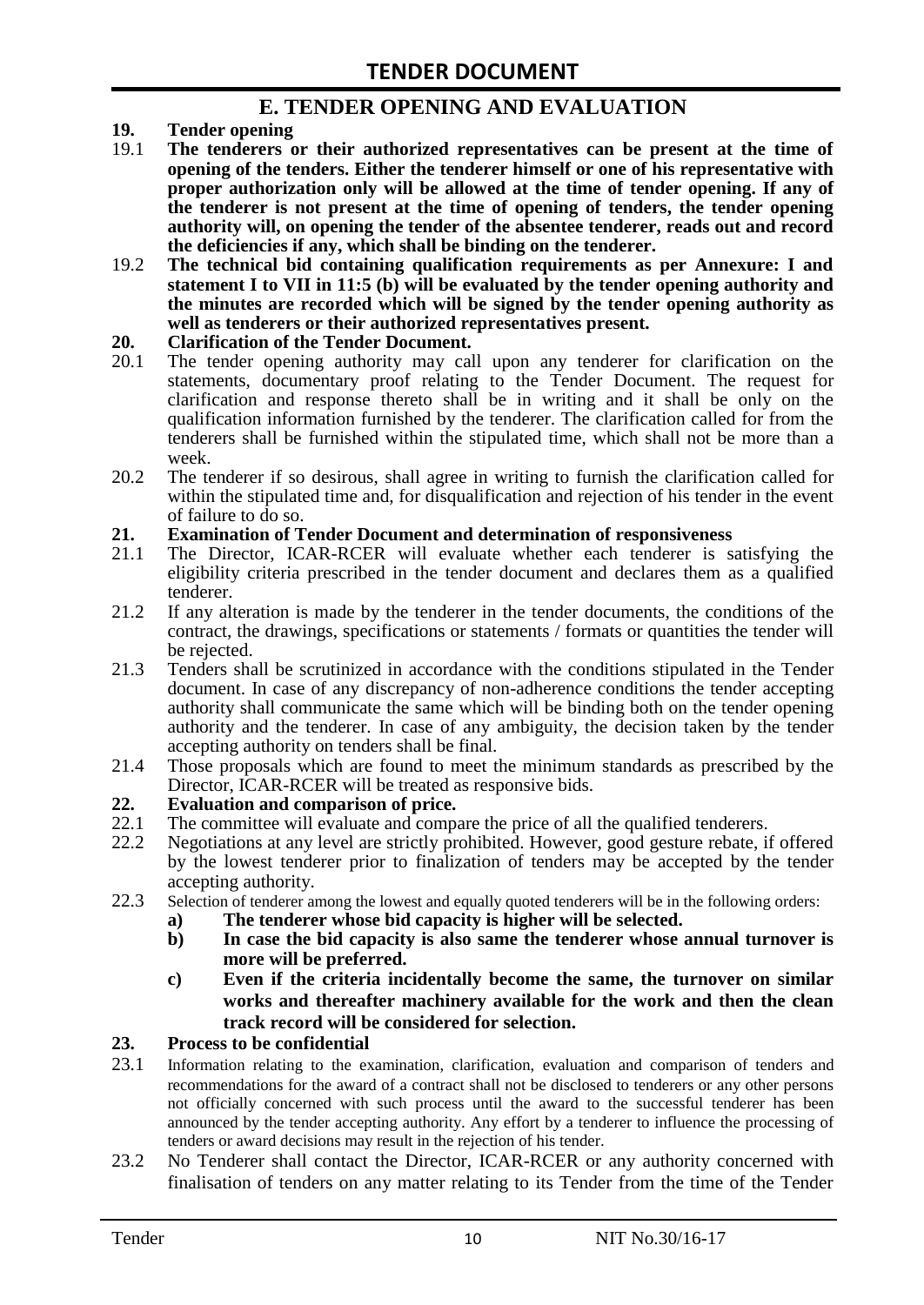### **E. TENDER OPENING AND EVALUATION**

- **19. Tender opening**
- 19.1 **The tenderers or their authorized representatives can be present at the time of opening of the tenders. Either the tenderer himself or one of his representative with proper authorization only will be allowed at the time of tender opening. If any of the tenderer is not present at the time of opening of tenders, the tender opening authority will, on opening the tender of the absentee tenderer, reads out and record the deficiencies if any, which shall be binding on the tenderer.**
- 19.2 **The technical bid containing qualification requirements as per Annexure: I and statement I to VII in 11:5 (b) will be evaluated by the tender opening authority and the minutes are recorded which will be signed by the tender opening authority as well as tenderers or their authorized representatives present.**

#### **20. Clarification of the Tender Document.**

- 20.1 The tender opening authority may call upon any tenderer for clarification on the statements, documentary proof relating to the Tender Document. The request for clarification and response thereto shall be in writing and it shall be only on the qualification information furnished by the tenderer. The clarification called for from the tenderers shall be furnished within the stipulated time, which shall not be more than a week.
- 20.2 The tenderer if so desirous, shall agree in writing to furnish the clarification called for within the stipulated time and, for disqualification and rejection of his tender in the event of failure to do so.

# **21. Examination of Tender Document and determination of responsiveness**

- 21.1 The Director, ICAR-RCER will evaluate whether each tenderer is satisfying the eligibility criteria prescribed in the tender document and declares them as a qualified tenderer.
- 21.2 If any alteration is made by the tenderer in the tender documents, the conditions of the contract, the drawings, specifications or statements / formats or quantities the tender will be rejected.
- 21.3 Tenders shall be scrutinized in accordance with the conditions stipulated in the Tender document. In case of any discrepancy of non-adherence conditions the tender accepting authority shall communicate the same which will be binding both on the tender opening authority and the tenderer. In case of any ambiguity, the decision taken by the tender accepting authority on tenders shall be final.
- 21.4 Those proposals which are found to meet the minimum standards as prescribed by the Director, ICAR-RCER will be treated as responsive bids.

# **22. Evaluation and comparison of price.**

- The committee will evaluate and compare the price of all the qualified tenderers.
- 22.2 Negotiations at any level are strictly prohibited. However, good gesture rebate, if offered by the lowest tenderer prior to finalization of tenders may be accepted by the tender accepting authority.
- 22.3 Selection of tenderer among the lowest and equally quoted tenderers will be in the following orders:
	- **a) The tenderer whose bid capacity is higher will be selected.**
	- **b) In case the bid capacity is also same the tenderer whose annual turnover is more will be preferred.**
	- **c) Even if the criteria incidentally become the same, the turnover on similar works and thereafter machinery available for the work and then the clean track record will be considered for selection.**

#### **23. Process to be confidential**

- 23.1 Information relating to the examination, clarification, evaluation and comparison of tenders and recommendations for the award of a contract shall not be disclosed to tenderers or any other persons not officially concerned with such process until the award to the successful tenderer has been announced by the tender accepting authority. Any effort by a tenderer to influence the processing of tenders or award decisions may result in the rejection of his tender.
- 23.2 No Tenderer shall contact the Director, ICAR-RCER or any authority concerned with finalisation of tenders on any matter relating to its Tender from the time of the Tender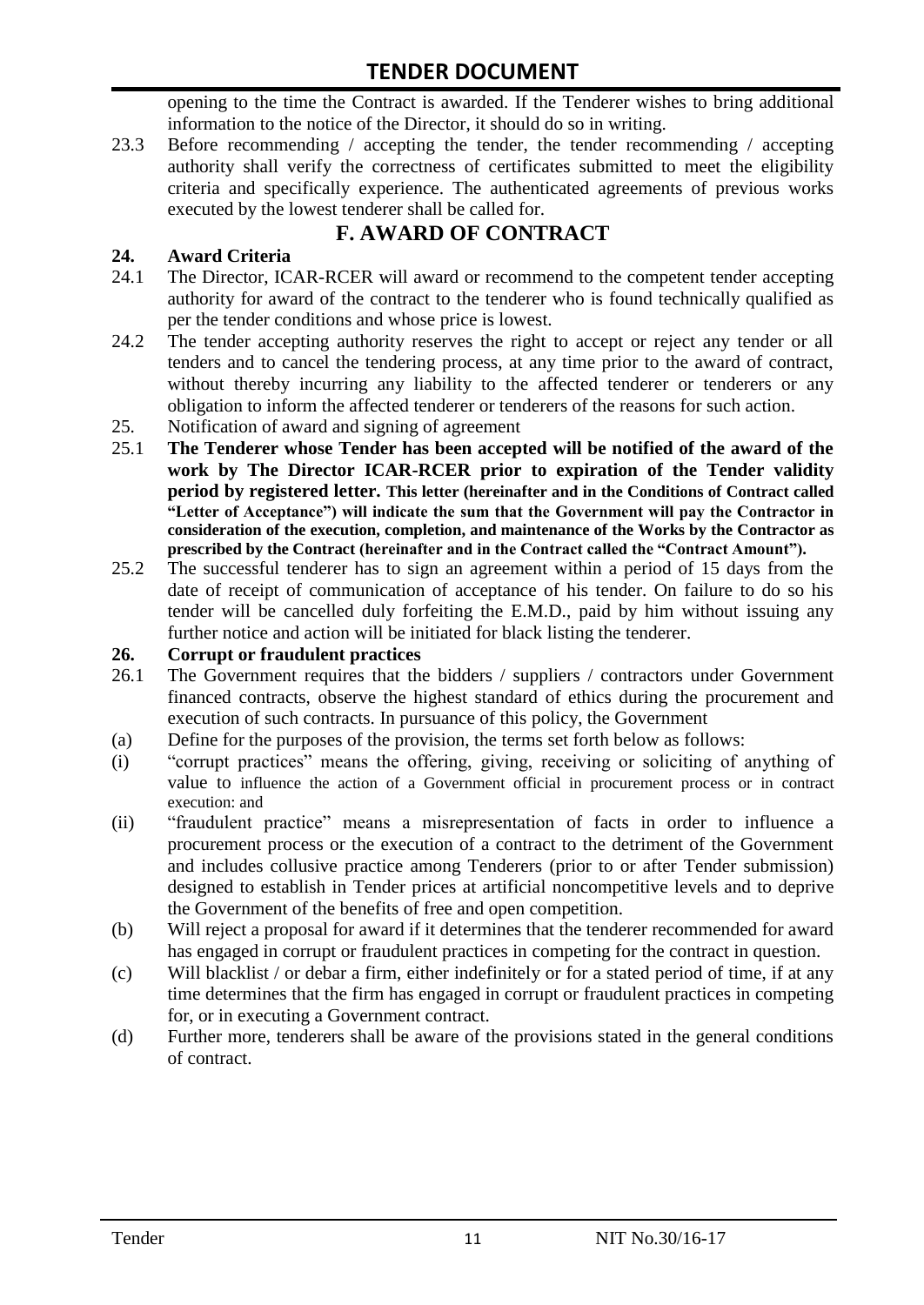opening to the time the Contract is awarded. If the Tenderer wishes to bring additional information to the notice of the Director, it should do so in writing.

23.3 Before recommending / accepting the tender, the tender recommending / accepting authority shall verify the correctness of certificates submitted to meet the eligibility criteria and specifically experience. The authenticated agreements of previous works executed by the lowest tenderer shall be called for.

# **F. AWARD OF CONTRACT**

### **24. Award Criteria**

- 24.1 The Director, ICAR-RCER will award or recommend to the competent tender accepting authority for award of the contract to the tenderer who is found technically qualified as per the tender conditions and whose price is lowest.
- 24.2 The tender accepting authority reserves the right to accept or reject any tender or all tenders and to cancel the tendering process, at any time prior to the award of contract, without thereby incurring any liability to the affected tenderer or tenderers or any obligation to inform the affected tenderer or tenderers of the reasons for such action.
- 25. Notification of award and signing of agreement
- 25.1 **The Tenderer whose Tender has been accepted will be notified of the award of the work by The Director ICAR-RCER prior to expiration of the Tender validity period by registered letter. This letter (hereinafter and in the Conditions of Contract called "Letter of Acceptance") will indicate the sum that the Government will pay the Contractor in consideration of the execution, completion, and maintenance of the Works by the Contractor as prescribed by the Contract (hereinafter and in the Contract called the "Contract Amount").**
- 25.2 The successful tenderer has to sign an agreement within a period of 15 days from the date of receipt of communication of acceptance of his tender. On failure to do so his tender will be cancelled duly forfeiting the E.M.D., paid by him without issuing any further notice and action will be initiated for black listing the tenderer.

#### **26. Corrupt or fraudulent practices**

- 26.1 The Government requires that the bidders / suppliers / contractors under Government financed contracts, observe the highest standard of ethics during the procurement and execution of such contracts. In pursuance of this policy, the Government
- (a) Define for the purposes of the provision, the terms set forth below as follows:
- (i) "corrupt practices" means the offering, giving, receiving or soliciting of anything of value to influence the action of a Government official in procurement process or in contract execution: and
- (ii) "fraudulent practice" means a misrepresentation of facts in order to influence a procurement process or the execution of a contract to the detriment of the Government and includes collusive practice among Tenderers (prior to or after Tender submission) designed to establish in Tender prices at artificial noncompetitive levels and to deprive the Government of the benefits of free and open competition.
- (b) Will reject a proposal for award if it determines that the tenderer recommended for award has engaged in corrupt or fraudulent practices in competing for the contract in question.
- (c) Will blacklist / or debar a firm, either indefinitely or for a stated period of time, if at any time determines that the firm has engaged in corrupt or fraudulent practices in competing for, or in executing a Government contract.
- (d) Further more, tenderers shall be aware of the provisions stated in the general conditions of contract.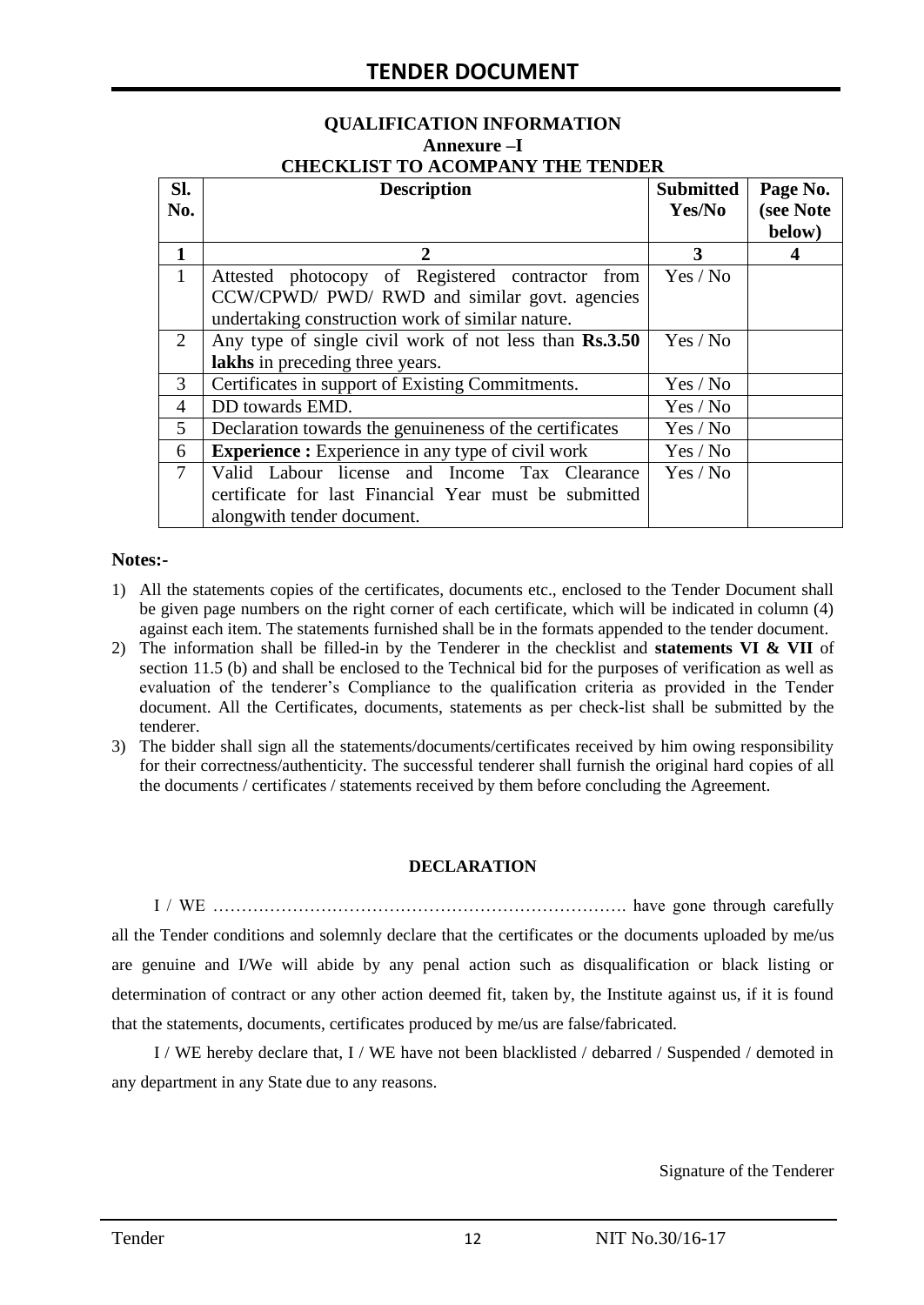# **QUALIFICATION INFORMATION Annexure –I**

| <b>CHECKLIST TO ACOMPANY THE TENDER</b> |  |
|-----------------------------------------|--|
|                                         |  |

| SI.            | <b>Description</b>                                       | <b>Submitted</b> | Page No.  |
|----------------|----------------------------------------------------------|------------------|-----------|
| No.            |                                                          | Yes/No           | (see Note |
|                |                                                          |                  | below)    |
| 1              | 2                                                        | 3                | 4         |
| $\mathbf{1}$   | Attested photocopy of Registered contractor from         | Yes / No         |           |
|                | CCW/CPWD/ PWD/ RWD and similar govt. agencies            |                  |           |
|                | undertaking construction work of similar nature.         |                  |           |
| 2              | Any type of single civil work of not less than Rs.3.50   | Yes / No         |           |
|                | lakhs in preceding three years.                          |                  |           |
| 3              | Certificates in support of Existing Commitments.         | Yes / No         |           |
| $\overline{4}$ | DD towards EMD.                                          | Yes / No         |           |
| 5              | Declaration towards the genuineness of the certificates  | Yes / No         |           |
| 6              | <b>Experience :</b> Experience in any type of civil work | Yes / No         |           |
| $\overline{7}$ | Valid Labour license and Income Tax Clearance            | Yes / No         |           |
|                | certificate for last Financial Year must be submitted    |                  |           |
|                | alongwith tender document.                               |                  |           |

#### **Notes:-**

- 1) All the statements copies of the certificates, documents etc., enclosed to the Tender Document shall be given page numbers on the right corner of each certificate, which will be indicated in column (4) against each item. The statements furnished shall be in the formats appended to the tender document.
- 2) The information shall be filled-in by the Tenderer in the checklist and **statements VI & VII** of section 11.5 (b) and shall be enclosed to the Technical bid for the purposes of verification as well as evaluation of the tenderer"s Compliance to the qualification criteria as provided in the Tender document. All the Certificates, documents, statements as per check-list shall be submitted by the tenderer.
- 3) The bidder shall sign all the statements/documents/certificates received by him owing responsibility for their correctness/authenticity. The successful tenderer shall furnish the original hard copies of all the documents / certificates / statements received by them before concluding the Agreement.

#### **DECLARATION**

I / WE ………………………………………………………………. have gone through carefully all the Tender conditions and solemnly declare that the certificates or the documents uploaded by me/us are genuine and I/We will abide by any penal action such as disqualification or black listing or determination of contract or any other action deemed fit, taken by, the Institute against us, if it is found that the statements, documents, certificates produced by me/us are false/fabricated.

I / WE hereby declare that, I / WE have not been blacklisted / debarred / Suspended / demoted in any department in any State due to any reasons.

Signature of the Tenderer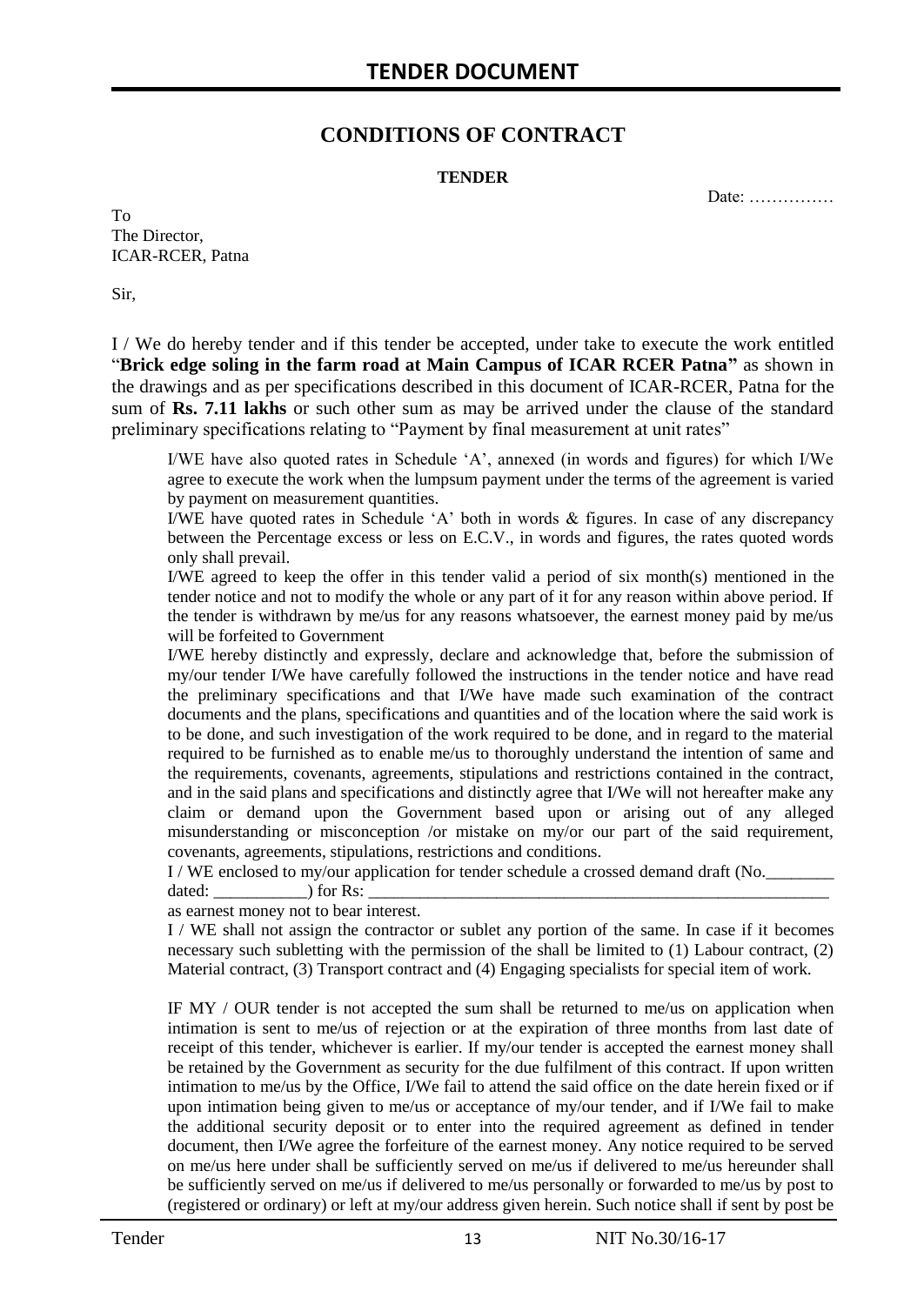### **CONDITIONS OF CONTRACT**

#### **TENDER**

Date: ……………

To The Director, ICAR-RCER, Patna

Sir,

I / We do hereby tender and if this tender be accepted, under take to execute the work entitled "**Brick edge soling in the farm road at Main Campus of ICAR RCER Patna"** as shown in the drawings and as per specifications described in this document of ICAR-RCER, Patna for the sum of **Rs. 7.11 lakhs** or such other sum as may be arrived under the clause of the standard preliminary specifications relating to "Payment by final measurement at unit rates"

I/WE have also quoted rates in Schedule "A", annexed (in words and figures) for which I/We agree to execute the work when the lumpsum payment under the terms of the agreement is varied by payment on measurement quantities.

I/WE have quoted rates in Schedule "A" both in words & figures. In case of any discrepancy between the Percentage excess or less on E.C.V., in words and figures, the rates quoted words only shall prevail.

I/WE agreed to keep the offer in this tender valid a period of six month(s) mentioned in the tender notice and not to modify the whole or any part of it for any reason within above period. If the tender is withdrawn by me/us for any reasons whatsoever, the earnest money paid by me/us will be forfeited to Government

I/WE hereby distinctly and expressly, declare and acknowledge that, before the submission of my/our tender I/We have carefully followed the instructions in the tender notice and have read the preliminary specifications and that I/We have made such examination of the contract documents and the plans, specifications and quantities and of the location where the said work is to be done, and such investigation of the work required to be done, and in regard to the material required to be furnished as to enable me/us to thoroughly understand the intention of same and the requirements, covenants, agreements, stipulations and restrictions contained in the contract, and in the said plans and specifications and distinctly agree that I/We will not hereafter make any claim or demand upon the Government based upon or arising out of any alleged misunderstanding or misconception /or mistake on my/or our part of the said requirement, covenants, agreements, stipulations, restrictions and conditions.

I / WE enclosed to my/our application for tender schedule a crossed demand draft (No.

dated: \_\_\_\_\_\_\_\_\_\_\_) for Rs: \_\_\_\_\_\_\_\_\_\_\_\_\_\_\_\_\_\_\_\_\_\_\_\_\_\_\_\_\_\_\_\_\_\_\_\_\_\_\_\_\_\_\_\_\_\_\_\_\_\_\_\_\_\_

as earnest money not to bear interest.

I / WE shall not assign the contractor or sublet any portion of the same. In case if it becomes necessary such subletting with the permission of the shall be limited to (1) Labour contract, (2) Material contract, (3) Transport contract and (4) Engaging specialists for special item of work.

IF MY / OUR tender is not accepted the sum shall be returned to me/us on application when intimation is sent to me/us of rejection or at the expiration of three months from last date of receipt of this tender, whichever is earlier. If my/our tender is accepted the earnest money shall be retained by the Government as security for the due fulfilment of this contract. If upon written intimation to me/us by the Office, I/We fail to attend the said office on the date herein fixed or if upon intimation being given to me/us or acceptance of my/our tender, and if I/We fail to make the additional security deposit or to enter into the required agreement as defined in tender document, then I/We agree the forfeiture of the earnest money. Any notice required to be served on me/us here under shall be sufficiently served on me/us if delivered to me/us hereunder shall be sufficiently served on me/us if delivered to me/us personally or forwarded to me/us by post to (registered or ordinary) or left at my/our address given herein. Such notice shall if sent by post be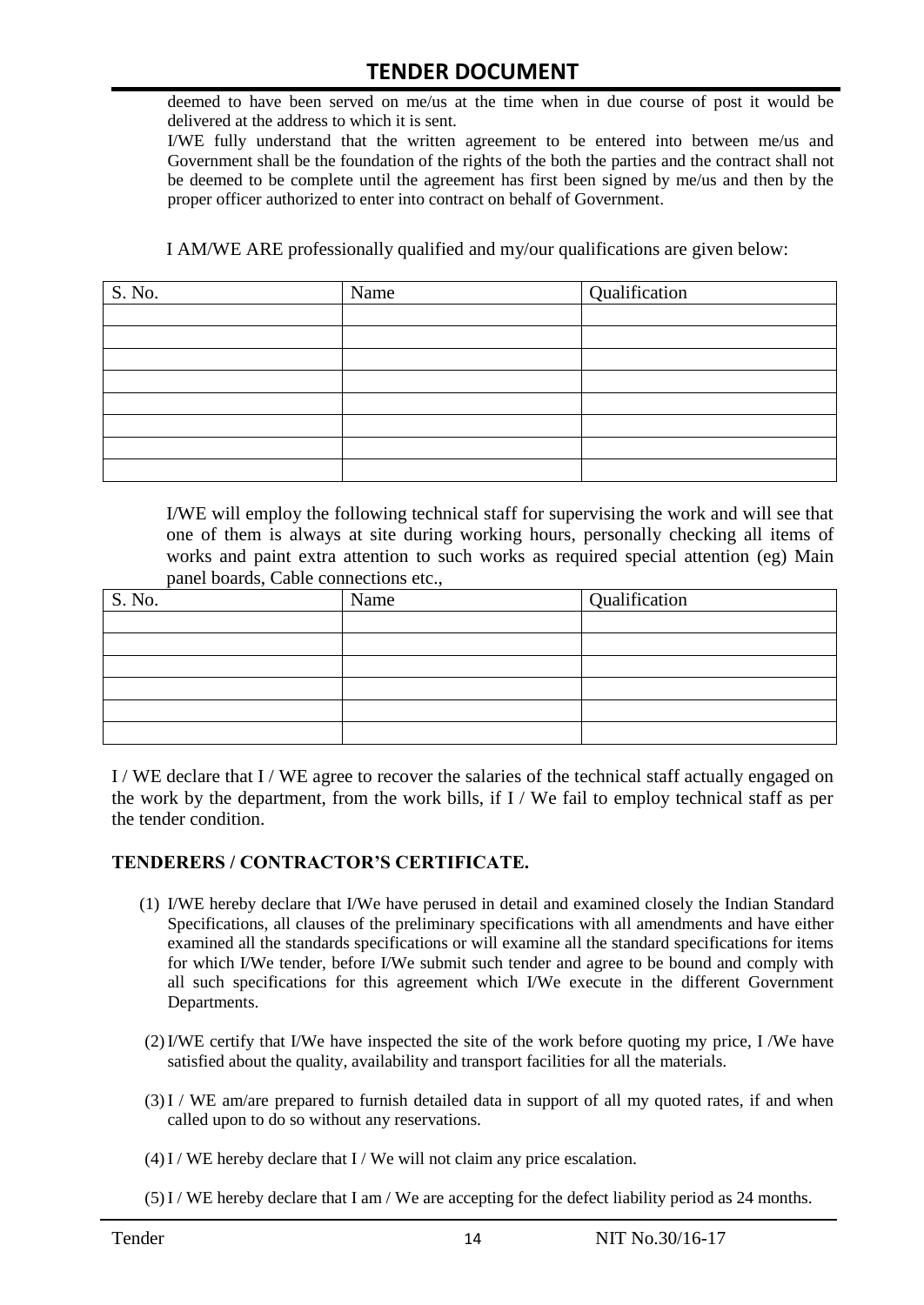deemed to have been served on me/us at the time when in due course of post it would be delivered at the address to which it is sent.

I/WE fully understand that the written agreement to be entered into between me/us and Government shall be the foundation of the rights of the both the parties and the contract shall not be deemed to be complete until the agreement has first been signed by me/us and then by the proper officer authorized to enter into contract on behalf of Government.

I AM/WE ARE professionally qualified and my/our qualifications are given below:

| S. No. | Name | Qualification |
|--------|------|---------------|
|        |      |               |
|        |      |               |
|        |      |               |
|        |      |               |
|        |      |               |
|        |      |               |
|        |      |               |
|        |      |               |

I/WE will employ the following technical staff for supervising the work and will see that one of them is always at site during working hours, personally checking all items of works and paint extra attention to such works as required special attention (eg) Main panel boards, Cable connections etc.,

| S. No. | Name | Qualification |  |  |
|--------|------|---------------|--|--|
|        |      |               |  |  |
|        |      |               |  |  |
|        |      |               |  |  |
|        |      |               |  |  |
|        |      |               |  |  |
|        |      |               |  |  |

I / WE declare that I / WE agree to recover the salaries of the technical staff actually engaged on the work by the department, from the work bills, if I / We fail to employ technical staff as per the tender condition.

#### **TENDERERS / CONTRACTOR'S CERTIFICATE.**

- (1) I/WE hereby declare that I/We have perused in detail and examined closely the Indian Standard Specifications, all clauses of the preliminary specifications with all amendments and have either examined all the standards specifications or will examine all the standard specifications for items for which I/We tender, before I/We submit such tender and agree to be bound and comply with all such specifications for this agreement which I/We execute in the different Government Departments.
- (2)I/WE certify that I/We have inspected the site of the work before quoting my price, I /We have satisfied about the quality, availability and transport facilities for all the materials.
- (3)I / WE am/are prepared to furnish detailed data in support of all my quoted rates, if and when called upon to do so without any reservations.
- $(4)$ I / WE hereby declare that I / We will not claim any price escalation.
- (5)I / WE hereby declare that I am / We are accepting for the defect liability period as 24 months.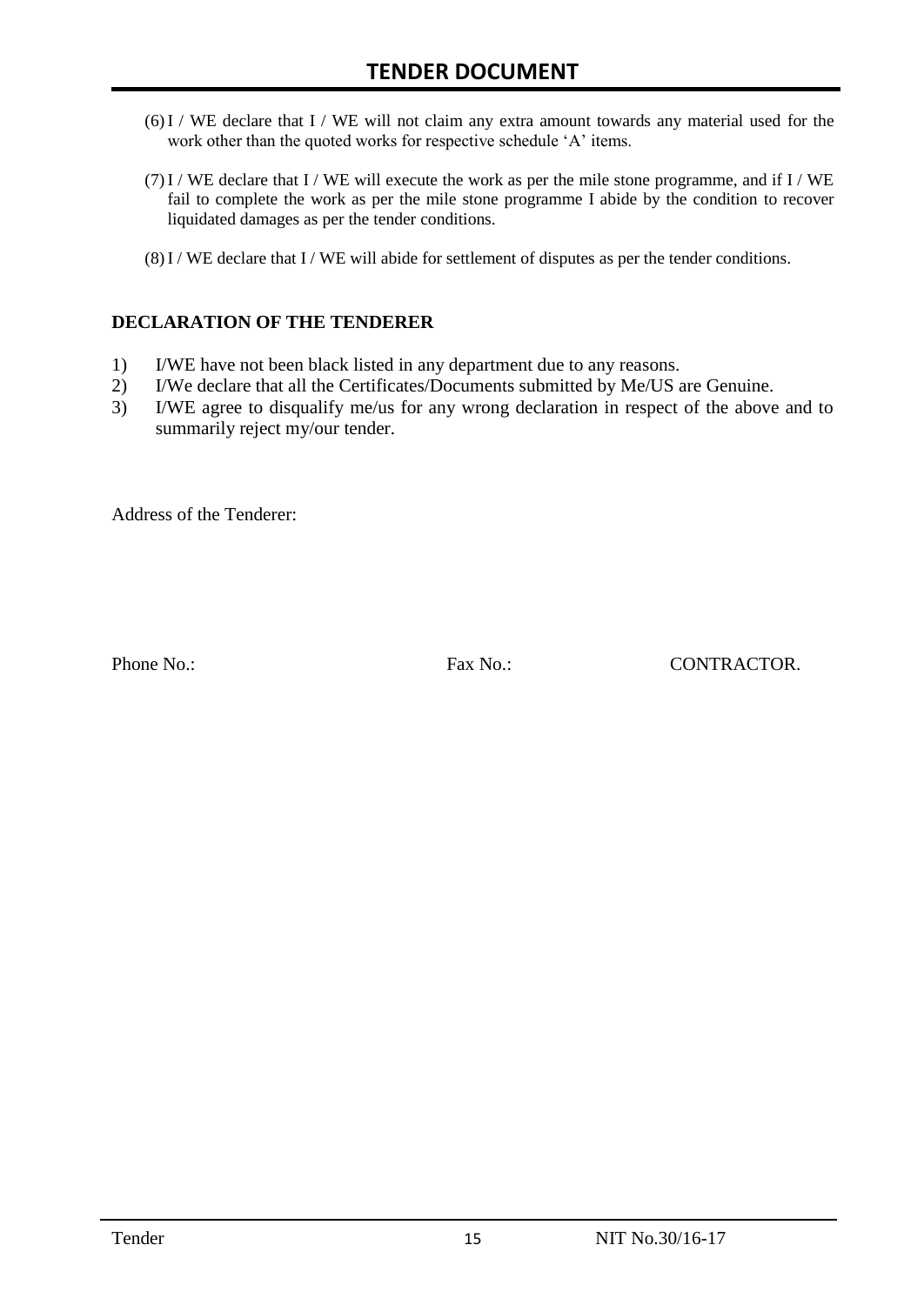- (6)I / WE declare that I / WE will not claim any extra amount towards any material used for the work other than the quoted works for respective schedule 'A' items.
- $(7)$  I / WE declare that I / WE will execute the work as per the mile stone programme, and if I / WE fail to complete the work as per the mile stone programme I abide by the condition to recover liquidated damages as per the tender conditions.
- (8)I / WE declare that I / WE will abide for settlement of disputes as per the tender conditions.

#### **DECLARATION OF THE TENDERER**

- 1) I/WE have not been black listed in any department due to any reasons.
- 2) I/We declare that all the Certificates/Documents submitted by Me/US are Genuine.
- 3) I/WE agree to disqualify me/us for any wrong declaration in respect of the above and to summarily reject my/our tender.

Address of the Tenderer:

Phone No.: Fax No.: Fax No.: CONTRACTOR.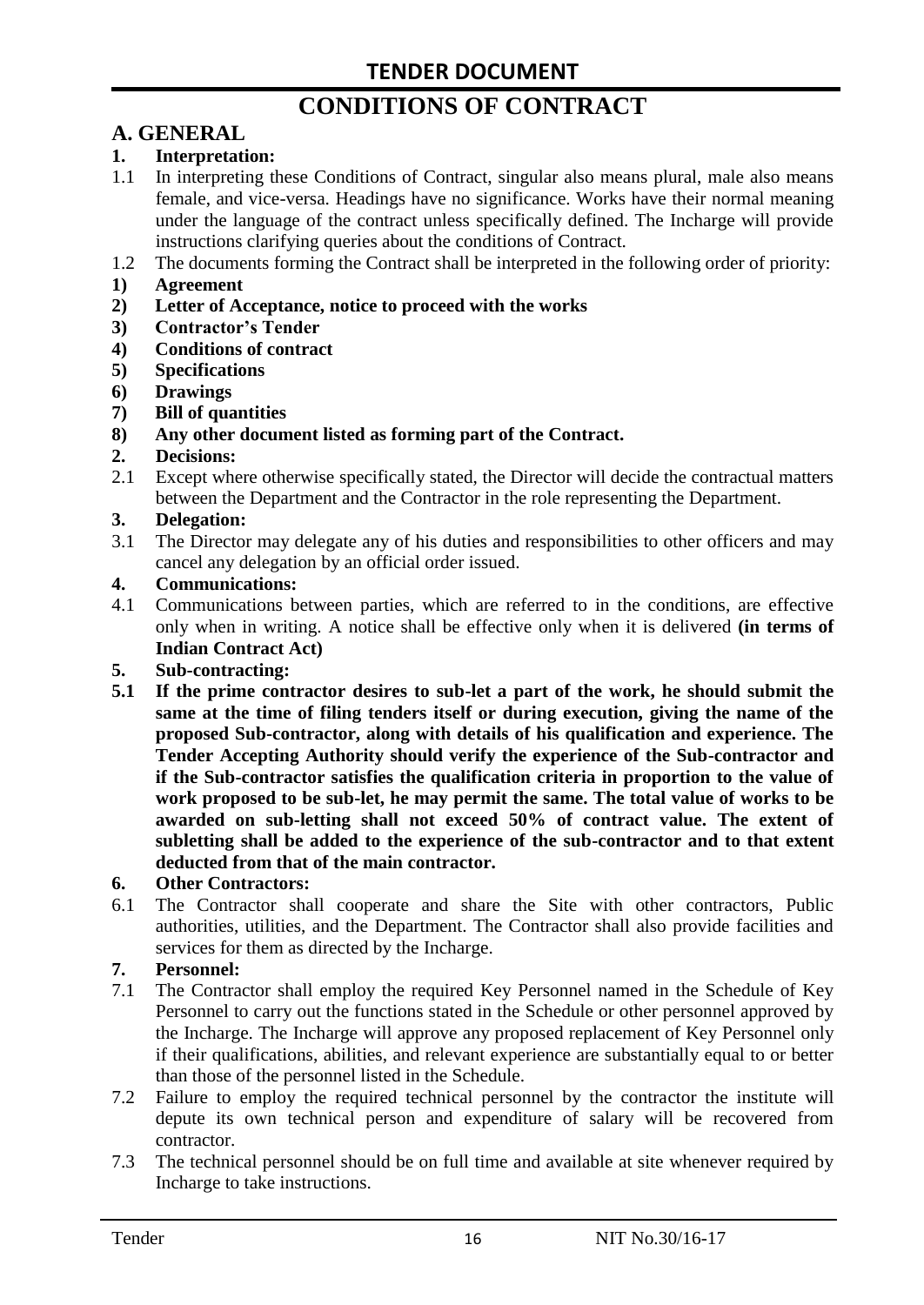# **CONDITIONS OF CONTRACT**

# **A. GENERAL**

#### **1. Interpretation:**

- 1.1 In interpreting these Conditions of Contract, singular also means plural, male also means female, and vice-versa. Headings have no significance. Works have their normal meaning under the language of the contract unless specifically defined. The Incharge will provide instructions clarifying queries about the conditions of Contract.
- 1.2 The documents forming the Contract shall be interpreted in the following order of priority:
- **1) Agreement**
- **2) Letter of Acceptance, notice to proceed with the works**
- **3) Contractor's Tender**
- **4) Conditions of contract**
- **5) Specifications**
- **6) Drawings**
- **7) Bill of quantities**
- **8) Any other document listed as forming part of the Contract.**

#### **2. Decisions:**

2.1 Except where otherwise specifically stated, the Director will decide the contractual matters between the Department and the Contractor in the role representing the Department.

#### **3. Delegation:**

3.1 The Director may delegate any of his duties and responsibilities to other officers and may cancel any delegation by an official order issued.

#### **4. Communications:**

4.1 Communications between parties, which are referred to in the conditions, are effective only when in writing. A notice shall be effective only when it is delivered **(in terms of Indian Contract Act)**

#### **5. Sub-contracting:**

**5.1 If the prime contractor desires to sub-let a part of the work, he should submit the same at the time of filing tenders itself or during execution, giving the name of the proposed Sub-contractor, along with details of his qualification and experience. The Tender Accepting Authority should verify the experience of the Sub-contractor and if the Sub-contractor satisfies the qualification criteria in proportion to the value of work proposed to be sub-let, he may permit the same. The total value of works to be awarded on sub-letting shall not exceed 50% of contract value. The extent of subletting shall be added to the experience of the sub-contractor and to that extent deducted from that of the main contractor.**

#### **6. Other Contractors:**

6.1 The Contractor shall cooperate and share the Site with other contractors, Public authorities, utilities, and the Department. The Contractor shall also provide facilities and services for them as directed by the Incharge.

#### **7. Personnel:**

- 7.1 The Contractor shall employ the required Key Personnel named in the Schedule of Key Personnel to carry out the functions stated in the Schedule or other personnel approved by the Incharge. The Incharge will approve any proposed replacement of Key Personnel only if their qualifications, abilities, and relevant experience are substantially equal to or better than those of the personnel listed in the Schedule.
- 7.2 Failure to employ the required technical personnel by the contractor the institute will depute its own technical person and expenditure of salary will be recovered from contractor.
- 7.3 The technical personnel should be on full time and available at site whenever required by Incharge to take instructions.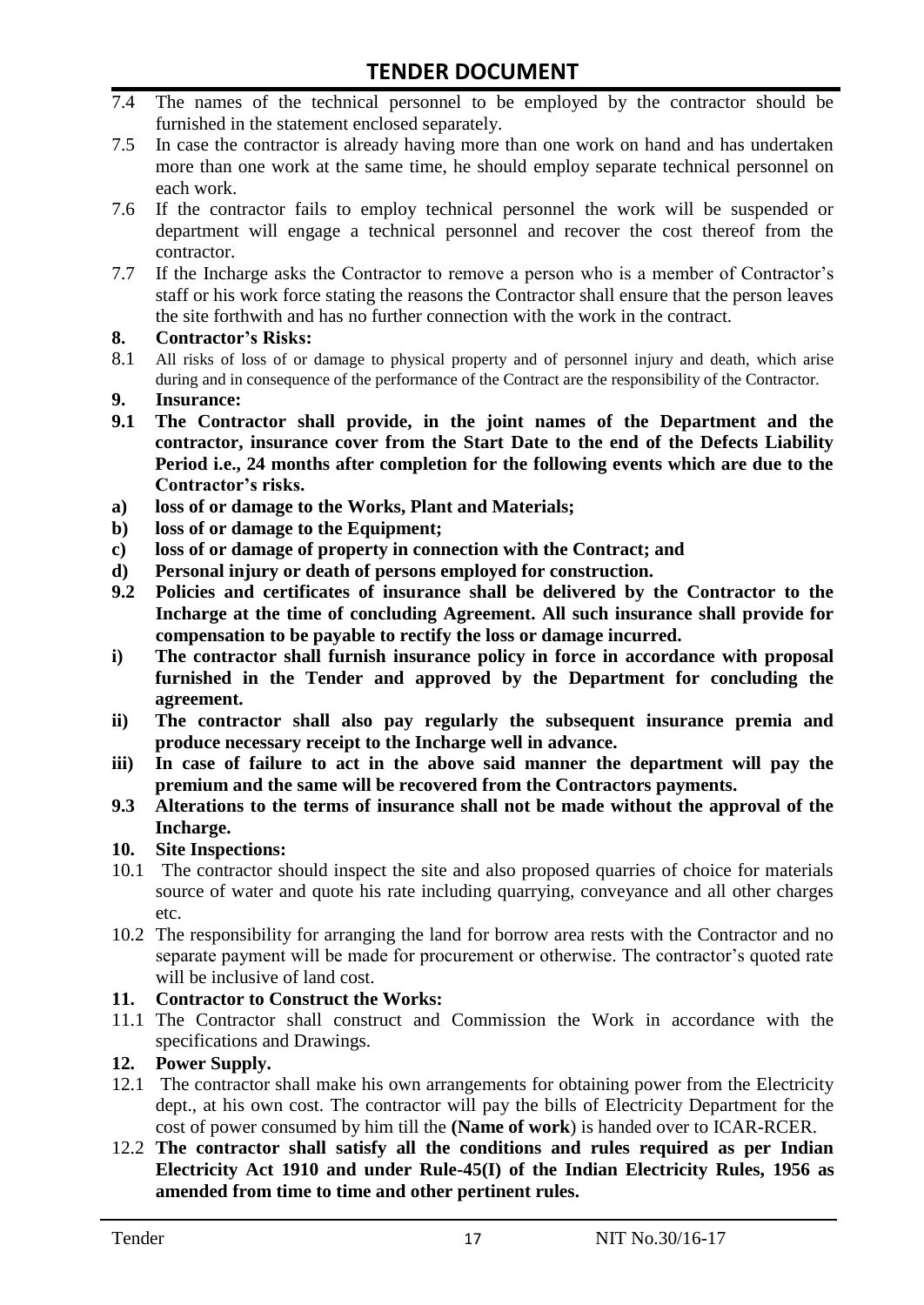- 7.4 The names of the technical personnel to be employed by the contractor should be furnished in the statement enclosed separately.
- 7.5 In case the contractor is already having more than one work on hand and has undertaken more than one work at the same time, he should employ separate technical personnel on each work.
- 7.6 If the contractor fails to employ technical personnel the work will be suspended or department will engage a technical personnel and recover the cost thereof from the contractor.
- 7.7 If the Incharge asks the Contractor to remove a person who is a member of Contractor"s staff or his work force stating the reasons the Contractor shall ensure that the person leaves the site forthwith and has no further connection with the work in the contract.

#### **8. Contractor's Risks:**

- 8.1 All risks of loss of or damage to physical property and of personnel injury and death, which arise during and in consequence of the performance of the Contract are the responsibility of the Contractor.
- **9. Insurance:**
- **9.1 The Contractor shall provide, in the joint names of the Department and the contractor, insurance cover from the Start Date to the end of the Defects Liability Period i.e., 24 months after completion for the following events which are due to the Contractor's risks.**
- **a) loss of or damage to the Works, Plant and Materials;**
- **b) loss of or damage to the Equipment;**
- **c) loss of or damage of property in connection with the Contract; and**
- **d) Personal injury or death of persons employed for construction.**
- **9.2 Policies and certificates of insurance shall be delivered by the Contractor to the Incharge at the time of concluding Agreement. All such insurance shall provide for compensation to be payable to rectify the loss or damage incurred.**
- **i) The contractor shall furnish insurance policy in force in accordance with proposal furnished in the Tender and approved by the Department for concluding the agreement.**
- **ii) The contractor shall also pay regularly the subsequent insurance premia and produce necessary receipt to the Incharge well in advance.**
- **iii) In case of failure to act in the above said manner the department will pay the premium and the same will be recovered from the Contractors payments.**
- **9.3 Alterations to the terms of insurance shall not be made without the approval of the Incharge.**

#### **10. Site Inspections:**

- 10.1 The contractor should inspect the site and also proposed quarries of choice for materials source of water and quote his rate including quarrying, conveyance and all other charges etc.
- 10.2 The responsibility for arranging the land for borrow area rests with the Contractor and no separate payment will be made for procurement or otherwise. The contractor's quoted rate will be inclusive of land cost.

#### **11. Contractor to Construct the Works:**

11.1 The Contractor shall construct and Commission the Work in accordance with the specifications and Drawings.

#### **12. Power Supply.**

- 12.1 The contractor shall make his own arrangements for obtaining power from the Electricity dept., at his own cost. The contractor will pay the bills of Electricity Department for the cost of power consumed by him till the **(Name of work**) is handed over to ICAR-RCER.
- 12.2 **The contractor shall satisfy all the conditions and rules required as per Indian Electricity Act 1910 and under Rule-45(I) of the Indian Electricity Rules, 1956 as amended from time to time and other pertinent rules.**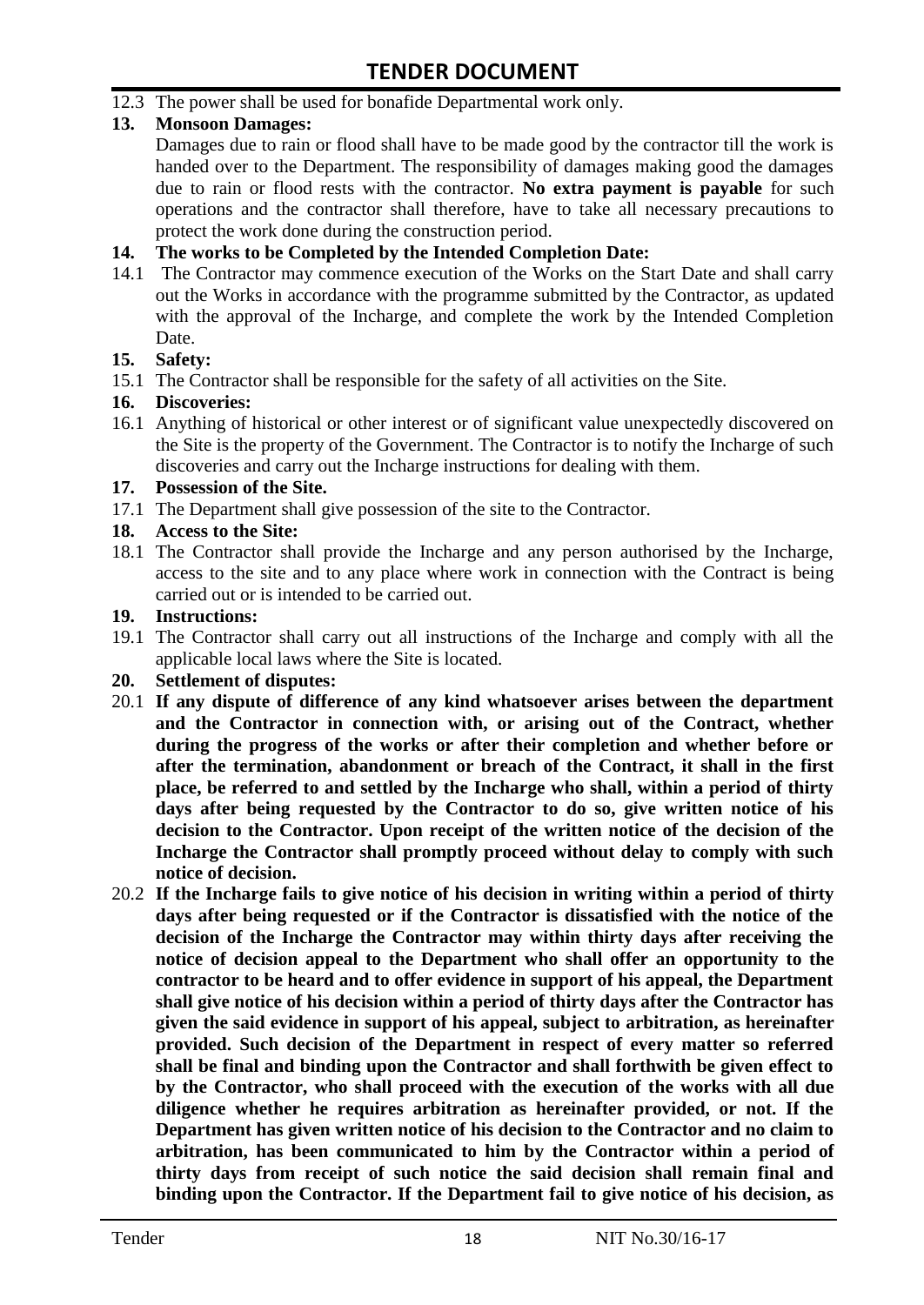12.3 The power shall be used for bonafide Departmental work only.

#### **13. Monsoon Damages:**

Damages due to rain or flood shall have to be made good by the contractor till the work is handed over to the Department. The responsibility of damages making good the damages due to rain or flood rests with the contractor. **No extra payment is payable** for such operations and the contractor shall therefore, have to take all necessary precautions to protect the work done during the construction period.

#### **14. The works to be Completed by the Intended Completion Date:**

14.1 The Contractor may commence execution of the Works on the Start Date and shall carry out the Works in accordance with the programme submitted by the Contractor, as updated with the approval of the Incharge, and complete the work by the Intended Completion Date.

#### **15. Safety:**

15.1 The Contractor shall be responsible for the safety of all activities on the Site.

#### **16. Discoveries:**

16.1 Anything of historical or other interest or of significant value unexpectedly discovered on the Site is the property of the Government. The Contractor is to notify the Incharge of such discoveries and carry out the Incharge instructions for dealing with them.

#### **17. Possession of the Site.**

17.1 The Department shall give possession of the site to the Contractor.

#### **18. Access to the Site:**

18.1 The Contractor shall provide the Incharge and any person authorised by the Incharge, access to the site and to any place where work in connection with the Contract is being carried out or is intended to be carried out.

#### **19. Instructions:**

- 19.1 The Contractor shall carry out all instructions of the Incharge and comply with all the applicable local laws where the Site is located.
- **20. Settlement of disputes:**
- 20.1 **If any dispute of difference of any kind whatsoever arises between the department and the Contractor in connection with, or arising out of the Contract, whether during the progress of the works or after their completion and whether before or after the termination, abandonment or breach of the Contract, it shall in the first place, be referred to and settled by the Incharge who shall, within a period of thirty days after being requested by the Contractor to do so, give written notice of his decision to the Contractor. Upon receipt of the written notice of the decision of the Incharge the Contractor shall promptly proceed without delay to comply with such notice of decision.**
- 20.2 **If the Incharge fails to give notice of his decision in writing within a period of thirty days after being requested or if the Contractor is dissatisfied with the notice of the decision of the Incharge the Contractor may within thirty days after receiving the notice of decision appeal to the Department who shall offer an opportunity to the contractor to be heard and to offer evidence in support of his appeal, the Department shall give notice of his decision within a period of thirty days after the Contractor has given the said evidence in support of his appeal, subject to arbitration, as hereinafter provided. Such decision of the Department in respect of every matter so referred shall be final and binding upon the Contractor and shall forthwith be given effect to by the Contractor, who shall proceed with the execution of the works with all due diligence whether he requires arbitration as hereinafter provided, or not. If the Department has given written notice of his decision to the Contractor and no claim to arbitration, has been communicated to him by the Contractor within a period of thirty days from receipt of such notice the said decision shall remain final and binding upon the Contractor. If the Department fail to give notice of his decision, as**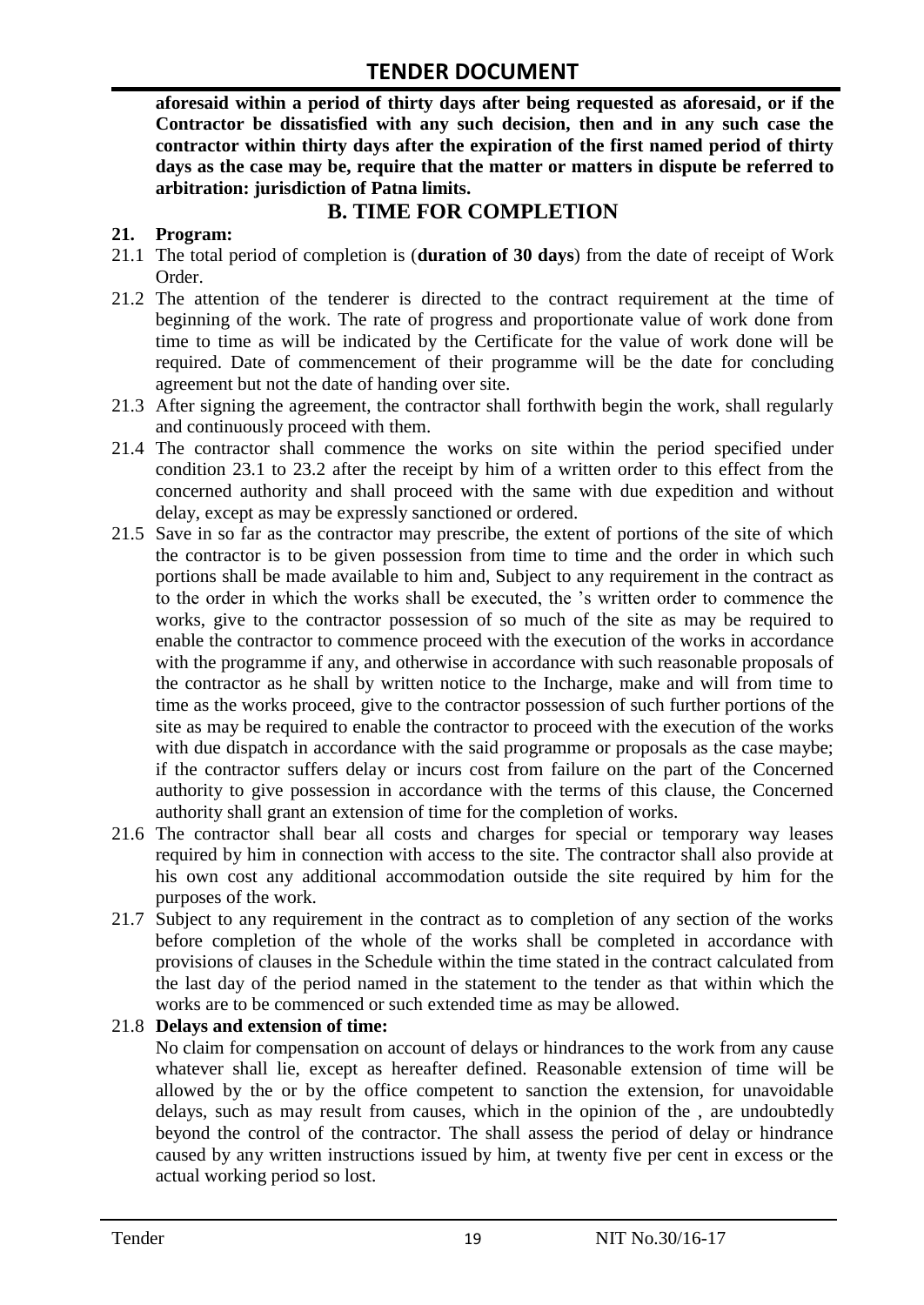**aforesaid within a period of thirty days after being requested as aforesaid, or if the Contractor be dissatisfied with any such decision, then and in any such case the contractor within thirty days after the expiration of the first named period of thirty days as the case may be, require that the matter or matters in dispute be referred to arbitration: jurisdiction of Patna limits.**

### **B. TIME FOR COMPLETION**

#### **21. Program:**

- 21.1 The total period of completion is (**duration of 30 days**) from the date of receipt of Work Order.
- 21.2 The attention of the tenderer is directed to the contract requirement at the time of beginning of the work. The rate of progress and proportionate value of work done from time to time as will be indicated by the Certificate for the value of work done will be required. Date of commencement of their programme will be the date for concluding agreement but not the date of handing over site.
- 21.3 After signing the agreement, the contractor shall forthwith begin the work, shall regularly and continuously proceed with them.
- 21.4 The contractor shall commence the works on site within the period specified under condition 23.1 to 23.2 after the receipt by him of a written order to this effect from the concerned authority and shall proceed with the same with due expedition and without delay, except as may be expressly sanctioned or ordered.
- 21.5 Save in so far as the contractor may prescribe, the extent of portions of the site of which the contractor is to be given possession from time to time and the order in which such portions shall be made available to him and, Subject to any requirement in the contract as to the order in which the works shall be executed, the "s written order to commence the works, give to the contractor possession of so much of the site as may be required to enable the contractor to commence proceed with the execution of the works in accordance with the programme if any, and otherwise in accordance with such reasonable proposals of the contractor as he shall by written notice to the Incharge, make and will from time to time as the works proceed, give to the contractor possession of such further portions of the site as may be required to enable the contractor to proceed with the execution of the works with due dispatch in accordance with the said programme or proposals as the case maybe; if the contractor suffers delay or incurs cost from failure on the part of the Concerned authority to give possession in accordance with the terms of this clause, the Concerned authority shall grant an extension of time for the completion of works.
- 21.6 The contractor shall bear all costs and charges for special or temporary way leases required by him in connection with access to the site. The contractor shall also provide at his own cost any additional accommodation outside the site required by him for the purposes of the work.
- 21.7 Subject to any requirement in the contract as to completion of any section of the works before completion of the whole of the works shall be completed in accordance with provisions of clauses in the Schedule within the time stated in the contract calculated from the last day of the period named in the statement to the tender as that within which the works are to be commenced or such extended time as may be allowed.

#### 21.8 **Delays and extension of time:**

No claim for compensation on account of delays or hindrances to the work from any cause whatever shall lie, except as hereafter defined. Reasonable extension of time will be allowed by the or by the office competent to sanction the extension, for unavoidable delays, such as may result from causes, which in the opinion of the , are undoubtedly beyond the control of the contractor. The shall assess the period of delay or hindrance caused by any written instructions issued by him, at twenty five per cent in excess or the actual working period so lost.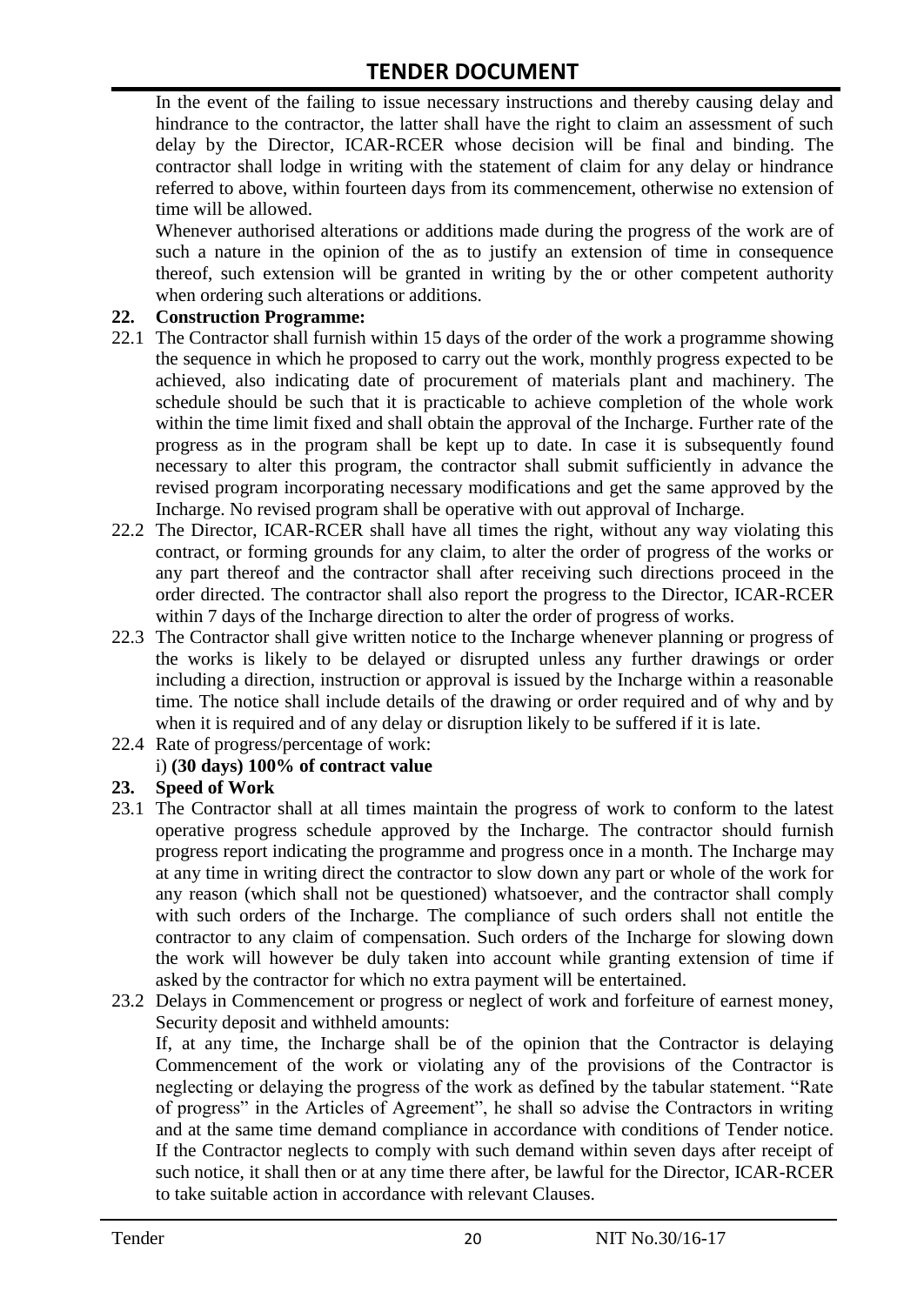In the event of the failing to issue necessary instructions and thereby causing delay and hindrance to the contractor, the latter shall have the right to claim an assessment of such delay by the Director, ICAR-RCER whose decision will be final and binding. The contractor shall lodge in writing with the statement of claim for any delay or hindrance referred to above, within fourteen days from its commencement, otherwise no extension of time will be allowed.

Whenever authorised alterations or additions made during the progress of the work are of such a nature in the opinion of the as to justify an extension of time in consequence thereof, such extension will be granted in writing by the or other competent authority when ordering such alterations or additions.

#### **22. Construction Programme:**

- 22.1 The Contractor shall furnish within 15 days of the order of the work a programme showing the sequence in which he proposed to carry out the work, monthly progress expected to be achieved, also indicating date of procurement of materials plant and machinery. The schedule should be such that it is practicable to achieve completion of the whole work within the time limit fixed and shall obtain the approval of the Incharge. Further rate of the progress as in the program shall be kept up to date. In case it is subsequently found necessary to alter this program, the contractor shall submit sufficiently in advance the revised program incorporating necessary modifications and get the same approved by the Incharge. No revised program shall be operative with out approval of Incharge.
- 22.2 The Director, ICAR-RCER shall have all times the right, without any way violating this contract, or forming grounds for any claim, to alter the order of progress of the works or any part thereof and the contractor shall after receiving such directions proceed in the order directed. The contractor shall also report the progress to the Director, ICAR-RCER within 7 days of the Incharge direction to alter the order of progress of works.
- 22.3 The Contractor shall give written notice to the Incharge whenever planning or progress of the works is likely to be delayed or disrupted unless any further drawings or order including a direction, instruction or approval is issued by the Incharge within a reasonable time. The notice shall include details of the drawing or order required and of why and by when it is required and of any delay or disruption likely to be suffered if it is late.
- 22.4 Rate of progress/percentage of work:

#### i) **(30 days) 100% of contract value**

#### **23. Speed of Work**

- 23.1 The Contractor shall at all times maintain the progress of work to conform to the latest operative progress schedule approved by the Incharge. The contractor should furnish progress report indicating the programme and progress once in a month. The Incharge may at any time in writing direct the contractor to slow down any part or whole of the work for any reason (which shall not be questioned) whatsoever, and the contractor shall comply with such orders of the Incharge. The compliance of such orders shall not entitle the contractor to any claim of compensation. Such orders of the Incharge for slowing down the work will however be duly taken into account while granting extension of time if asked by the contractor for which no extra payment will be entertained.
- 23.2 Delays in Commencement or progress or neglect of work and forfeiture of earnest money, Security deposit and withheld amounts:

If, at any time, the Incharge shall be of the opinion that the Contractor is delaying Commencement of the work or violating any of the provisions of the Contractor is neglecting or delaying the progress of the work as defined by the tabular statement. "Rate of progress" in the Articles of Agreement", he shall so advise the Contractors in writing and at the same time demand compliance in accordance with conditions of Tender notice. If the Contractor neglects to comply with such demand within seven days after receipt of such notice, it shall then or at any time there after, be lawful for the Director, ICAR-RCER to take suitable action in accordance with relevant Clauses.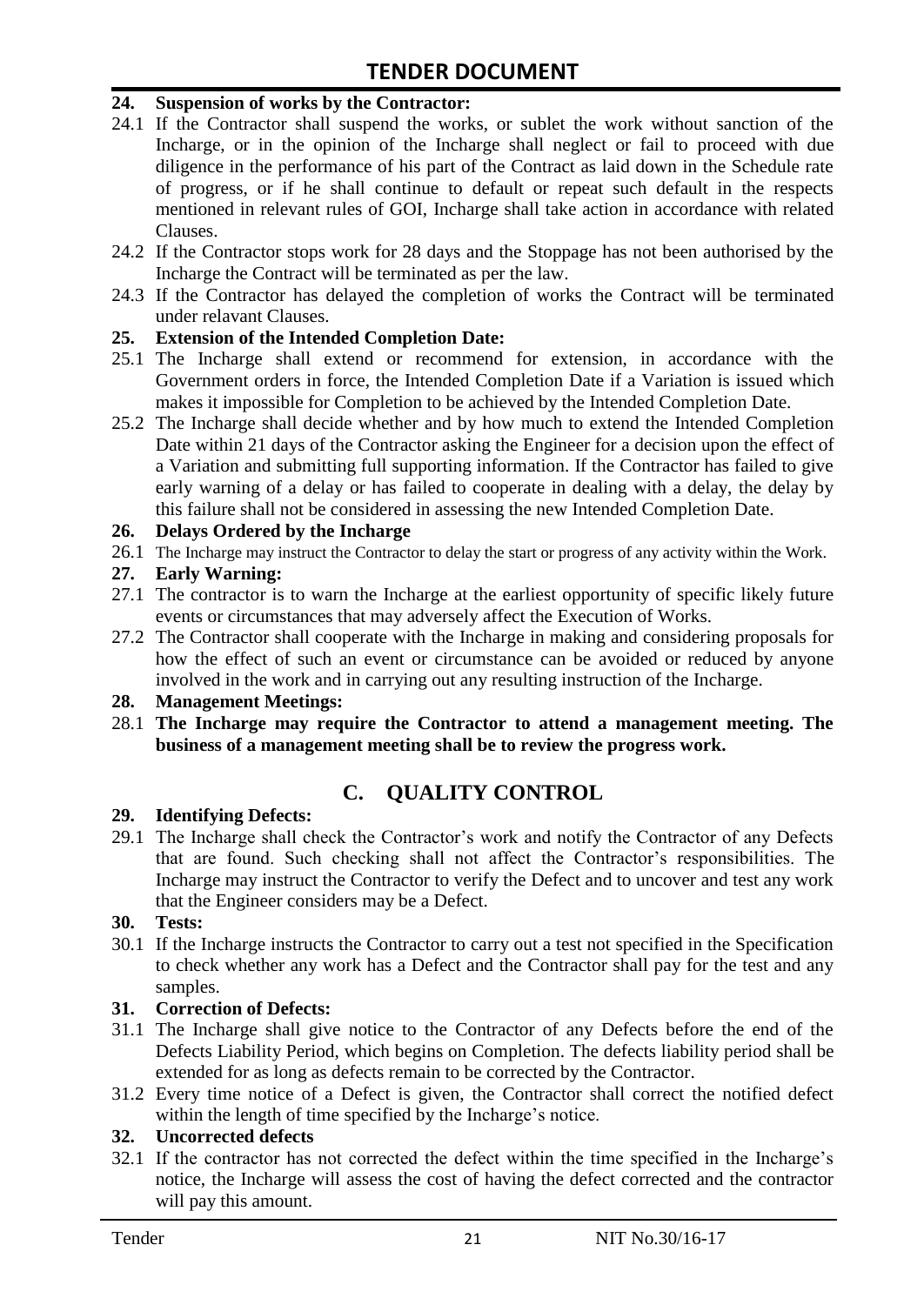#### **24. Suspension of works by the Contractor:**

- 24.1 If the Contractor shall suspend the works, or sublet the work without sanction of the Incharge, or in the opinion of the Incharge shall neglect or fail to proceed with due diligence in the performance of his part of the Contract as laid down in the Schedule rate of progress, or if he shall continue to default or repeat such default in the respects mentioned in relevant rules of GOI, Incharge shall take action in accordance with related Clauses.
- 24.2 If the Contractor stops work for 28 days and the Stoppage has not been authorised by the Incharge the Contract will be terminated as per the law.
- 24.3 If the Contractor has delayed the completion of works the Contract will be terminated under relavant Clauses.

#### **25. Extension of the Intended Completion Date:**

- 25.1 The Incharge shall extend or recommend for extension, in accordance with the Government orders in force, the Intended Completion Date if a Variation is issued which makes it impossible for Completion to be achieved by the Intended Completion Date.
- 25.2 The Incharge shall decide whether and by how much to extend the Intended Completion Date within 21 days of the Contractor asking the Engineer for a decision upon the effect of a Variation and submitting full supporting information. If the Contractor has failed to give early warning of a delay or has failed to cooperate in dealing with a delay, the delay by this failure shall not be considered in assessing the new Intended Completion Date.

#### **26. Delays Ordered by the Incharge**

26.1 The Incharge may instruct the Contractor to delay the start or progress of any activity within the Work.

#### **27. Early Warning:**

- 27.1 The contractor is to warn the Incharge at the earliest opportunity of specific likely future events or circumstances that may adversely affect the Execution of Works.
- 27.2 The Contractor shall cooperate with the Incharge in making and considering proposals for how the effect of such an event or circumstance can be avoided or reduced by anyone involved in the work and in carrying out any resulting instruction of the Incharge.

#### **28. Management Meetings:**

28.1 **The Incharge may require the Contractor to attend a management meeting. The business of a management meeting shall be to review the progress work.**

### **C. QUALITY CONTROL**

#### **29. Identifying Defects:**

29.1 The Incharge shall check the Contractor's work and notify the Contractor of any Defects that are found. Such checking shall not affect the Contractor"s responsibilities. The Incharge may instruct the Contractor to verify the Defect and to uncover and test any work that the Engineer considers may be a Defect.

#### **30. Tests:**

30.1 If the Incharge instructs the Contractor to carry out a test not specified in the Specification to check whether any work has a Defect and the Contractor shall pay for the test and any samples.

#### **31. Correction of Defects:**

- 31.1 The Incharge shall give notice to the Contractor of any Defects before the end of the Defects Liability Period, which begins on Completion. The defects liability period shall be extended for as long as defects remain to be corrected by the Contractor.
- 31.2 Every time notice of a Defect is given, the Contractor shall correct the notified defect within the length of time specified by the Incharge's notice.

#### **32. Uncorrected defects**

32.1 If the contractor has not corrected the defect within the time specified in the Incharge"s notice, the Incharge will assess the cost of having the defect corrected and the contractor will pay this amount.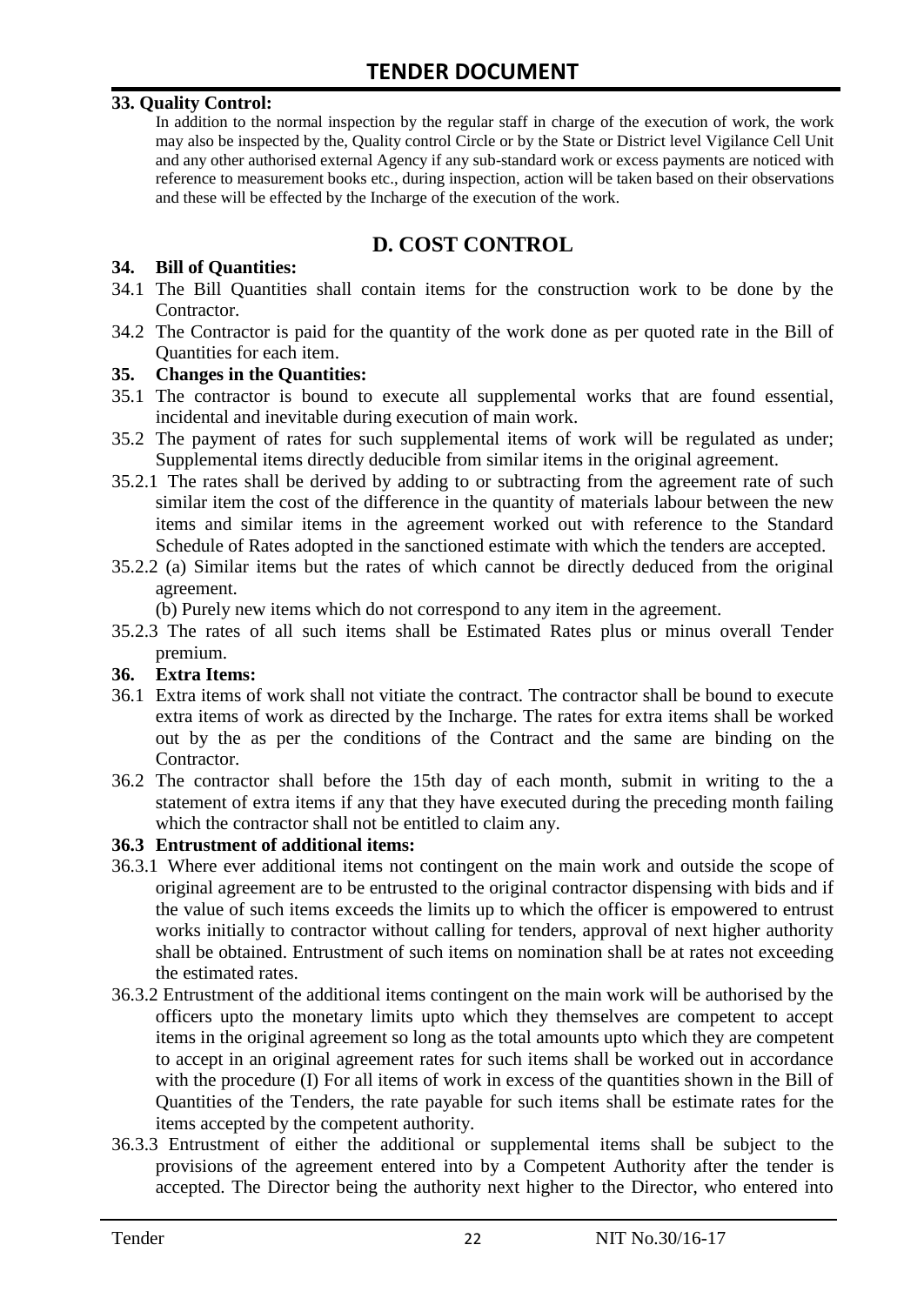#### **33. Quality Control:**

In addition to the normal inspection by the regular staff in charge of the execution of work, the work may also be inspected by the, Quality control Circle or by the State or District level Vigilance Cell Unit and any other authorised external Agency if any sub-standard work or excess payments are noticed with reference to measurement books etc., during inspection, action will be taken based on their observations and these will be effected by the Incharge of the execution of the work.

# **D. COST CONTROL**

#### **34. Bill of Quantities:**

- 34.1 The Bill Quantities shall contain items for the construction work to be done by the Contractor.
- 34.2 The Contractor is paid for the quantity of the work done as per quoted rate in the Bill of Quantities for each item.

#### **35. Changes in the Quantities:**

- 35.1 The contractor is bound to execute all supplemental works that are found essential, incidental and inevitable during execution of main work.
- 35.2 The payment of rates for such supplemental items of work will be regulated as under; Supplemental items directly deducible from similar items in the original agreement.
- 35.2.1 The rates shall be derived by adding to or subtracting from the agreement rate of such similar item the cost of the difference in the quantity of materials labour between the new items and similar items in the agreement worked out with reference to the Standard Schedule of Rates adopted in the sanctioned estimate with which the tenders are accepted.
- 35.2.2 (a) Similar items but the rates of which cannot be directly deduced from the original agreement.

(b) Purely new items which do not correspond to any item in the agreement.

35.2.3 The rates of all such items shall be Estimated Rates plus or minus overall Tender premium.

#### **36. Extra Items:**

- 36.1 Extra items of work shall not vitiate the contract. The contractor shall be bound to execute extra items of work as directed by the Incharge. The rates for extra items shall be worked out by the as per the conditions of the Contract and the same are binding on the Contractor.
- 36.2 The contractor shall before the 15th day of each month, submit in writing to the a statement of extra items if any that they have executed during the preceding month failing which the contractor shall not be entitled to claim any.

#### **36.3 Entrustment of additional items:**

- 36.3.1 Where ever additional items not contingent on the main work and outside the scope of original agreement are to be entrusted to the original contractor dispensing with bids and if the value of such items exceeds the limits up to which the officer is empowered to entrust works initially to contractor without calling for tenders, approval of next higher authority shall be obtained. Entrustment of such items on nomination shall be at rates not exceeding the estimated rates.
- 36.3.2 Entrustment of the additional items contingent on the main work will be authorised by the officers upto the monetary limits upto which they themselves are competent to accept items in the original agreement so long as the total amounts upto which they are competent to accept in an original agreement rates for such items shall be worked out in accordance with the procedure (I) For all items of work in excess of the quantities shown in the Bill of Quantities of the Tenders, the rate payable for such items shall be estimate rates for the items accepted by the competent authority.
- 36.3.3 Entrustment of either the additional or supplemental items shall be subject to the provisions of the agreement entered into by a Competent Authority after the tender is accepted. The Director being the authority next higher to the Director, who entered into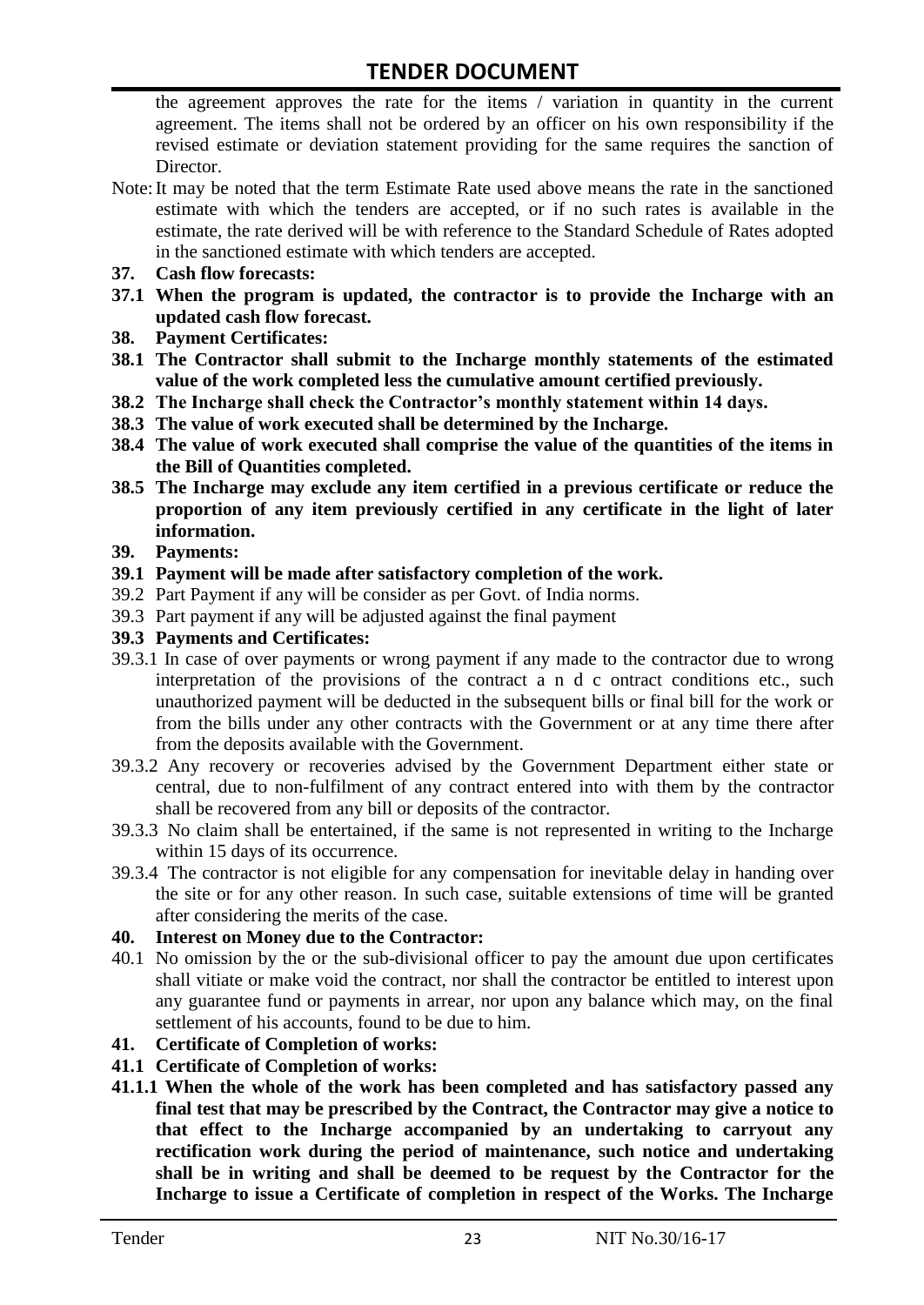the agreement approves the rate for the items / variation in quantity in the current agreement. The items shall not be ordered by an officer on his own responsibility if the revised estimate or deviation statement providing for the same requires the sanction of Director.

- Note:It may be noted that the term Estimate Rate used above means the rate in the sanctioned estimate with which the tenders are accepted, or if no such rates is available in the estimate, the rate derived will be with reference to the Standard Schedule of Rates adopted in the sanctioned estimate with which tenders are accepted.
- **37. Cash flow forecasts:**
- **37.1 When the program is updated, the contractor is to provide the Incharge with an updated cash flow forecast.**
- **38. Payment Certificates:**
- **38.1 The Contractor shall submit to the Incharge monthly statements of the estimated value of the work completed less the cumulative amount certified previously.**
- **38.2 The Incharge shall check the Contractor's monthly statement within 14 days.**
- **38.3 The value of work executed shall be determined by the Incharge.**
- **38.4 The value of work executed shall comprise the value of the quantities of the items in the Bill of Quantities completed.**
- **38.5 The Incharge may exclude any item certified in a previous certificate or reduce the proportion of any item previously certified in any certificate in the light of later information.**
- **39. Payments:**
- **39.1 Payment will be made after satisfactory completion of the work.**
- 39.2 Part Payment if any will be consider as per Govt. of India norms.
- 39.3 Part payment if any will be adjusted against the final payment
- **39.3 Payments and Certificates:**
- 39.3.1 In case of over payments or wrong payment if any made to the contractor due to wrong interpretation of the provisions of the contract a n d c ontract conditions etc., such unauthorized payment will be deducted in the subsequent bills or final bill for the work or from the bills under any other contracts with the Government or at any time there after from the deposits available with the Government.
- 39.3.2 Any recovery or recoveries advised by the Government Department either state or central, due to non-fulfilment of any contract entered into with them by the contractor shall be recovered from any bill or deposits of the contractor.
- 39.3.3 No claim shall be entertained, if the same is not represented in writing to the Incharge within 15 days of its occurrence.
- 39.3.4 The contractor is not eligible for any compensation for inevitable delay in handing over the site or for any other reason. In such case, suitable extensions of time will be granted after considering the merits of the case.

#### **40. Interest on Money due to the Contractor:**

- 40.1 No omission by the or the sub-divisional officer to pay the amount due upon certificates shall vitiate or make void the contract, nor shall the contractor be entitled to interest upon any guarantee fund or payments in arrear, nor upon any balance which may, on the final settlement of his accounts, found to be due to him.
- **41. Certificate of Completion of works:**
- **41.1 Certificate of Completion of works:**
- **41.1.1 When the whole of the work has been completed and has satisfactory passed any final test that may be prescribed by the Contract, the Contractor may give a notice to that effect to the Incharge accompanied by an undertaking to carryout any rectification work during the period of maintenance, such notice and undertaking shall be in writing and shall be deemed to be request by the Contractor for the Incharge to issue a Certificate of completion in respect of the Works. The Incharge**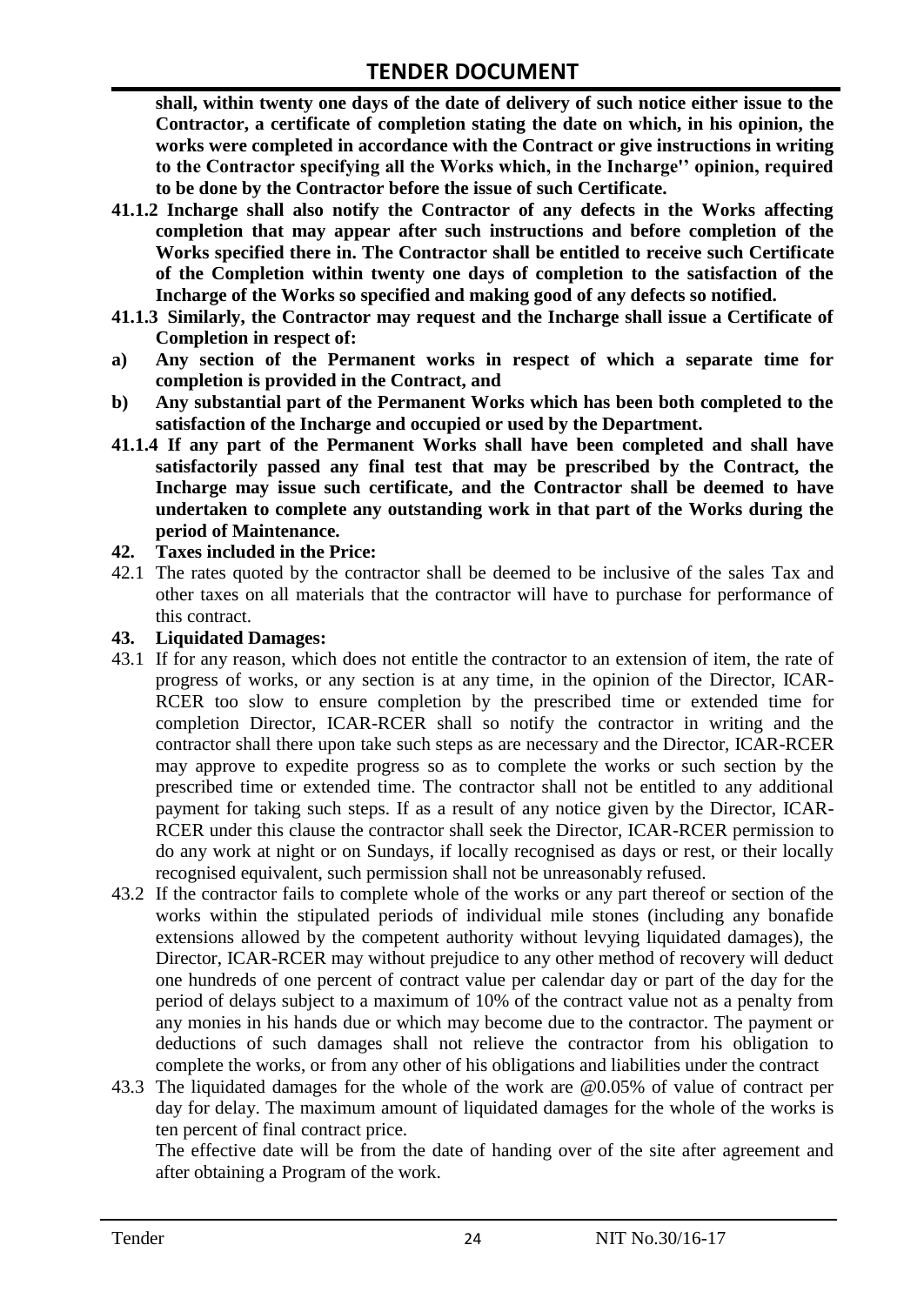**shall, within twenty one days of the date of delivery of such notice either issue to the Contractor, a certificate of completion stating the date on which, in his opinion, the works were completed in accordance with the Contract or give instructions in writing to the Contractor specifying all the Works which, in the Incharge'' opinion, required to be done by the Contractor before the issue of such Certificate.**

- **41.1.2 Incharge shall also notify the Contractor of any defects in the Works affecting completion that may appear after such instructions and before completion of the Works specified there in. The Contractor shall be entitled to receive such Certificate of the Completion within twenty one days of completion to the satisfaction of the Incharge of the Works so specified and making good of any defects so notified.**
- **41.1.3 Similarly, the Contractor may request and the Incharge shall issue a Certificate of Completion in respect of:**
- **a) Any section of the Permanent works in respect of which a separate time for completion is provided in the Contract, and**
- **b) Any substantial part of the Permanent Works which has been both completed to the satisfaction of the Incharge and occupied or used by the Department.**
- **41.1.4 If any part of the Permanent Works shall have been completed and shall have satisfactorily passed any final test that may be prescribed by the Contract, the Incharge may issue such certificate, and the Contractor shall be deemed to have undertaken to complete any outstanding work in that part of the Works during the period of Maintenance.**

#### **42. Taxes included in the Price:**

42.1 The rates quoted by the contractor shall be deemed to be inclusive of the sales Tax and other taxes on all materials that the contractor will have to purchase for performance of this contract.

#### **43. Liquidated Damages:**

- 43.1 If for any reason, which does not entitle the contractor to an extension of item, the rate of progress of works, or any section is at any time, in the opinion of the Director, ICAR-RCER too slow to ensure completion by the prescribed time or extended time for completion Director, ICAR-RCER shall so notify the contractor in writing and the contractor shall there upon take such steps as are necessary and the Director, ICAR-RCER may approve to expedite progress so as to complete the works or such section by the prescribed time or extended time. The contractor shall not be entitled to any additional payment for taking such steps. If as a result of any notice given by the Director, ICAR-RCER under this clause the contractor shall seek the Director, ICAR-RCER permission to do any work at night or on Sundays, if locally recognised as days or rest, or their locally recognised equivalent, such permission shall not be unreasonably refused.
- 43.2 If the contractor fails to complete whole of the works or any part thereof or section of the works within the stipulated periods of individual mile stones (including any bonafide extensions allowed by the competent authority without levying liquidated damages), the Director, ICAR-RCER may without prejudice to any other method of recovery will deduct one hundreds of one percent of contract value per calendar day or part of the day for the period of delays subject to a maximum of 10% of the contract value not as a penalty from any monies in his hands due or which may become due to the contractor. The payment or deductions of such damages shall not relieve the contractor from his obligation to complete the works, or from any other of his obligations and liabilities under the contract
- 43.3 The liquidated damages for the whole of the work are @0.05% of value of contract per day for delay. The maximum amount of liquidated damages for the whole of the works is ten percent of final contract price.

The effective date will be from the date of handing over of the site after agreement and after obtaining a Program of the work.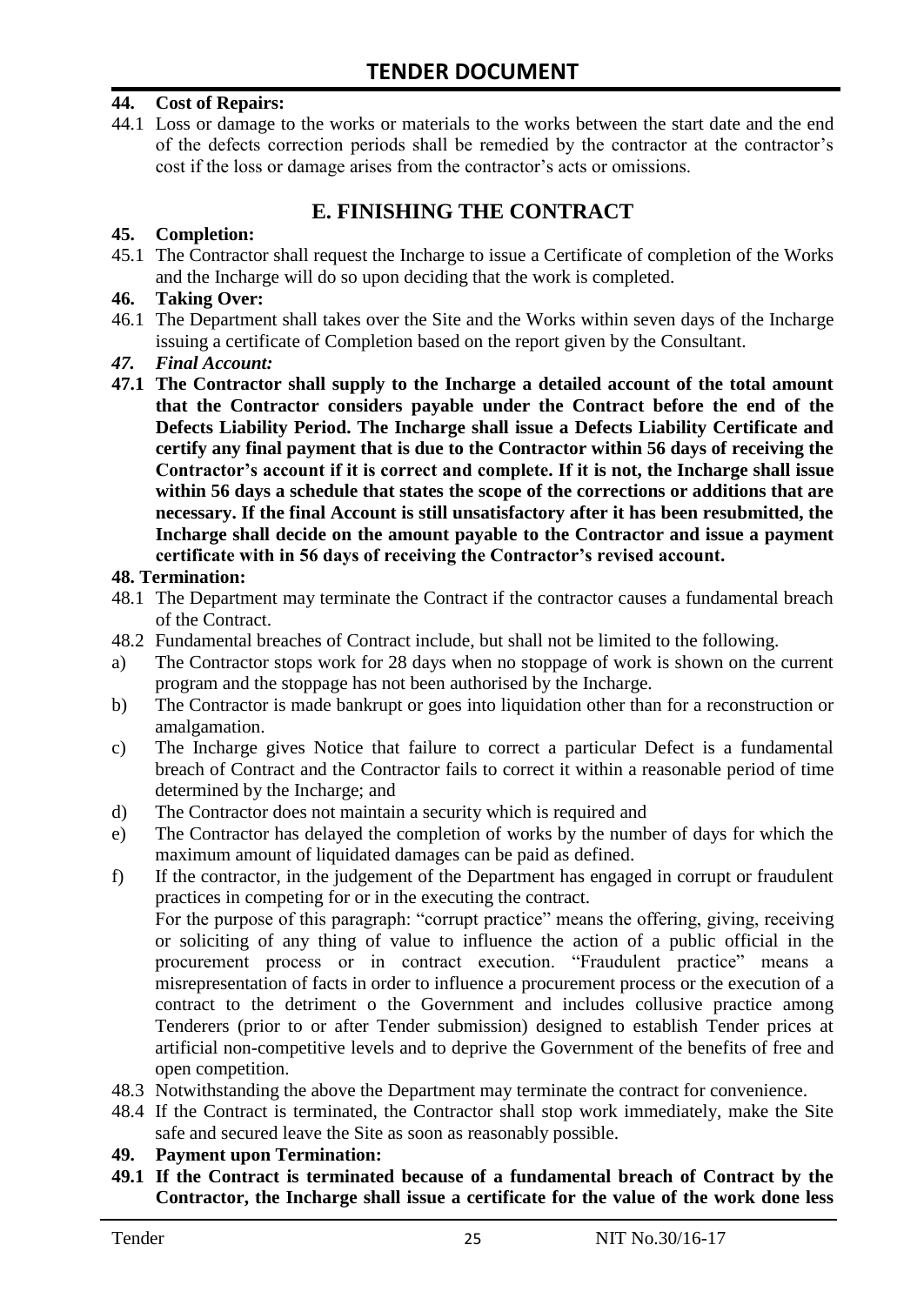#### **44. Cost of Repairs:**

44.1 Loss or damage to the works or materials to the works between the start date and the end of the defects correction periods shall be remedied by the contractor at the contractor"s cost if the loss or damage arises from the contractor's acts or omissions.

# **E. FINISHING THE CONTRACT**

#### **45. Completion:**

45.1 The Contractor shall request the Incharge to issue a Certificate of completion of the Works and the Incharge will do so upon deciding that the work is completed.

#### **46. Taking Over:**

- 46.1 The Department shall takes over the Site and the Works within seven days of the Incharge issuing a certificate of Completion based on the report given by the Consultant.
- *47. Final Account:*
- **47.1 The Contractor shall supply to the Incharge a detailed account of the total amount that the Contractor considers payable under the Contract before the end of the Defects Liability Period. The Incharge shall issue a Defects Liability Certificate and certify any final payment that is due to the Contractor within 56 days of receiving the Contractor's account if it is correct and complete. If it is not, the Incharge shall issue within 56 days a schedule that states the scope of the corrections or additions that are necessary. If the final Account is still unsatisfactory after it has been resubmitted, the Incharge shall decide on the amount payable to the Contractor and issue a payment certificate with in 56 days of receiving the Contractor's revised account.**

#### **48. Termination:**

- 48.1 The Department may terminate the Contract if the contractor causes a fundamental breach of the Contract.
- 48.2 Fundamental breaches of Contract include, but shall not be limited to the following.
- a) The Contractor stops work for 28 days when no stoppage of work is shown on the current program and the stoppage has not been authorised by the Incharge.
- b) The Contractor is made bankrupt or goes into liquidation other than for a reconstruction or amalgamation.
- c) The Incharge gives Notice that failure to correct a particular Defect is a fundamental breach of Contract and the Contractor fails to correct it within a reasonable period of time determined by the Incharge; and
- d) The Contractor does not maintain a security which is required and
- e) The Contractor has delayed the completion of works by the number of days for which the maximum amount of liquidated damages can be paid as defined.
- f) If the contractor, in the judgement of the Department has engaged in corrupt or fraudulent practices in competing for or in the executing the contract.

For the purpose of this paragraph: "corrupt practice" means the offering, giving, receiving or soliciting of any thing of value to influence the action of a public official in the procurement process or in contract execution. "Fraudulent practice" means a misrepresentation of facts in order to influence a procurement process or the execution of a contract to the detriment o the Government and includes collusive practice among Tenderers (prior to or after Tender submission) designed to establish Tender prices at artificial non-competitive levels and to deprive the Government of the benefits of free and open competition.

- 48.3 Notwithstanding the above the Department may terminate the contract for convenience.
- 48.4 If the Contract is terminated, the Contractor shall stop work immediately, make the Site safe and secured leave the Site as soon as reasonably possible.

#### **49. Payment upon Termination:**

**49.1 If the Contract is terminated because of a fundamental breach of Contract by the Contractor, the Incharge shall issue a certificate for the value of the work done less**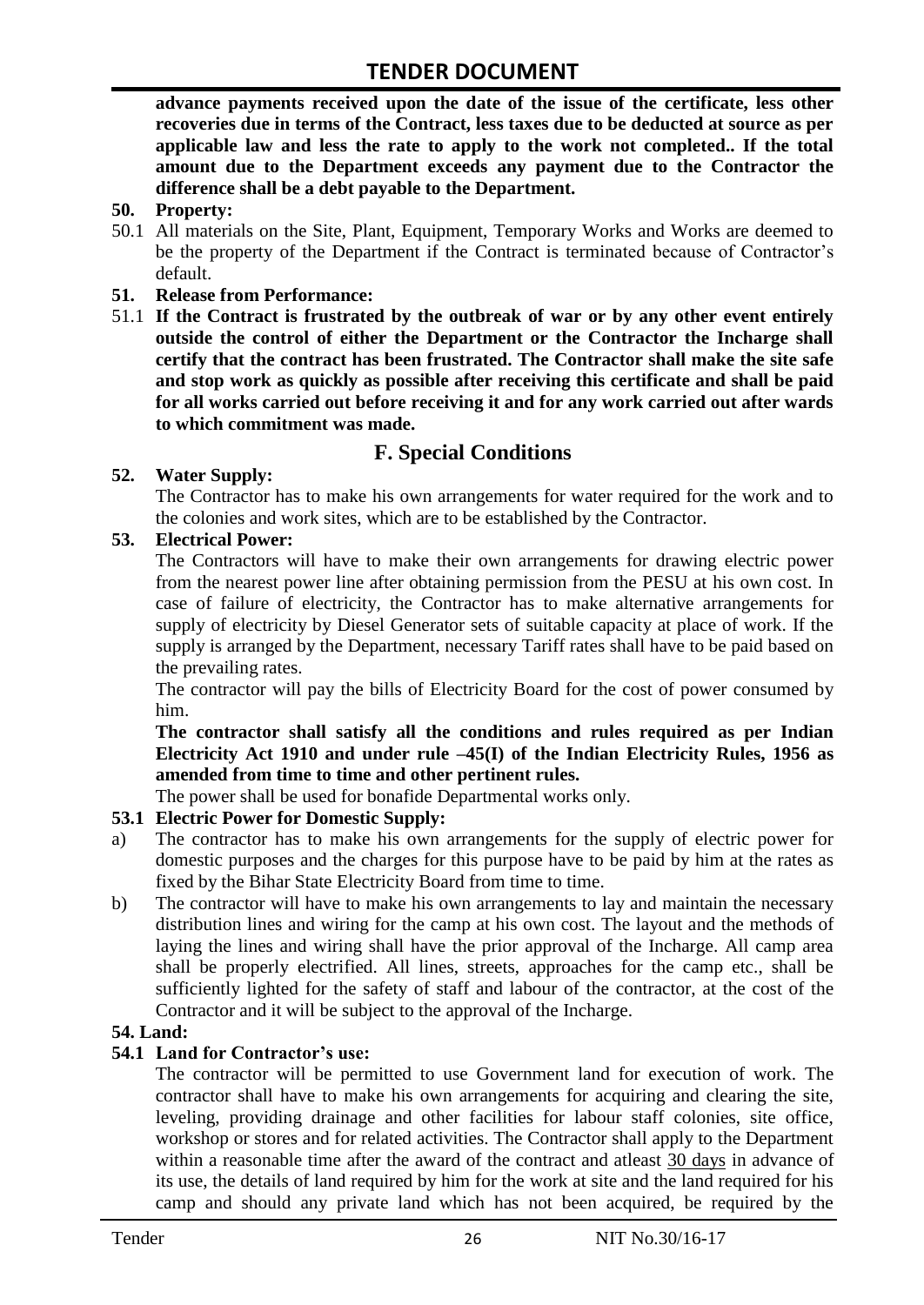**advance payments received upon the date of the issue of the certificate, less other recoveries due in terms of the Contract, less taxes due to be deducted at source as per applicable law and less the rate to apply to the work not completed.. If the total amount due to the Department exceeds any payment due to the Contractor the difference shall be a debt payable to the Department.**

- **50. Property:**
- 50.1 All materials on the Site, Plant, Equipment, Temporary Works and Works are deemed to be the property of the Department if the Contract is terminated because of Contractor's default.
- **51. Release from Performance:**
- 51.1 **If the Contract is frustrated by the outbreak of war or by any other event entirely outside the control of either the Department or the Contractor the Incharge shall certify that the contract has been frustrated. The Contractor shall make the site safe and stop work as quickly as possible after receiving this certificate and shall be paid for all works carried out before receiving it and for any work carried out after wards to which commitment was made.**

# **F. Special Conditions**

#### **52. Water Supply:**

The Contractor has to make his own arrangements for water required for the work and to the colonies and work sites, which are to be established by the Contractor.

#### **53. Electrical Power:**

The Contractors will have to make their own arrangements for drawing electric power from the nearest power line after obtaining permission from the PESU at his own cost. In case of failure of electricity, the Contractor has to make alternative arrangements for supply of electricity by Diesel Generator sets of suitable capacity at place of work. If the supply is arranged by the Department, necessary Tariff rates shall have to be paid based on the prevailing rates.

The contractor will pay the bills of Electricity Board for the cost of power consumed by him.

**The contractor shall satisfy all the conditions and rules required as per Indian Electricity Act 1910 and under rule –45(I) of the Indian Electricity Rules, 1956 as amended from time to time and other pertinent rules.**

The power shall be used for bonafide Departmental works only.

#### **53.1 Electric Power for Domestic Supply:**

- a) The contractor has to make his own arrangements for the supply of electric power for domestic purposes and the charges for this purpose have to be paid by him at the rates as fixed by the Bihar State Electricity Board from time to time.
- b) The contractor will have to make his own arrangements to lay and maintain the necessary distribution lines and wiring for the camp at his own cost. The layout and the methods of laying the lines and wiring shall have the prior approval of the Incharge. All camp area shall be properly electrified. All lines, streets, approaches for the camp etc., shall be sufficiently lighted for the safety of staff and labour of the contractor, at the cost of the Contractor and it will be subject to the approval of the Incharge.

#### **54. Land:**

#### **54.1 Land for Contractor's use:**

The contractor will be permitted to use Government land for execution of work. The contractor shall have to make his own arrangements for acquiring and clearing the site, leveling, providing drainage and other facilities for labour staff colonies, site office, workshop or stores and for related activities. The Contractor shall apply to the Department within a reasonable time after the award of the contract and atleast 30 days in advance of its use, the details of land required by him for the work at site and the land required for his camp and should any private land which has not been acquired, be required by the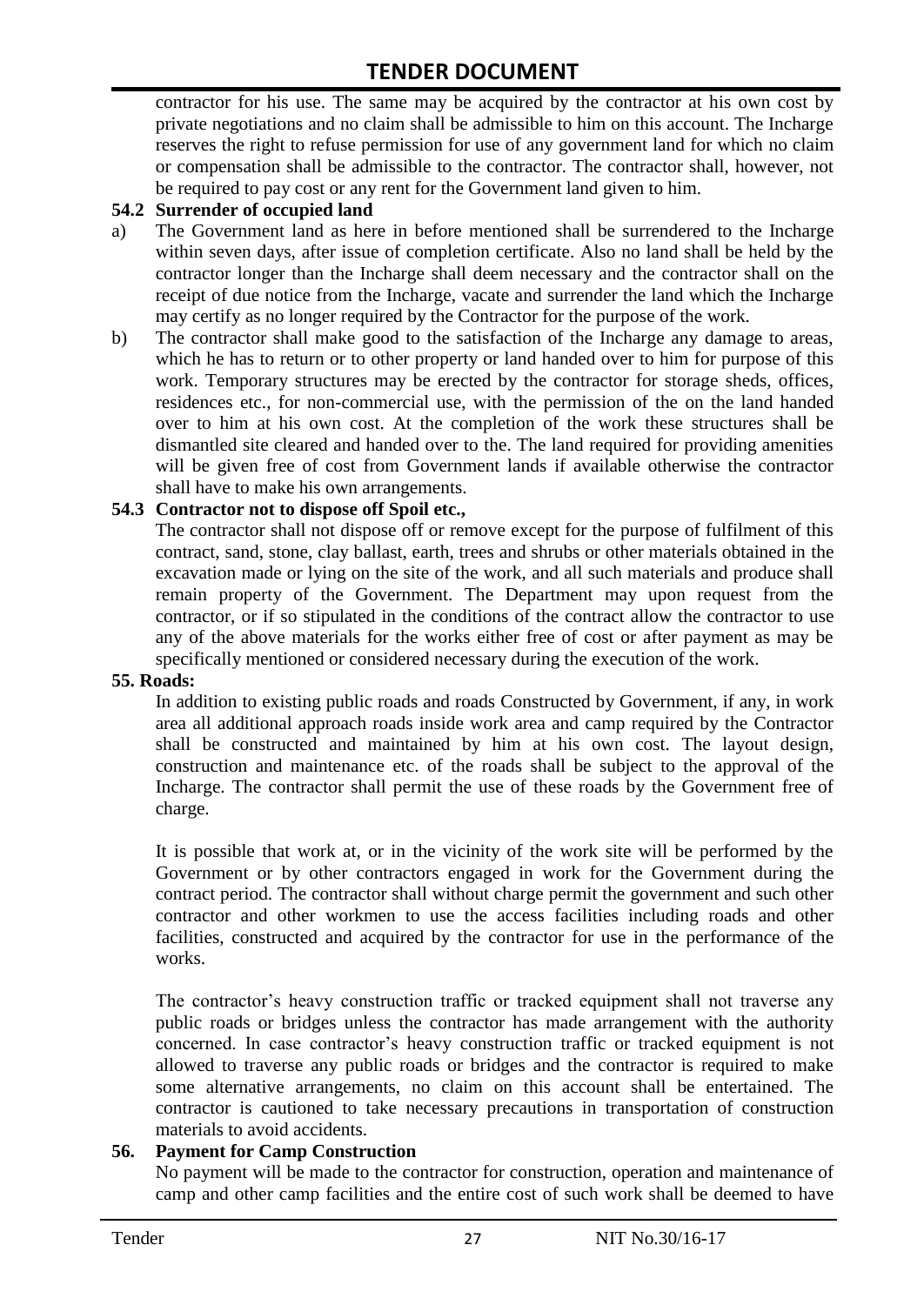contractor for his use. The same may be acquired by the contractor at his own cost by private negotiations and no claim shall be admissible to him on this account. The Incharge reserves the right to refuse permission for use of any government land for which no claim or compensation shall be admissible to the contractor. The contractor shall, however, not be required to pay cost or any rent for the Government land given to him.

#### **54.2 Surrender of occupied land**

- a) The Government land as here in before mentioned shall be surrendered to the Incharge within seven days, after issue of completion certificate. Also no land shall be held by the contractor longer than the Incharge shall deem necessary and the contractor shall on the receipt of due notice from the Incharge, vacate and surrender the land which the Incharge may certify as no longer required by the Contractor for the purpose of the work.
- b) The contractor shall make good to the satisfaction of the Incharge any damage to areas, which he has to return or to other property or land handed over to him for purpose of this work. Temporary structures may be erected by the contractor for storage sheds, offices, residences etc., for non-commercial use, with the permission of the on the land handed over to him at his own cost. At the completion of the work these structures shall be dismantled site cleared and handed over to the. The land required for providing amenities will be given free of cost from Government lands if available otherwise the contractor shall have to make his own arrangements.

#### **54.3 Contractor not to dispose off Spoil etc.,**

The contractor shall not dispose off or remove except for the purpose of fulfilment of this contract, sand, stone, clay ballast, earth, trees and shrubs or other materials obtained in the excavation made or lying on the site of the work, and all such materials and produce shall remain property of the Government. The Department may upon request from the contractor, or if so stipulated in the conditions of the contract allow the contractor to use any of the above materials for the works either free of cost or after payment as may be specifically mentioned or considered necessary during the execution of the work.

#### **55. Roads:**

In addition to existing public roads and roads Constructed by Government, if any, in work area all additional approach roads inside work area and camp required by the Contractor shall be constructed and maintained by him at his own cost. The layout design, construction and maintenance etc. of the roads shall be subject to the approval of the Incharge. The contractor shall permit the use of these roads by the Government free of charge.

It is possible that work at, or in the vicinity of the work site will be performed by the Government or by other contractors engaged in work for the Government during the contract period. The contractor shall without charge permit the government and such other contractor and other workmen to use the access facilities including roads and other facilities, constructed and acquired by the contractor for use in the performance of the works.

The contractor's heavy construction traffic or tracked equipment shall not traverse any public roads or bridges unless the contractor has made arrangement with the authority concerned. In case contractor"s heavy construction traffic or tracked equipment is not allowed to traverse any public roads or bridges and the contractor is required to make some alternative arrangements, no claim on this account shall be entertained. The contractor is cautioned to take necessary precautions in transportation of construction materials to avoid accidents.

#### **56. Payment for Camp Construction**

No payment will be made to the contractor for construction, operation and maintenance of camp and other camp facilities and the entire cost of such work shall be deemed to have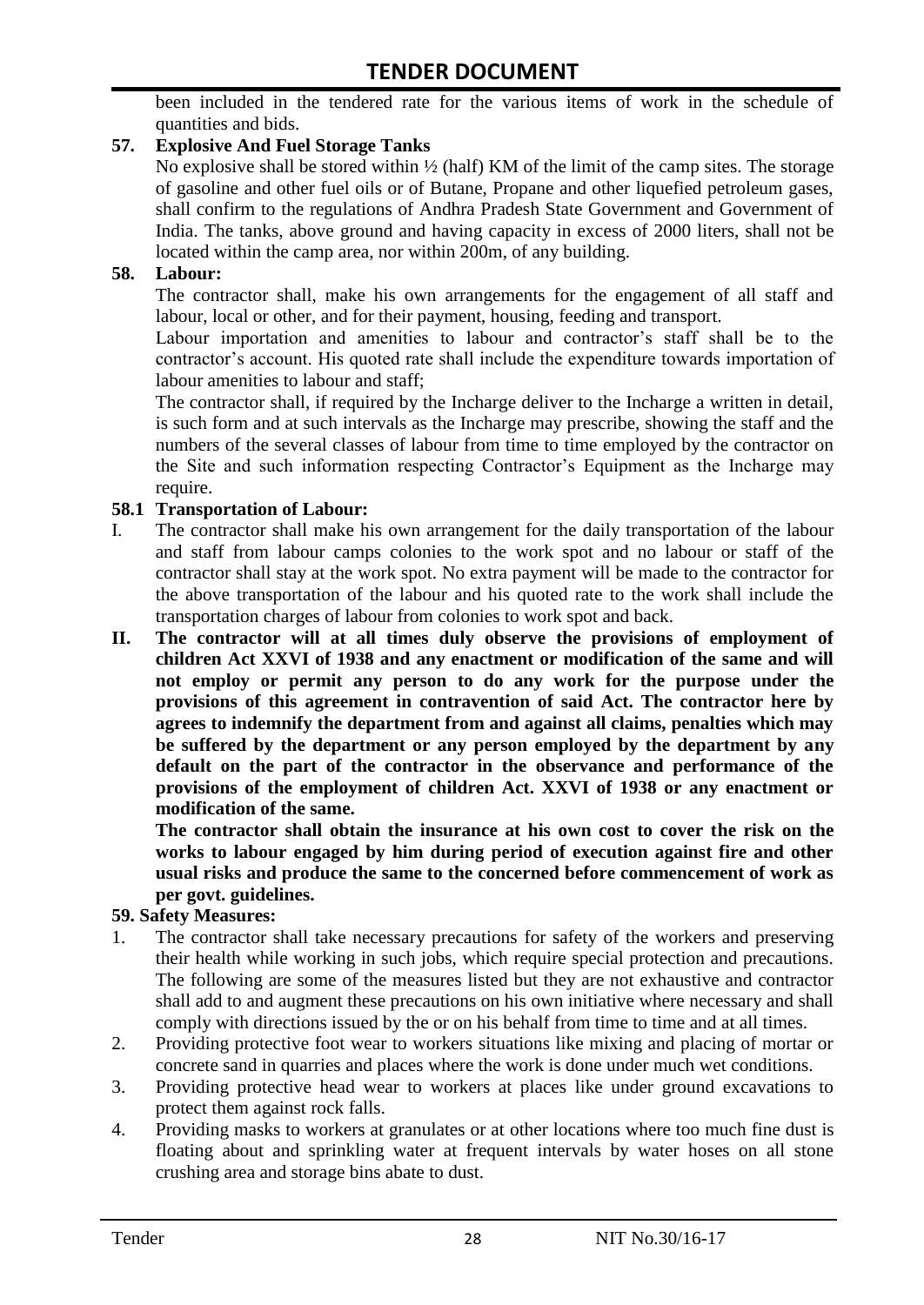been included in the tendered rate for the various items of work in the schedule of quantities and bids.

#### **57. Explosive And Fuel Storage Tanks**

No explosive shall be stored within  $\frac{1}{2}$  (half) KM of the limit of the camp sites. The storage of gasoline and other fuel oils or of Butane, Propane and other liquefied petroleum gases, shall confirm to the regulations of Andhra Pradesh State Government and Government of India. The tanks, above ground and having capacity in excess of 2000 liters, shall not be located within the camp area, nor within 200m, of any building.

#### **58. Labour:**

The contractor shall, make his own arrangements for the engagement of all staff and labour, local or other, and for their payment, housing, feeding and transport.

Labour importation and amenities to labour and contractor's staff shall be to the contractor's account. His quoted rate shall include the expenditure towards importation of labour amenities to labour and staff;

The contractor shall, if required by the Incharge deliver to the Incharge a written in detail, is such form and at such intervals as the Incharge may prescribe, showing the staff and the numbers of the several classes of labour from time to time employed by the contractor on the Site and such information respecting Contractor"s Equipment as the Incharge may require.

#### **58.1 Transportation of Labour:**

- I. The contractor shall make his own arrangement for the daily transportation of the labour and staff from labour camps colonies to the work spot and no labour or staff of the contractor shall stay at the work spot. No extra payment will be made to the contractor for the above transportation of the labour and his quoted rate to the work shall include the transportation charges of labour from colonies to work spot and back.
- **II. The contractor will at all times duly observe the provisions of employment of children Act XXVI of 1938 and any enactment or modification of the same and will not employ or permit any person to do any work for the purpose under the provisions of this agreement in contravention of said Act. The contractor here by agrees to indemnify the department from and against all claims, penalties which may be suffered by the department or any person employed by the department by any default on the part of the contractor in the observance and performance of the provisions of the employment of children Act. XXVI of 1938 or any enactment or modification of the same.**

**The contractor shall obtain the insurance at his own cost to cover the risk on the works to labour engaged by him during period of execution against fire and other usual risks and produce the same to the concerned before commencement of work as per govt. guidelines.**

#### **59. Safety Measures:**

- 1. The contractor shall take necessary precautions for safety of the workers and preserving their health while working in such jobs, which require special protection and precautions. The following are some of the measures listed but they are not exhaustive and contractor shall add to and augment these precautions on his own initiative where necessary and shall comply with directions issued by the or on his behalf from time to time and at all times.
- 2. Providing protective foot wear to workers situations like mixing and placing of mortar or concrete sand in quarries and places where the work is done under much wet conditions.
- 3. Providing protective head wear to workers at places like under ground excavations to protect them against rock falls.
- 4. Providing masks to workers at granulates or at other locations where too much fine dust is floating about and sprinkling water at frequent intervals by water hoses on all stone crushing area and storage bins abate to dust.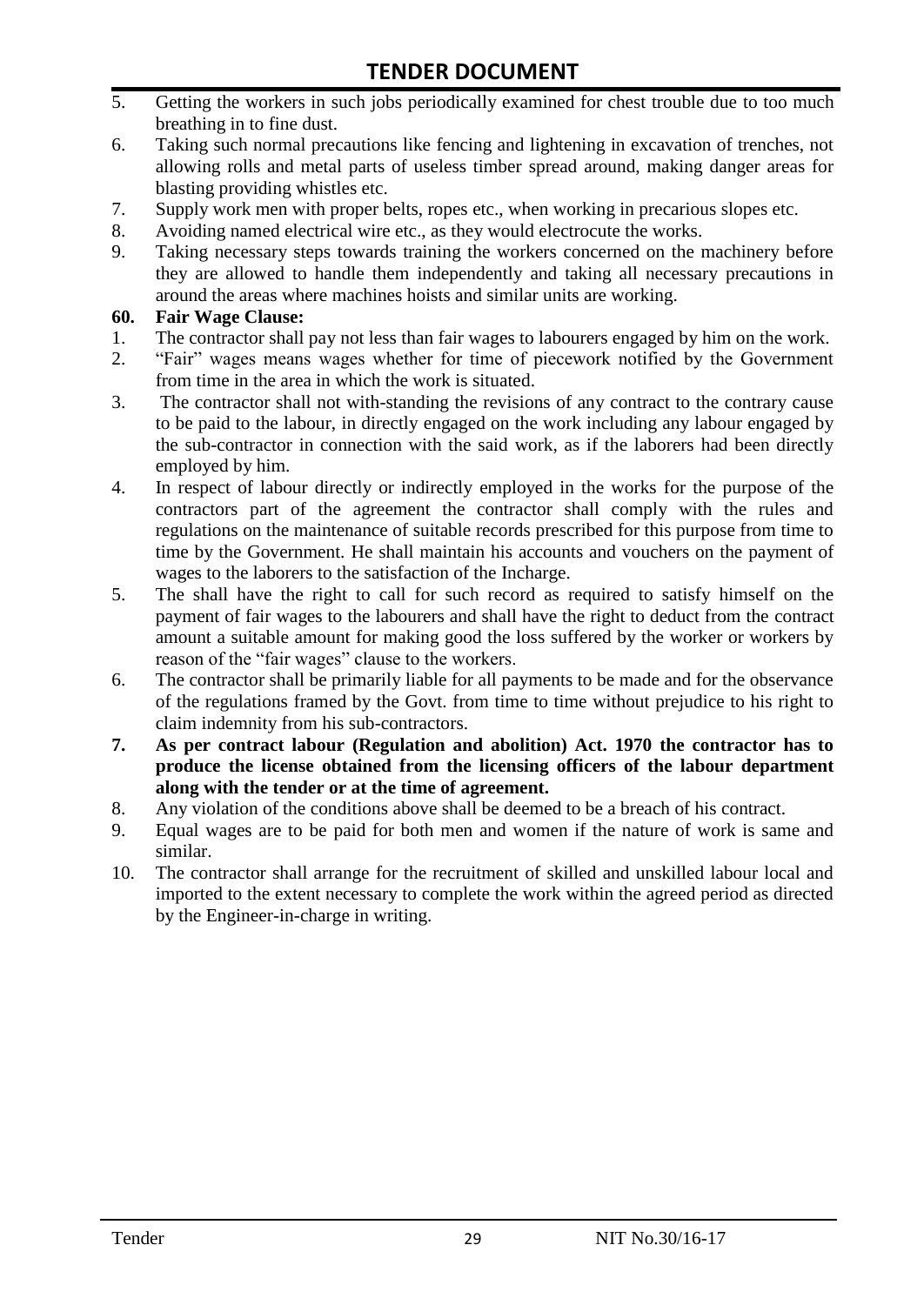- 5. Getting the workers in such jobs periodically examined for chest trouble due to too much breathing in to fine dust.
- 6. Taking such normal precautions like fencing and lightening in excavation of trenches, not allowing rolls and metal parts of useless timber spread around, making danger areas for blasting providing whistles etc.
- 7. Supply work men with proper belts, ropes etc., when working in precarious slopes etc.
- 8. Avoiding named electrical wire etc., as they would electrocute the works.
- 9. Taking necessary steps towards training the workers concerned on the machinery before they are allowed to handle them independently and taking all necessary precautions in around the areas where machines hoists and similar units are working.

#### **60. Fair Wage Clause:**

- 1. The contractor shall pay not less than fair wages to labourers engaged by him on the work.
- 2. "Fair" wages means wages whether for time of piecework notified by the Government from time in the area in which the work is situated.
- 3. The contractor shall not with-standing the revisions of any contract to the contrary cause to be paid to the labour, in directly engaged on the work including any labour engaged by the sub-contractor in connection with the said work, as if the laborers had been directly employed by him.
- 4. In respect of labour directly or indirectly employed in the works for the purpose of the contractors part of the agreement the contractor shall comply with the rules and regulations on the maintenance of suitable records prescribed for this purpose from time to time by the Government. He shall maintain his accounts and vouchers on the payment of wages to the laborers to the satisfaction of the Incharge.
- 5. The shall have the right to call for such record as required to satisfy himself on the payment of fair wages to the labourers and shall have the right to deduct from the contract amount a suitable amount for making good the loss suffered by the worker or workers by reason of the "fair wages" clause to the workers.
- 6. The contractor shall be primarily liable for all payments to be made and for the observance of the regulations framed by the Govt. from time to time without prejudice to his right to claim indemnity from his sub-contractors.
- **7. As per contract labour (Regulation and abolition) Act. 1970 the contractor has to produce the license obtained from the licensing officers of the labour department along with the tender or at the time of agreement.**
- 8. Any violation of the conditions above shall be deemed to be a breach of his contract.
- 9. Equal wages are to be paid for both men and women if the nature of work is same and similar.
- 10. The contractor shall arrange for the recruitment of skilled and unskilled labour local and imported to the extent necessary to complete the work within the agreed period as directed by the Engineer-in-charge in writing.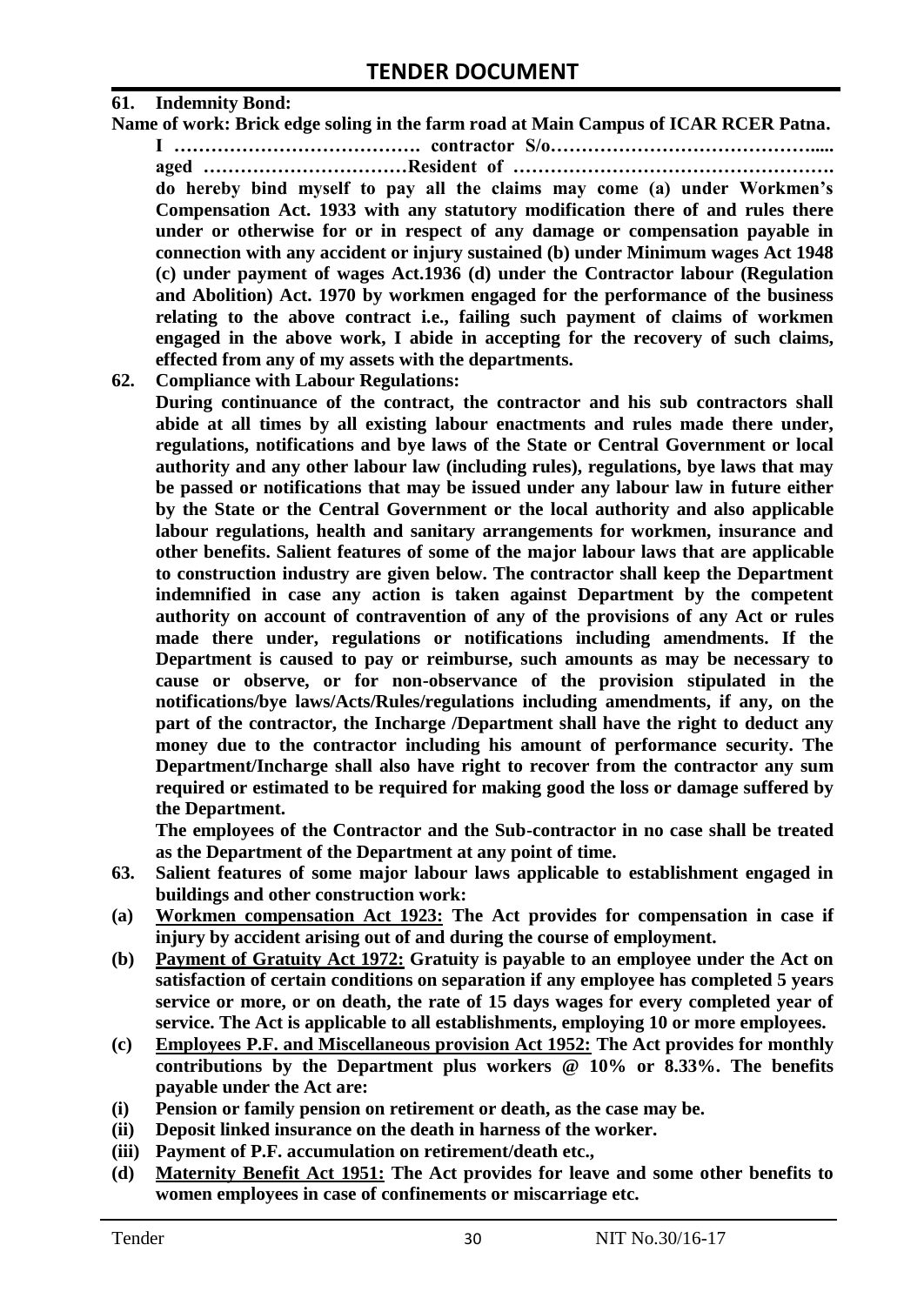#### **61. Indemnity Bond:**

**Name of work: Brick edge soling in the farm road at Main Campus of ICAR RCER Patna.**

**I …………………………………. contractor S/o……………………………………..... aged ……………………………Resident of ……………………………………………. do hereby bind myself to pay all the claims may come (a) under Workmen's Compensation Act. 1933 with any statutory modification there of and rules there under or otherwise for or in respect of any damage or compensation payable in connection with any accident or injury sustained (b) under Minimum wages Act 1948 (c) under payment of wages Act.1936 (d) under the Contractor labour (Regulation and Abolition) Act. 1970 by workmen engaged for the performance of the business relating to the above contract i.e., failing such payment of claims of workmen engaged in the above work, I abide in accepting for the recovery of such claims, effected from any of my assets with the departments.**

**62. Compliance with Labour Regulations:**

**During continuance of the contract, the contractor and his sub contractors shall abide at all times by all existing labour enactments and rules made there under, regulations, notifications and bye laws of the State or Central Government or local authority and any other labour law (including rules), regulations, bye laws that may be passed or notifications that may be issued under any labour law in future either by the State or the Central Government or the local authority and also applicable labour regulations, health and sanitary arrangements for workmen, insurance and other benefits. Salient features of some of the major labour laws that are applicable to construction industry are given below. The contractor shall keep the Department indemnified in case any action is taken against Department by the competent authority on account of contravention of any of the provisions of any Act or rules made there under, regulations or notifications including amendments. If the Department is caused to pay or reimburse, such amounts as may be necessary to cause or observe, or for non-observance of the provision stipulated in the notifications/bye laws/Acts/Rules/regulations including amendments, if any, on the part of the contractor, the Incharge /Department shall have the right to deduct any money due to the contractor including his amount of performance security. The Department/Incharge shall also have right to recover from the contractor any sum required or estimated to be required for making good the loss or damage suffered by the Department.**

**The employees of the Contractor and the Sub-contractor in no case shall be treated as the Department of the Department at any point of time.**

- **63. Salient features of some major labour laws applicable to establishment engaged in buildings and other construction work:**
- **(a) Workmen compensation Act 1923: The Act provides for compensation in case if injury by accident arising out of and during the course of employment.**
- **(b) Payment of Gratuity Act 1972: Gratuity is payable to an employee under the Act on satisfaction of certain conditions on separation if any employee has completed 5 years service or more, or on death, the rate of 15 days wages for every completed year of service. The Act is applicable to all establishments, employing 10 or more employees.**
- **(c) Employees P.F. and Miscellaneous provision Act 1952: The Act provides for monthly contributions by the Department plus workers @ 10% or 8.33%. The benefits payable under the Act are:**
- **(i) Pension or family pension on retirement or death, as the case may be.**
- **(ii) Deposit linked insurance on the death in harness of the worker.**
- **(iii) Payment of P.F. accumulation on retirement/death etc.,**
- **(d) Maternity Benefit Act 1951: The Act provides for leave and some other benefits to women employees in case of confinements or miscarriage etc.**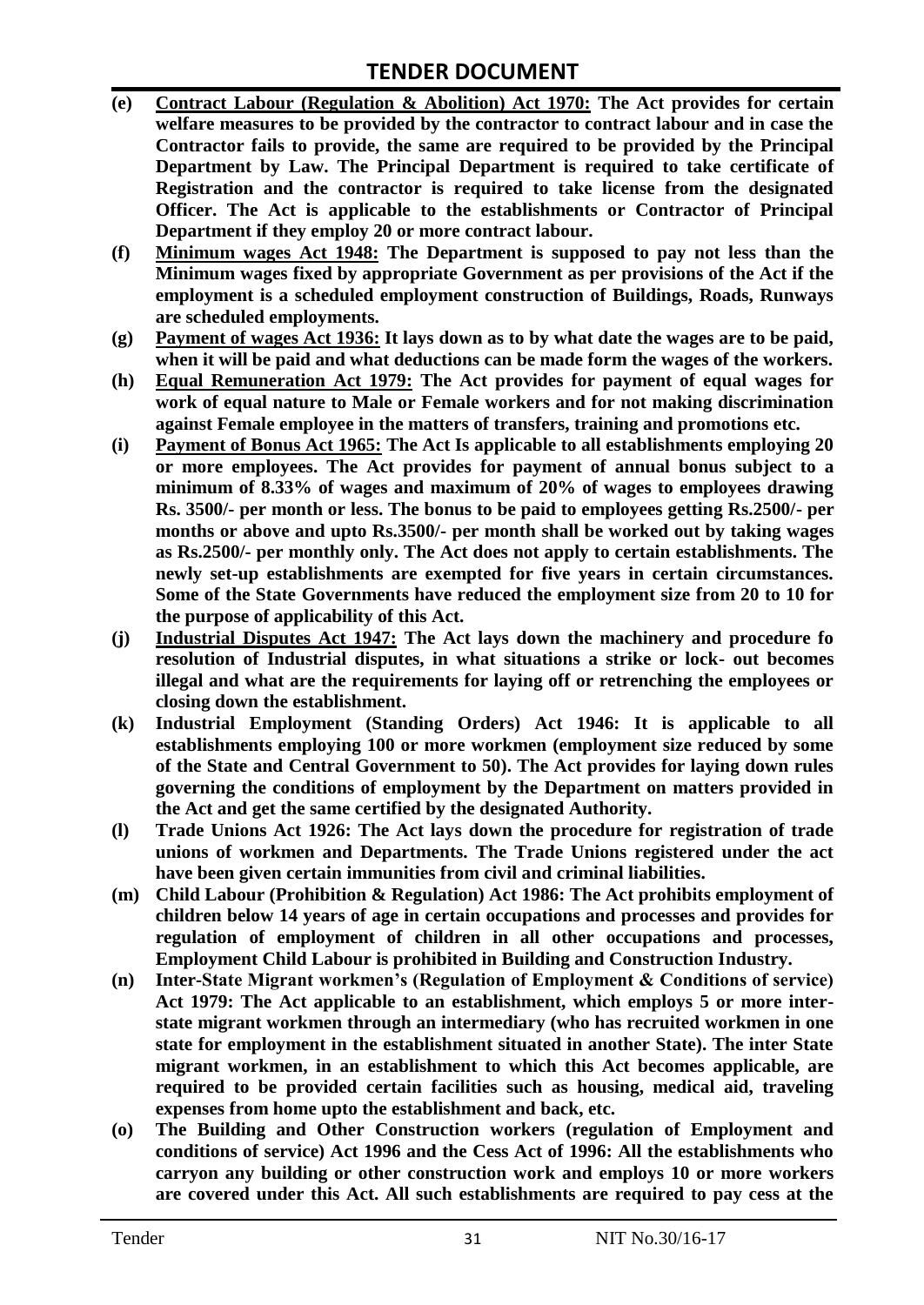# **TENDER DOCUMENT**

- **(e) Contract Labour (Regulation & Abolition) Act 1970: The Act provides for certain welfare measures to be provided by the contractor to contract labour and in case the Contractor fails to provide, the same are required to be provided by the Principal Department by Law. The Principal Department is required to take certificate of Registration and the contractor is required to take license from the designated Officer. The Act is applicable to the establishments or Contractor of Principal Department if they employ 20 or more contract labour.**
- **(f) Minimum wages Act 1948: The Department is supposed to pay not less than the Minimum wages fixed by appropriate Government as per provisions of the Act if the employment is a scheduled employment construction of Buildings, Roads, Runways are scheduled employments.**
- **(g) Payment of wages Act 1936: It lays down as to by what date the wages are to be paid, when it will be paid and what deductions can be made form the wages of the workers.**
- **(h) Equal Remuneration Act 1979: The Act provides for payment of equal wages for work of equal nature to Male or Female workers and for not making discrimination against Female employee in the matters of transfers, training and promotions etc.**
- **(i) Payment of Bonus Act 1965: The Act Is applicable to all establishments employing 20 or more employees. The Act provides for payment of annual bonus subject to a minimum of 8.33% of wages and maximum of 20% of wages to employees drawing Rs. 3500/- per month or less. The bonus to be paid to employees getting Rs.2500/- per months or above and upto Rs.3500/- per month shall be worked out by taking wages as Rs.2500/- per monthly only. The Act does not apply to certain establishments. The newly set-up establishments are exempted for five years in certain circumstances. Some of the State Governments have reduced the employment size from 20 to 10 for the purpose of applicability of this Act.**
- **(j) Industrial Disputes Act 1947: The Act lays down the machinery and procedure fo resolution of Industrial disputes, in what situations a strike or lock- out becomes illegal and what are the requirements for laying off or retrenching the employees or closing down the establishment.**
- **(k) Industrial Employment (Standing Orders) Act 1946: It is applicable to all establishments employing 100 or more workmen (employment size reduced by some of the State and Central Government to 50). The Act provides for laying down rules governing the conditions of employment by the Department on matters provided in the Act and get the same certified by the designated Authority.**
- **(l) Trade Unions Act 1926: The Act lays down the procedure for registration of trade unions of workmen and Departments. The Trade Unions registered under the act have been given certain immunities from civil and criminal liabilities.**
- **(m) Child Labour (Prohibition & Regulation) Act 1986: The Act prohibits employment of children below 14 years of age in certain occupations and processes and provides for regulation of employment of children in all other occupations and processes, Employment Child Labour is prohibited in Building and Construction Industry.**
- **(n) Inter-State Migrant workmen's (Regulation of Employment & Conditions of service) Act 1979: The Act applicable to an establishment, which employs 5 or more interstate migrant workmen through an intermediary (who has recruited workmen in one state for employment in the establishment situated in another State). The inter State migrant workmen, in an establishment to which this Act becomes applicable, are required to be provided certain facilities such as housing, medical aid, traveling expenses from home upto the establishment and back, etc.**
- **(o) The Building and Other Construction workers (regulation of Employment and conditions of service) Act 1996 and the Cess Act of 1996: All the establishments who carryon any building or other construction work and employs 10 or more workers are covered under this Act. All such establishments are required to pay cess at the**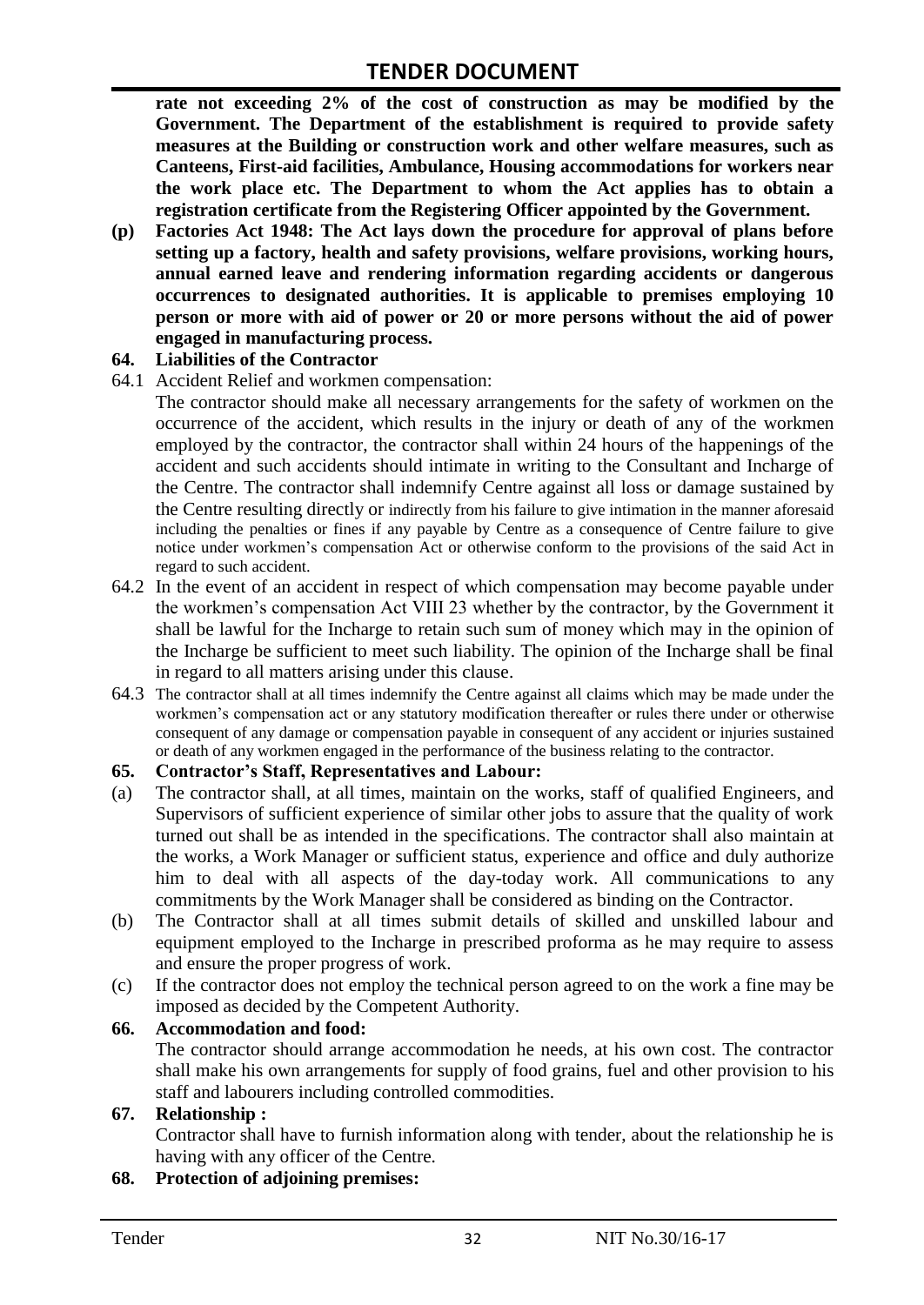**rate not exceeding 2% of the cost of construction as may be modified by the Government. The Department of the establishment is required to provide safety measures at the Building or construction work and other welfare measures, such as Canteens, First-aid facilities, Ambulance, Housing accommodations for workers near the work place etc. The Department to whom the Act applies has to obtain a registration certificate from the Registering Officer appointed by the Government.**

**(p) Factories Act 1948: The Act lays down the procedure for approval of plans before setting up a factory, health and safety provisions, welfare provisions, working hours, annual earned leave and rendering information regarding accidents or dangerous occurrences to designated authorities. It is applicable to premises employing 10 person or more with aid of power or 20 or more persons without the aid of power engaged in manufacturing process.**

#### **64. Liabilities of the Contractor**

- 64.1 Accident Relief and workmen compensation:
	- The contractor should make all necessary arrangements for the safety of workmen on the occurrence of the accident, which results in the injury or death of any of the workmen employed by the contractor, the contractor shall within 24 hours of the happenings of the accident and such accidents should intimate in writing to the Consultant and Incharge of the Centre. The contractor shall indemnify Centre against all loss or damage sustained by the Centre resulting directly or indirectly from his failure to give intimation in the manner aforesaid including the penalties or fines if any payable by Centre as a consequence of Centre failure to give notice under workmen"s compensation Act or otherwise conform to the provisions of the said Act in regard to such accident.
- 64.2 In the event of an accident in respect of which compensation may become payable under the workmen"s compensation Act VIII 23 whether by the contractor, by the Government it shall be lawful for the Incharge to retain such sum of money which may in the opinion of the Incharge be sufficient to meet such liability. The opinion of the Incharge shall be final in regard to all matters arising under this clause.
- 64.3 The contractor shall at all times indemnify the Centre against all claims which may be made under the workmen"s compensation act or any statutory modification thereafter or rules there under or otherwise consequent of any damage or compensation payable in consequent of any accident or injuries sustained or death of any workmen engaged in the performance of the business relating to the contractor.

#### **65. Contractor's Staff, Representatives and Labour:**

- (a) The contractor shall, at all times, maintain on the works, staff of qualified Engineers, and Supervisors of sufficient experience of similar other jobs to assure that the quality of work turned out shall be as intended in the specifications. The contractor shall also maintain at the works, a Work Manager or sufficient status, experience and office and duly authorize him to deal with all aspects of the day-today work. All communications to any commitments by the Work Manager shall be considered as binding on the Contractor.
- (b) The Contractor shall at all times submit details of skilled and unskilled labour and equipment employed to the Incharge in prescribed proforma as he may require to assess and ensure the proper progress of work.
- (c) If the contractor does not employ the technical person agreed to on the work a fine may be imposed as decided by the Competent Authority.

#### **66. Accommodation and food:**

The contractor should arrange accommodation he needs, at his own cost. The contractor shall make his own arrangements for supply of food grains, fuel and other provision to his staff and labourers including controlled commodities.

#### **67. Relationship :**

Contractor shall have to furnish information along with tender, about the relationship he is having with any officer of the Centre.

#### **68. Protection of adjoining premises:**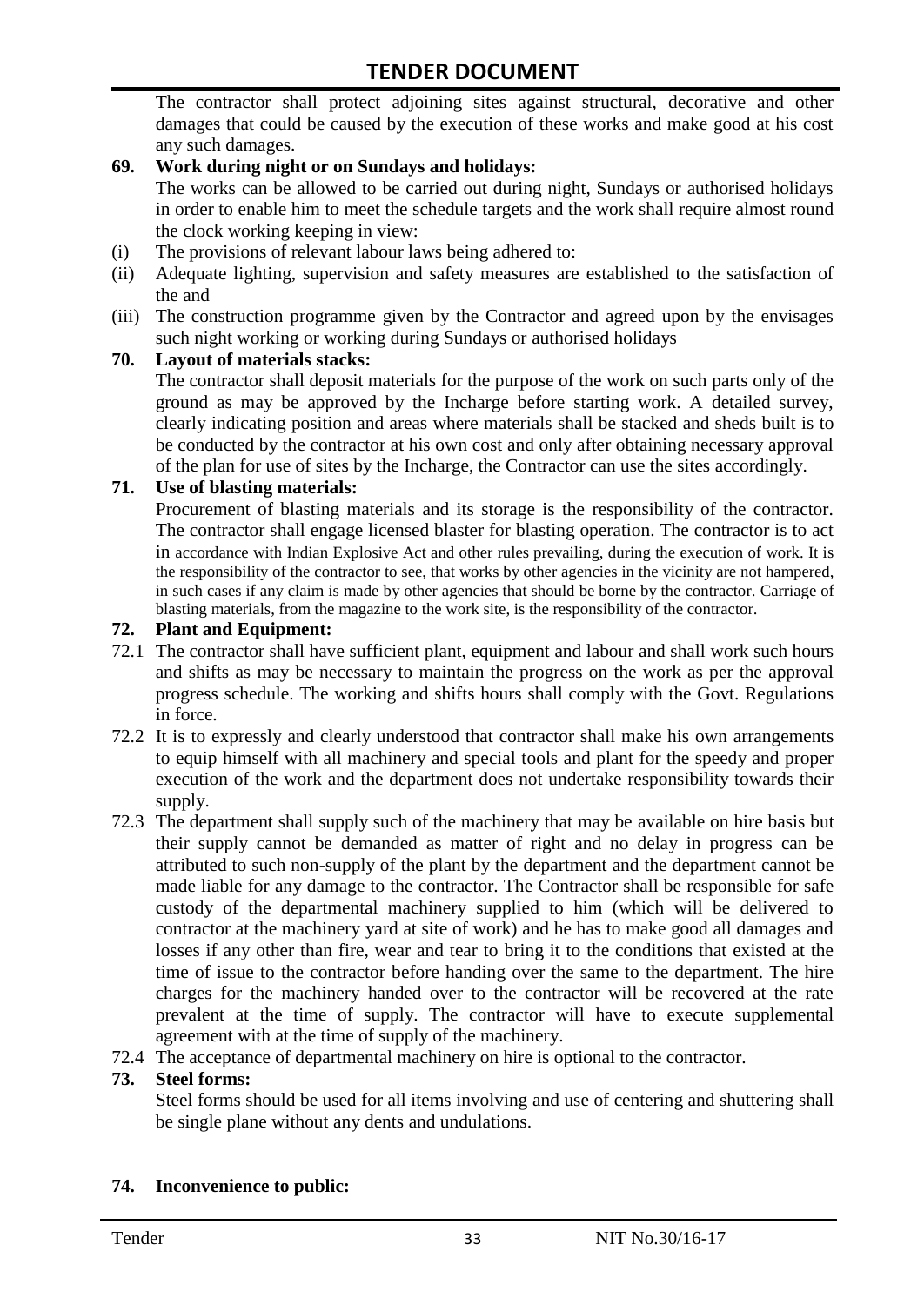The contractor shall protect adjoining sites against structural, decorative and other damages that could be caused by the execution of these works and make good at his cost any such damages.

#### **69. Work during night or on Sundays and holidays:**

The works can be allowed to be carried out during night, Sundays or authorised holidays in order to enable him to meet the schedule targets and the work shall require almost round the clock working keeping in view:

- (i) The provisions of relevant labour laws being adhered to:
- (ii) Adequate lighting, supervision and safety measures are established to the satisfaction of the and
- (iii) The construction programme given by the Contractor and agreed upon by the envisages such night working or working during Sundays or authorised holidays

#### **70. Layout of materials stacks:**

The contractor shall deposit materials for the purpose of the work on such parts only of the ground as may be approved by the Incharge before starting work. A detailed survey, clearly indicating position and areas where materials shall be stacked and sheds built is to be conducted by the contractor at his own cost and only after obtaining necessary approval of the plan for use of sites by the Incharge, the Contractor can use the sites accordingly.

#### **71. Use of blasting materials:**

Procurement of blasting materials and its storage is the responsibility of the contractor. The contractor shall engage licensed blaster for blasting operation. The contractor is to act in accordance with Indian Explosive Act and other rules prevailing, during the execution of work. It is the responsibility of the contractor to see, that works by other agencies in the vicinity are not hampered, in such cases if any claim is made by other agencies that should be borne by the contractor. Carriage of blasting materials, from the magazine to the work site, is the responsibility of the contractor.

#### **72. Plant and Equipment:**

- 72.1 The contractor shall have sufficient plant, equipment and labour and shall work such hours and shifts as may be necessary to maintain the progress on the work as per the approval progress schedule. The working and shifts hours shall comply with the Govt. Regulations in force.
- 72.2 It is to expressly and clearly understood that contractor shall make his own arrangements to equip himself with all machinery and special tools and plant for the speedy and proper execution of the work and the department does not undertake responsibility towards their supply.
- 72.3 The department shall supply such of the machinery that may be available on hire basis but their supply cannot be demanded as matter of right and no delay in progress can be attributed to such non-supply of the plant by the department and the department cannot be made liable for any damage to the contractor. The Contractor shall be responsible for safe custody of the departmental machinery supplied to him (which will be delivered to contractor at the machinery yard at site of work) and he has to make good all damages and losses if any other than fire, wear and tear to bring it to the conditions that existed at the time of issue to the contractor before handing over the same to the department. The hire charges for the machinery handed over to the contractor will be recovered at the rate prevalent at the time of supply. The contractor will have to execute supplemental agreement with at the time of supply of the machinery.
- 72.4 The acceptance of departmental machinery on hire is optional to the contractor.

#### **73. Steel forms:**

Steel forms should be used for all items involving and use of centering and shuttering shall be single plane without any dents and undulations.

#### **74. Inconvenience to public:**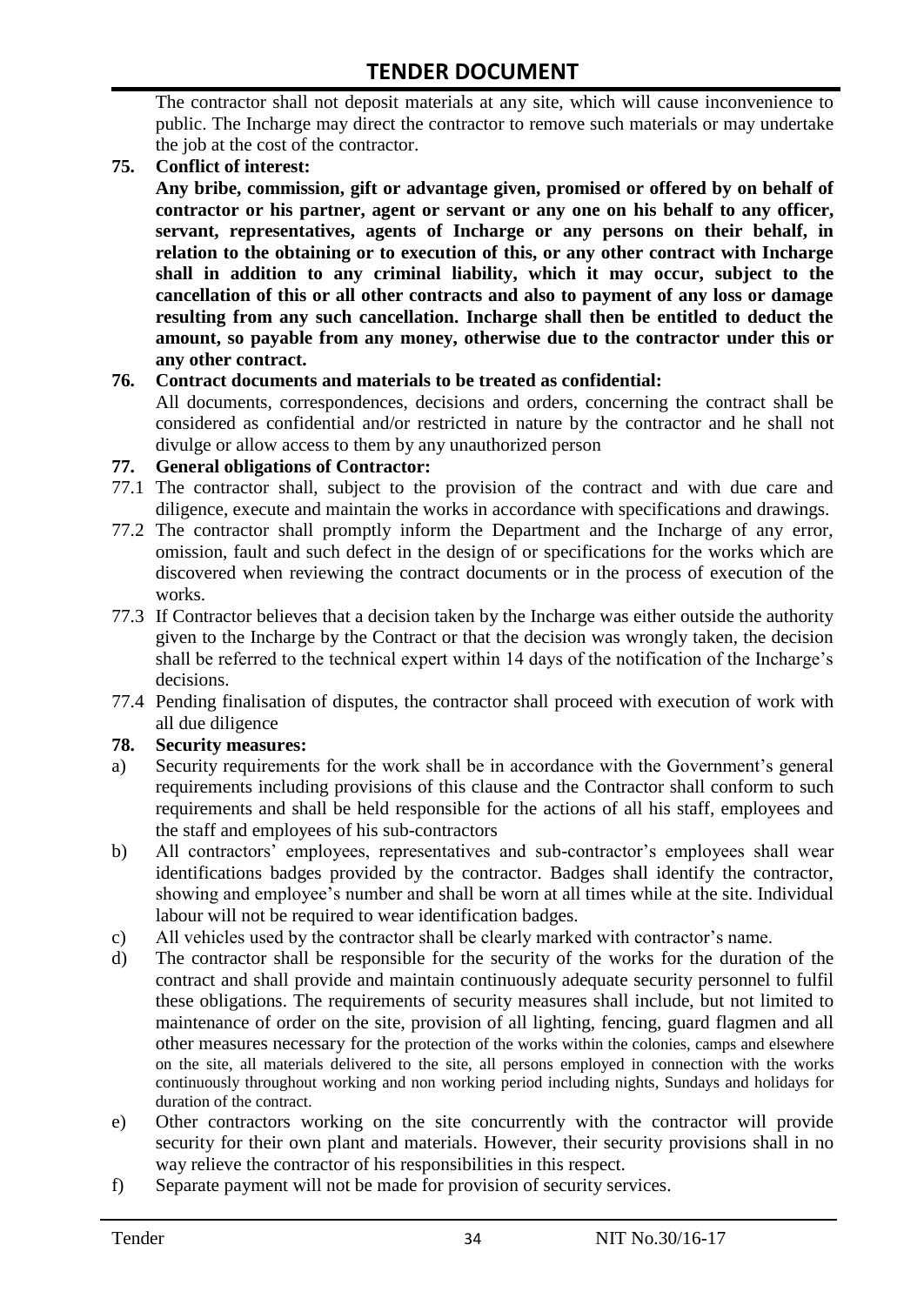The contractor shall not deposit materials at any site, which will cause inconvenience to public. The Incharge may direct the contractor to remove such materials or may undertake the job at the cost of the contractor.

#### **75. Conflict of interest:**

**Any bribe, commission, gift or advantage given, promised or offered by on behalf of contractor or his partner, agent or servant or any one on his behalf to any officer, servant, representatives, agents of Incharge or any persons on their behalf, in relation to the obtaining or to execution of this, or any other contract with Incharge shall in addition to any criminal liability, which it may occur, subject to the cancellation of this or all other contracts and also to payment of any loss or damage resulting from any such cancellation. Incharge shall then be entitled to deduct the amount, so payable from any money, otherwise due to the contractor under this or any other contract.**

#### **76. Contract documents and materials to be treated as confidential:**

All documents, correspondences, decisions and orders, concerning the contract shall be considered as confidential and/or restricted in nature by the contractor and he shall not divulge or allow access to them by any unauthorized person

#### **77. General obligations of Contractor:**

- 77.1 The contractor shall, subject to the provision of the contract and with due care and diligence, execute and maintain the works in accordance with specifications and drawings.
- 77.2 The contractor shall promptly inform the Department and the Incharge of any error, omission, fault and such defect in the design of or specifications for the works which are discovered when reviewing the contract documents or in the process of execution of the works.
- 77.3 If Contractor believes that a decision taken by the Incharge was either outside the authority given to the Incharge by the Contract or that the decision was wrongly taken, the decision shall be referred to the technical expert within 14 days of the notification of the Incharge's decisions.
- 77.4 Pending finalisation of disputes, the contractor shall proceed with execution of work with all due diligence

#### **78. Security measures:**

- a) Security requirements for the work shall be in accordance with the Government's general requirements including provisions of this clause and the Contractor shall conform to such requirements and shall be held responsible for the actions of all his staff, employees and the staff and employees of his sub-contractors
- b) All contractors' employees, representatives and sub-contractor's employees shall wear identifications badges provided by the contractor. Badges shall identify the contractor, showing and employee"s number and shall be worn at all times while at the site. Individual labour will not be required to wear identification badges.
- c) All vehicles used by the contractor shall be clearly marked with contractor"s name.
- d) The contractor shall be responsible for the security of the works for the duration of the contract and shall provide and maintain continuously adequate security personnel to fulfil these obligations. The requirements of security measures shall include, but not limited to maintenance of order on the site, provision of all lighting, fencing, guard flagmen and all other measures necessary for the protection of the works within the colonies, camps and elsewhere on the site, all materials delivered to the site, all persons employed in connection with the works continuously throughout working and non working period including nights, Sundays and holidays for duration of the contract.
- e) Other contractors working on the site concurrently with the contractor will provide security for their own plant and materials. However, their security provisions shall in no way relieve the contractor of his responsibilities in this respect.
- f) Separate payment will not be made for provision of security services.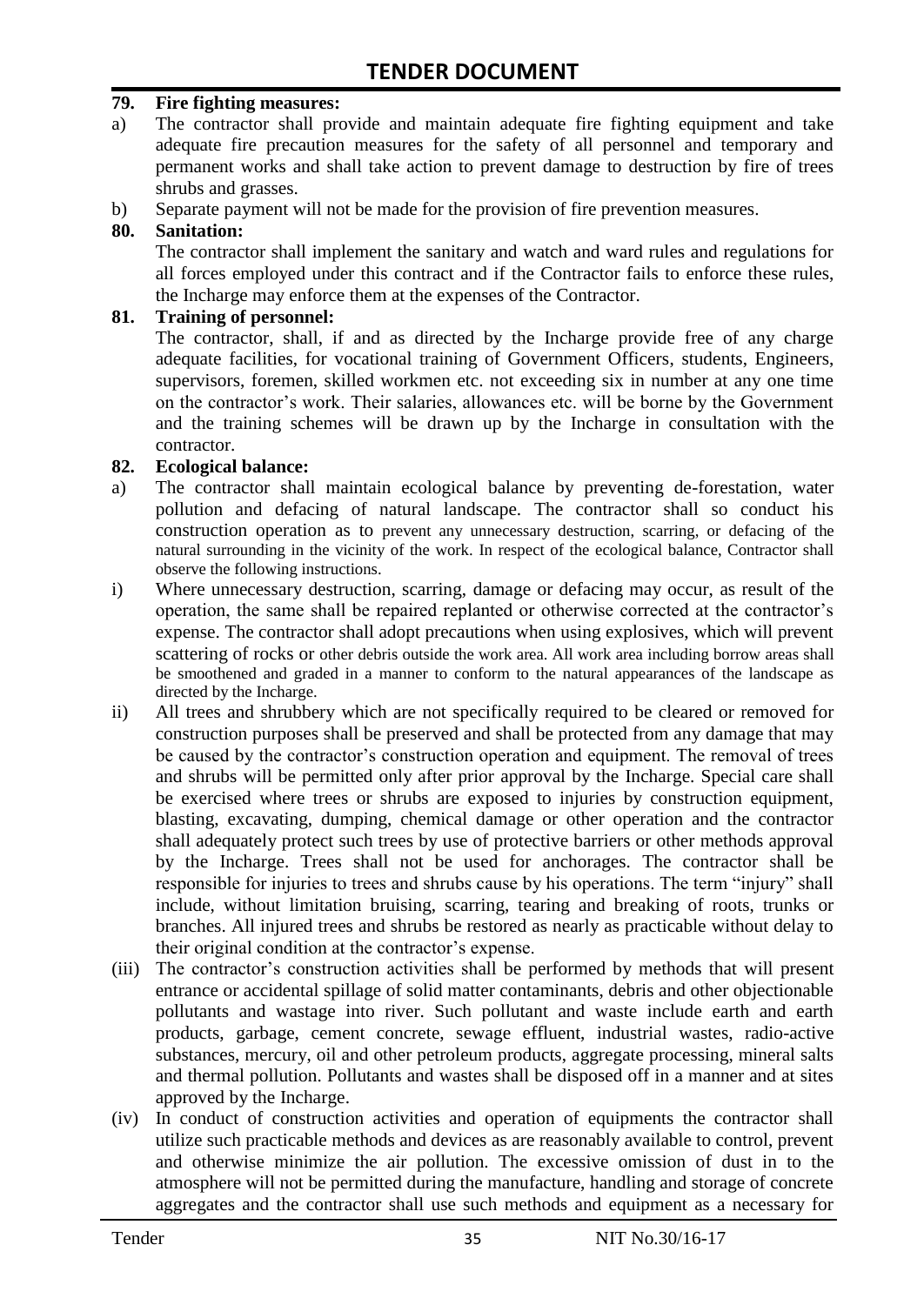#### **79. Fire fighting measures:**

- a) The contractor shall provide and maintain adequate fire fighting equipment and take adequate fire precaution measures for the safety of all personnel and temporary and permanent works and shall take action to prevent damage to destruction by fire of trees shrubs and grasses.
- b) Separate payment will not be made for the provision of fire prevention measures.

#### **80. Sanitation:**

The contractor shall implement the sanitary and watch and ward rules and regulations for all forces employed under this contract and if the Contractor fails to enforce these rules, the Incharge may enforce them at the expenses of the Contractor.

#### **81. Training of personnel:**

The contractor, shall, if and as directed by the Incharge provide free of any charge adequate facilities, for vocational training of Government Officers, students, Engineers, supervisors, foremen, skilled workmen etc. not exceeding six in number at any one time on the contractor"s work. Their salaries, allowances etc. will be borne by the Government and the training schemes will be drawn up by the Incharge in consultation with the contractor.

#### **82. Ecological balance:**

- a) The contractor shall maintain ecological balance by preventing de-forestation, water pollution and defacing of natural landscape. The contractor shall so conduct his construction operation as to prevent any unnecessary destruction, scarring, or defacing of the natural surrounding in the vicinity of the work. In respect of the ecological balance, Contractor shall observe the following instructions.
- i) Where unnecessary destruction, scarring, damage or defacing may occur, as result of the operation, the same shall be repaired replanted or otherwise corrected at the contractor's expense. The contractor shall adopt precautions when using explosives, which will prevent scattering of rocks or other debris outside the work area. All work area including borrow areas shall be smoothened and graded in a manner to conform to the natural appearances of the landscape as directed by the Incharge.
- ii) All trees and shrubbery which are not specifically required to be cleared or removed for construction purposes shall be preserved and shall be protected from any damage that may be caused by the contractor's construction operation and equipment. The removal of trees and shrubs will be permitted only after prior approval by the Incharge. Special care shall be exercised where trees or shrubs are exposed to injuries by construction equipment, blasting, excavating, dumping, chemical damage or other operation and the contractor shall adequately protect such trees by use of protective barriers or other methods approval by the Incharge. Trees shall not be used for anchorages. The contractor shall be responsible for injuries to trees and shrubs cause by his operations. The term "injury" shall include, without limitation bruising, scarring, tearing and breaking of roots, trunks or branches. All injured trees and shrubs be restored as nearly as practicable without delay to their original condition at the contractor's expense.
- (iii) The contractor's construction activities shall be performed by methods that will present entrance or accidental spillage of solid matter contaminants, debris and other objectionable pollutants and wastage into river. Such pollutant and waste include earth and earth products, garbage, cement concrete, sewage effluent, industrial wastes, radio-active substances, mercury, oil and other petroleum products, aggregate processing, mineral salts and thermal pollution. Pollutants and wastes shall be disposed off in a manner and at sites approved by the Incharge.
- (iv) In conduct of construction activities and operation of equipments the contractor shall utilize such practicable methods and devices as are reasonably available to control, prevent and otherwise minimize the air pollution. The excessive omission of dust in to the atmosphere will not be permitted during the manufacture, handling and storage of concrete aggregates and the contractor shall use such methods and equipment as a necessary for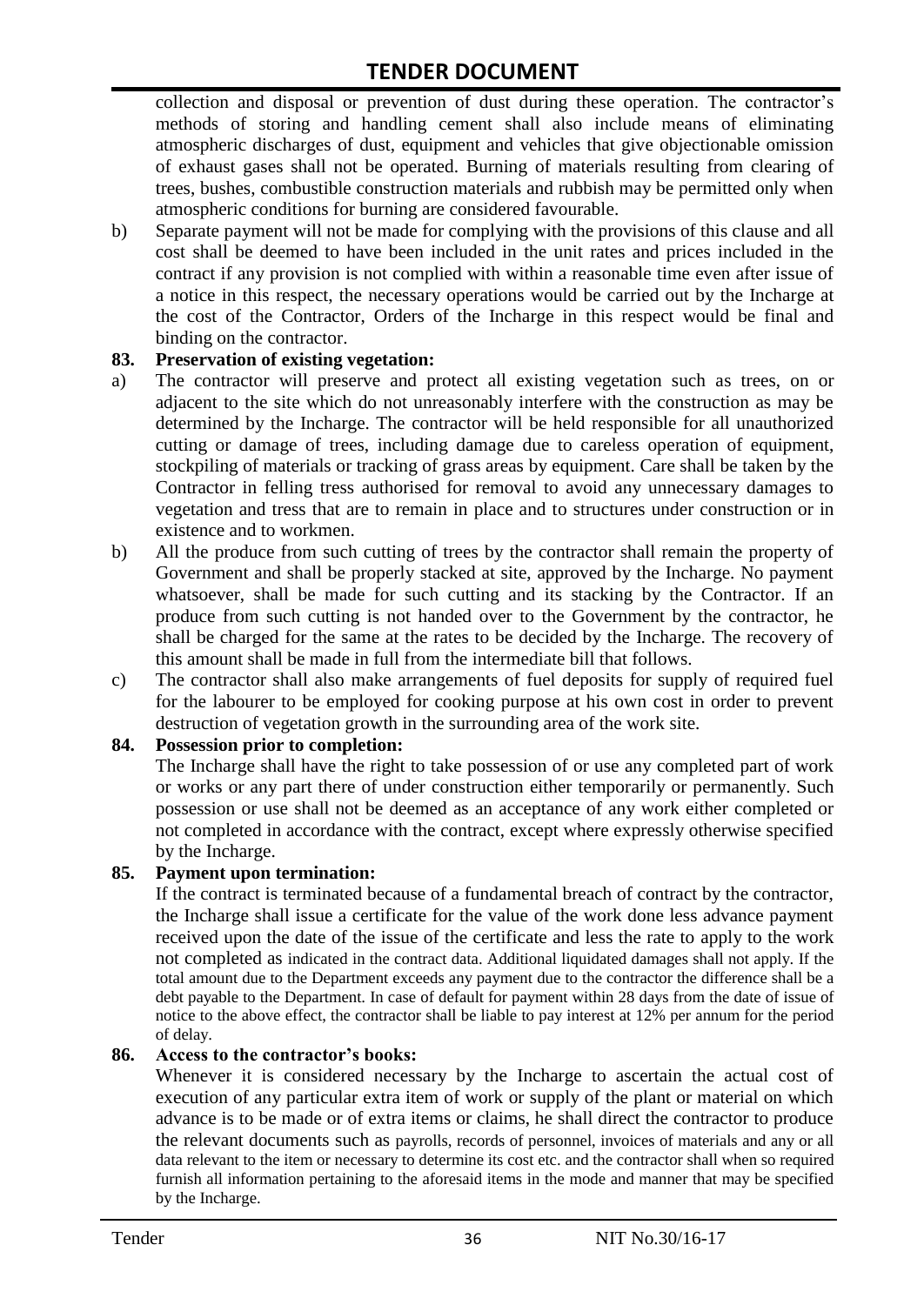collection and disposal or prevention of dust during these operation. The contractor's methods of storing and handling cement shall also include means of eliminating atmospheric discharges of dust, equipment and vehicles that give objectionable omission of exhaust gases shall not be operated. Burning of materials resulting from clearing of trees, bushes, combustible construction materials and rubbish may be permitted only when atmospheric conditions for burning are considered favourable.

b) Separate payment will not be made for complying with the provisions of this clause and all cost shall be deemed to have been included in the unit rates and prices included in the contract if any provision is not complied with within a reasonable time even after issue of a notice in this respect, the necessary operations would be carried out by the Incharge at the cost of the Contractor, Orders of the Incharge in this respect would be final and binding on the contractor.

#### **83. Preservation of existing vegetation:**

- a) The contractor will preserve and protect all existing vegetation such as trees, on or adjacent to the site which do not unreasonably interfere with the construction as may be determined by the Incharge. The contractor will be held responsible for all unauthorized cutting or damage of trees, including damage due to careless operation of equipment, stockpiling of materials or tracking of grass areas by equipment. Care shall be taken by the Contractor in felling tress authorised for removal to avoid any unnecessary damages to vegetation and tress that are to remain in place and to structures under construction or in existence and to workmen.
- b) All the produce from such cutting of trees by the contractor shall remain the property of Government and shall be properly stacked at site, approved by the Incharge. No payment whatsoever, shall be made for such cutting and its stacking by the Contractor. If an produce from such cutting is not handed over to the Government by the contractor, he shall be charged for the same at the rates to be decided by the Incharge. The recovery of this amount shall be made in full from the intermediate bill that follows.
- c) The contractor shall also make arrangements of fuel deposits for supply of required fuel for the labourer to be employed for cooking purpose at his own cost in order to prevent destruction of vegetation growth in the surrounding area of the work site.

#### **84. Possession prior to completion:**

The Incharge shall have the right to take possession of or use any completed part of work or works or any part there of under construction either temporarily or permanently. Such possession or use shall not be deemed as an acceptance of any work either completed or not completed in accordance with the contract, except where expressly otherwise specified by the Incharge.

#### **85. Payment upon termination:**

If the contract is terminated because of a fundamental breach of contract by the contractor, the Incharge shall issue a certificate for the value of the work done less advance payment received upon the date of the issue of the certificate and less the rate to apply to the work not completed as indicated in the contract data. Additional liquidated damages shall not apply. If the total amount due to the Department exceeds any payment due to the contractor the difference shall be a debt payable to the Department. In case of default for payment within 28 days from the date of issue of notice to the above effect, the contractor shall be liable to pay interest at 12% per annum for the period of delay.

#### **86. Access to the contractor's books:**

Whenever it is considered necessary by the Incharge to ascertain the actual cost of execution of any particular extra item of work or supply of the plant or material on which advance is to be made or of extra items or claims, he shall direct the contractor to produce the relevant documents such as payrolls, records of personnel, invoices of materials and any or all data relevant to the item or necessary to determine its cost etc. and the contractor shall when so required furnish all information pertaining to the aforesaid items in the mode and manner that may be specified by the Incharge.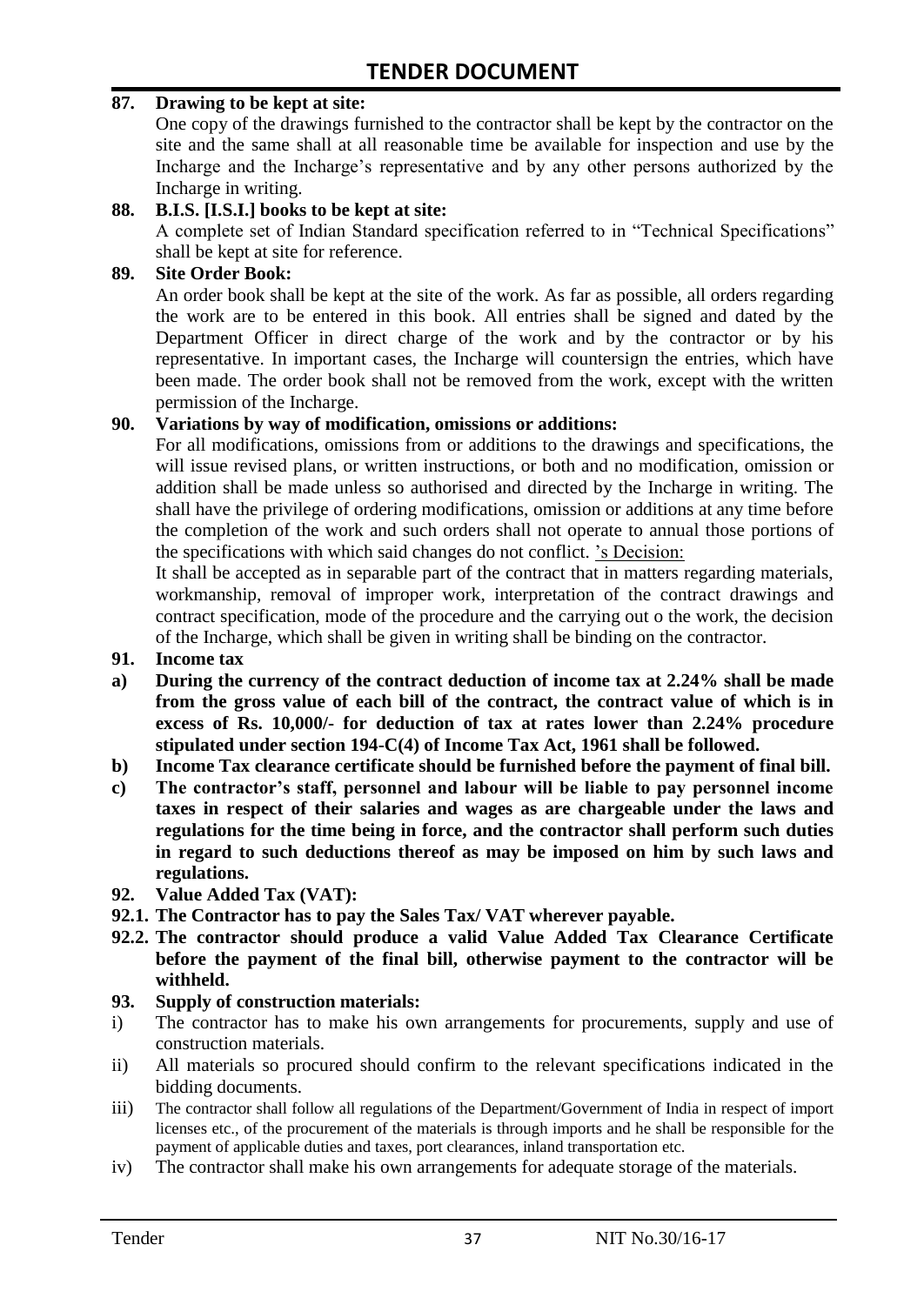#### **87. Drawing to be kept at site:**

One copy of the drawings furnished to the contractor shall be kept by the contractor on the site and the same shall at all reasonable time be available for inspection and use by the Incharge and the Incharge"s representative and by any other persons authorized by the Incharge in writing.

#### **88. B.I.S. [I.S.I.] books to be kept at site:**

A complete set of Indian Standard specification referred to in "Technical Specifications" shall be kept at site for reference.

#### **89. Site Order Book:**

An order book shall be kept at the site of the work. As far as possible, all orders regarding the work are to be entered in this book. All entries shall be signed and dated by the Department Officer in direct charge of the work and by the contractor or by his representative. In important cases, the Incharge will countersign the entries, which have been made. The order book shall not be removed from the work, except with the written permission of the Incharge.

#### **90. Variations by way of modification, omissions or additions:**

For all modifications, omissions from or additions to the drawings and specifications, the will issue revised plans, or written instructions, or both and no modification, omission or addition shall be made unless so authorised and directed by the Incharge in writing. The shall have the privilege of ordering modifications, omission or additions at any time before the completion of the work and such orders shall not operate to annual those portions of the specifications with which said changes do not conflict. "s Decision:

It shall be accepted as in separable part of the contract that in matters regarding materials, workmanship, removal of improper work, interpretation of the contract drawings and contract specification, mode of the procedure and the carrying out o the work, the decision of the Incharge, which shall be given in writing shall be binding on the contractor.

#### **91. Income tax**

- **a) During the currency of the contract deduction of income tax at 2.24% shall be made from the gross value of each bill of the contract, the contract value of which is in excess of Rs. 10,000/- for deduction of tax at rates lower than 2.24% procedure stipulated under section 194-C(4) of Income Tax Act, 1961 shall be followed.**
- **b) Income Tax clearance certificate should be furnished before the payment of final bill.**
- **c) The contractor's staff, personnel and labour will be liable to pay personnel income taxes in respect of their salaries and wages as are chargeable under the laws and regulations for the time being in force, and the contractor shall perform such duties in regard to such deductions thereof as may be imposed on him by such laws and regulations.**
- **92. Value Added Tax (VAT):**
- **92.1. The Contractor has to pay the Sales Tax/ VAT wherever payable.**
- **92.2. The contractor should produce a valid Value Added Tax Clearance Certificate before the payment of the final bill, otherwise payment to the contractor will be withheld.**

#### **93. Supply of construction materials:**

- i) The contractor has to make his own arrangements for procurements, supply and use of construction materials.
- ii) All materials so procured should confirm to the relevant specifications indicated in the bidding documents.
- iii) The contractor shall follow all regulations of the Department/Government of India in respect of import licenses etc., of the procurement of the materials is through imports and he shall be responsible for the payment of applicable duties and taxes, port clearances, inland transportation etc.
- iv) The contractor shall make his own arrangements for adequate storage of the materials.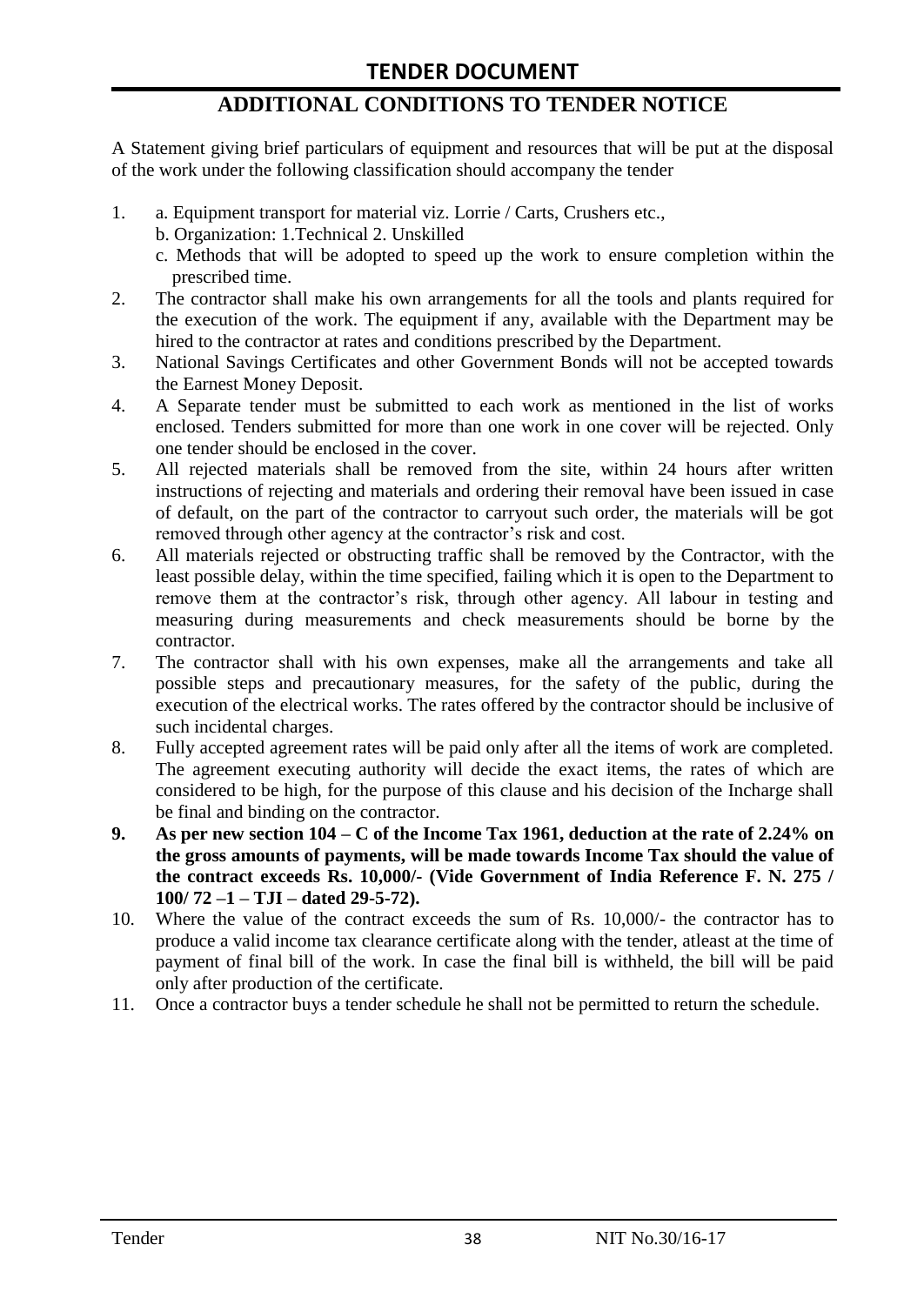# **ADDITIONAL CONDITIONS TO TENDER NOTICE**

A Statement giving brief particulars of equipment and resources that will be put at the disposal of the work under the following classification should accompany the tender

- 1. a. Equipment transport for material viz. Lorrie / Carts, Crushers etc.,
	- b. Organization: 1.Technical 2. Unskilled
	- c. Methods that will be adopted to speed up the work to ensure completion within the prescribed time.
- 2. The contractor shall make his own arrangements for all the tools and plants required for the execution of the work. The equipment if any, available with the Department may be hired to the contractor at rates and conditions prescribed by the Department.
- 3. National Savings Certificates and other Government Bonds will not be accepted towards the Earnest Money Deposit.
- 4. A Separate tender must be submitted to each work as mentioned in the list of works enclosed. Tenders submitted for more than one work in one cover will be rejected. Only one tender should be enclosed in the cover.
- 5. All rejected materials shall be removed from the site, within 24 hours after written instructions of rejecting and materials and ordering their removal have been issued in case of default, on the part of the contractor to carryout such order, the materials will be got removed through other agency at the contractor's risk and cost.
- 6. All materials rejected or obstructing traffic shall be removed by the Contractor, with the least possible delay, within the time specified, failing which it is open to the Department to remove them at the contractor's risk, through other agency. All labour in testing and measuring during measurements and check measurements should be borne by the contractor.
- 7. The contractor shall with his own expenses, make all the arrangements and take all possible steps and precautionary measures, for the safety of the public, during the execution of the electrical works. The rates offered by the contractor should be inclusive of such incidental charges.
- 8. Fully accepted agreement rates will be paid only after all the items of work are completed. The agreement executing authority will decide the exact items, the rates of which are considered to be high, for the purpose of this clause and his decision of the Incharge shall be final and binding on the contractor.
- **9. As per new section 104 – C of the Income Tax 1961, deduction at the rate of 2.24% on the gross amounts of payments, will be made towards Income Tax should the value of the contract exceeds Rs. 10,000/- (Vide Government of India Reference F. N. 275 / 100/ 72 –1 – TJI – dated 29-5-72).**
- 10. Where the value of the contract exceeds the sum of Rs. 10,000/- the contractor has to produce a valid income tax clearance certificate along with the tender, atleast at the time of payment of final bill of the work. In case the final bill is withheld, the bill will be paid only after production of the certificate.
- 11. Once a contractor buys a tender schedule he shall not be permitted to return the schedule.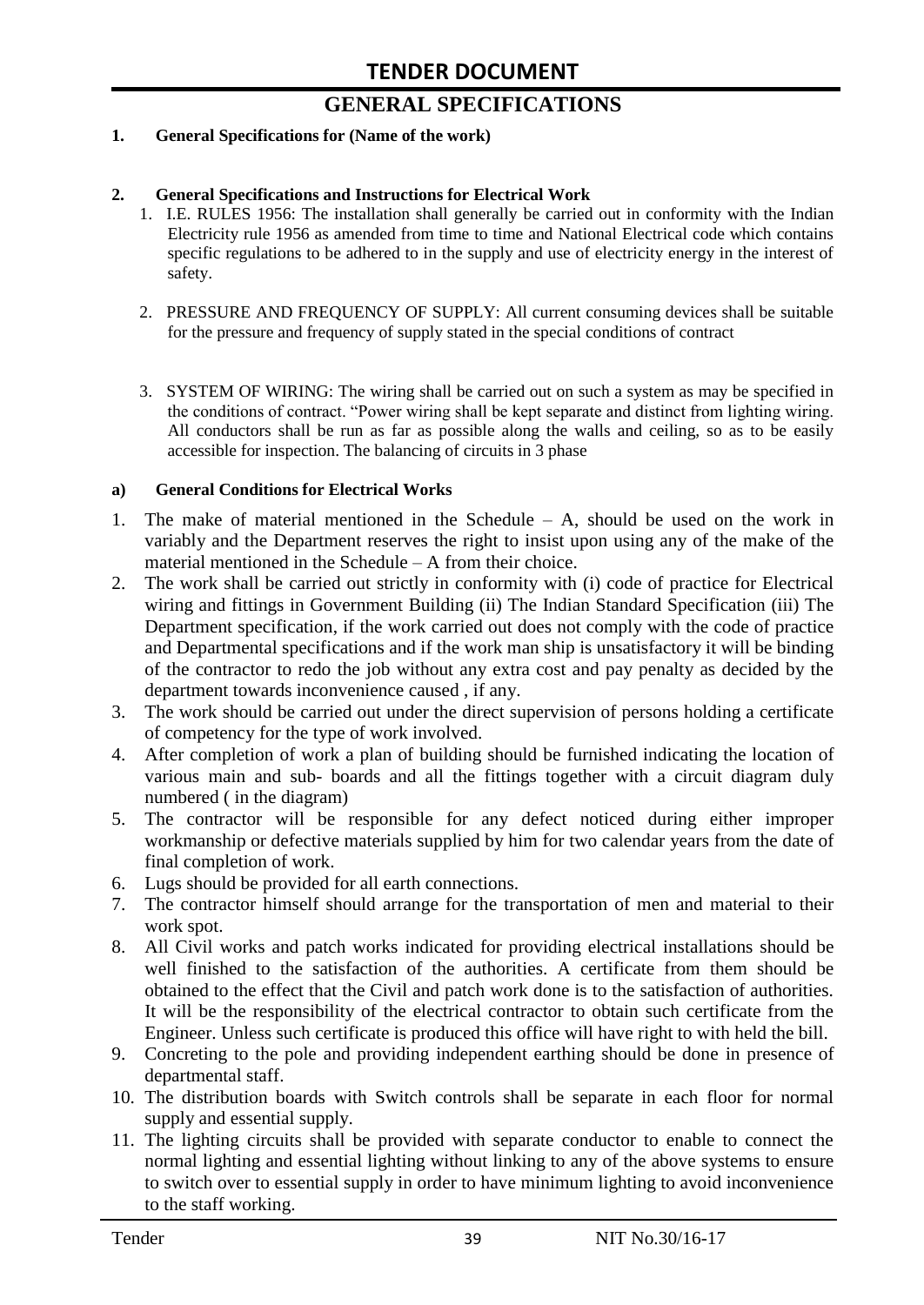# **GENERAL SPECIFICATIONS**

#### **1. General Specifications for (Name of the work)**

#### **2. General Specifications and Instructions for Electrical Work**

- 1. I.E. RULES 1956: The installation shall generally be carried out in conformity with the Indian Electricity rule 1956 as amended from time to time and National Electrical code which contains specific regulations to be adhered to in the supply and use of electricity energy in the interest of safety.
- 2. PRESSURE AND FREQUENCY OF SUPPLY: All current consuming devices shall be suitable for the pressure and frequency of supply stated in the special conditions of contract
- 3. SYSTEM OF WIRING: The wiring shall be carried out on such a system as may be specified in the conditions of contract. "Power wiring shall be kept separate and distinct from lighting wiring. All conductors shall be run as far as possible along the walls and ceiling, so as to be easily accessible for inspection. The balancing of circuits in 3 phase

#### **a) General Conditions for Electrical Works**

- 1. The make of material mentioned in the Schedule A, should be used on the work in variably and the Department reserves the right to insist upon using any of the make of the material mentioned in the Schedule – A from their choice.
- 2. The work shall be carried out strictly in conformity with (i) code of practice for Electrical wiring and fittings in Government Building (ii) The Indian Standard Specification (iii) The Department specification, if the work carried out does not comply with the code of practice and Departmental specifications and if the work man ship is unsatisfactory it will be binding of the contractor to redo the job without any extra cost and pay penalty as decided by the department towards inconvenience caused , if any.
- 3. The work should be carried out under the direct supervision of persons holding a certificate of competency for the type of work involved.
- 4. After completion of work a plan of building should be furnished indicating the location of various main and sub- boards and all the fittings together with a circuit diagram duly numbered ( in the diagram)
- 5. The contractor will be responsible for any defect noticed during either improper workmanship or defective materials supplied by him for two calendar years from the date of final completion of work.
- 6. Lugs should be provided for all earth connections.
- 7. The contractor himself should arrange for the transportation of men and material to their work spot.
- 8. All Civil works and patch works indicated for providing electrical installations should be well finished to the satisfaction of the authorities. A certificate from them should be obtained to the effect that the Civil and patch work done is to the satisfaction of authorities. It will be the responsibility of the electrical contractor to obtain such certificate from the Engineer. Unless such certificate is produced this office will have right to with held the bill.
- 9. Concreting to the pole and providing independent earthing should be done in presence of departmental staff.
- 10. The distribution boards with Switch controls shall be separate in each floor for normal supply and essential supply.
- 11. The lighting circuits shall be provided with separate conductor to enable to connect the normal lighting and essential lighting without linking to any of the above systems to ensure to switch over to essential supply in order to have minimum lighting to avoid inconvenience to the staff working.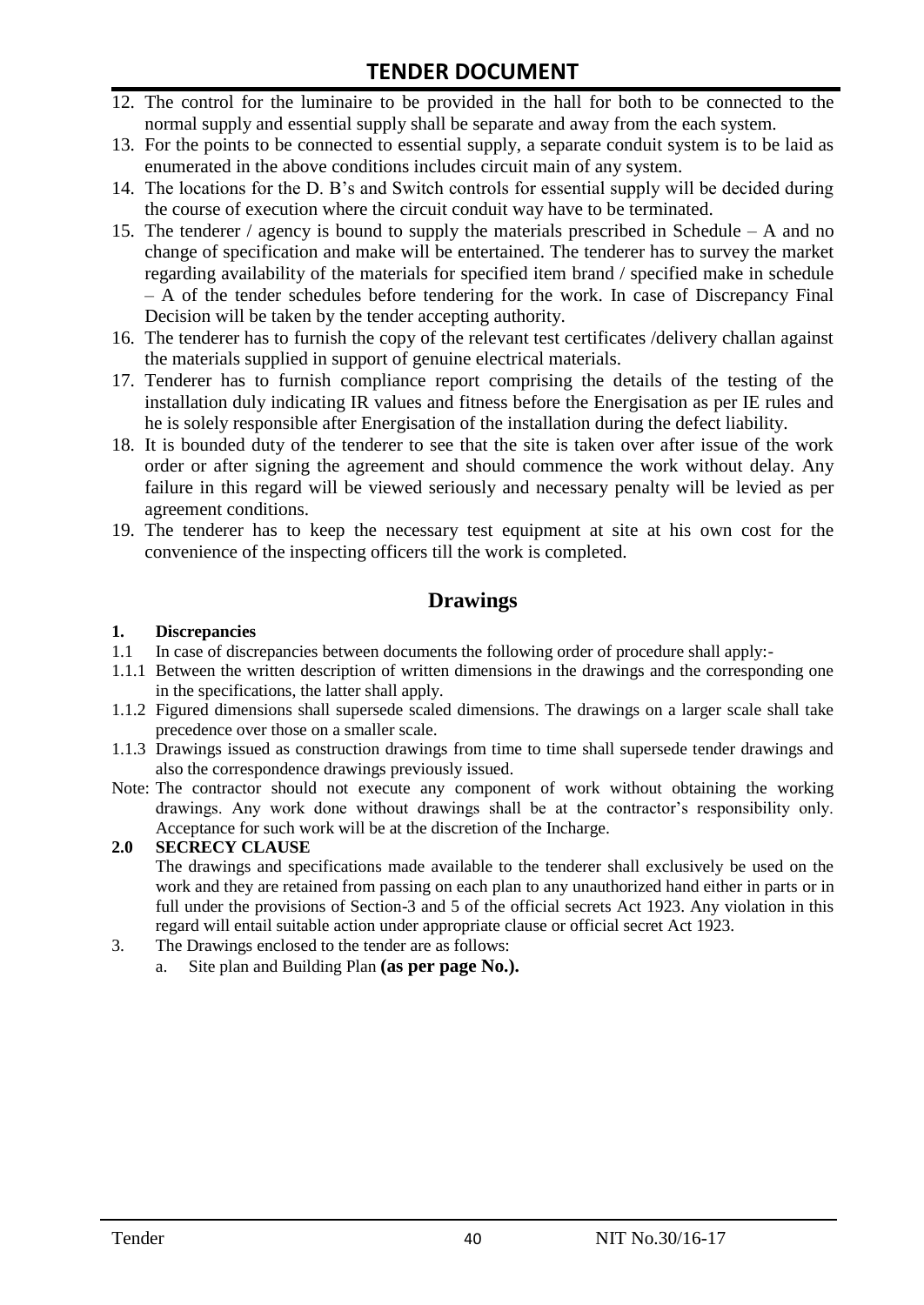# **TENDER DOCUMENT**

- 12. The control for the luminaire to be provided in the hall for both to be connected to the normal supply and essential supply shall be separate and away from the each system.
- 13. For the points to be connected to essential supply, a separate conduit system is to be laid as enumerated in the above conditions includes circuit main of any system.
- 14. The locations for the D. B"s and Switch controls for essential supply will be decided during the course of execution where the circuit conduit way have to be terminated.
- 15. The tenderer / agency is bound to supply the materials prescribed in Schedule A and no change of specification and make will be entertained. The tenderer has to survey the market regarding availability of the materials for specified item brand / specified make in schedule – A of the tender schedules before tendering for the work. In case of Discrepancy Final Decision will be taken by the tender accepting authority.
- 16. The tenderer has to furnish the copy of the relevant test certificates /delivery challan against the materials supplied in support of genuine electrical materials.
- 17. Tenderer has to furnish compliance report comprising the details of the testing of the installation duly indicating IR values and fitness before the Energisation as per IE rules and he is solely responsible after Energisation of the installation during the defect liability.
- 18. It is bounded duty of the tenderer to see that the site is taken over after issue of the work order or after signing the agreement and should commence the work without delay. Any failure in this regard will be viewed seriously and necessary penalty will be levied as per agreement conditions.
- 19. The tenderer has to keep the necessary test equipment at site at his own cost for the convenience of the inspecting officers till the work is completed.

#### **Drawings**

#### **1. Discrepancies**

- 1.1 In case of discrepancies between documents the following order of procedure shall apply:-
- 1.1.1 Between the written description of written dimensions in the drawings and the corresponding one in the specifications, the latter shall apply.
- 1.1.2 Figured dimensions shall supersede scaled dimensions. The drawings on a larger scale shall take precedence over those on a smaller scale.
- 1.1.3 Drawings issued as construction drawings from time to time shall supersede tender drawings and also the correspondence drawings previously issued.
- Note: The contractor should not execute any component of work without obtaining the working drawings. Any work done without drawings shall be at the contractor"s responsibility only. Acceptance for such work will be at the discretion of the Incharge.

#### **2.0 SECRECY CLAUSE**

The drawings and specifications made available to the tenderer shall exclusively be used on the work and they are retained from passing on each plan to any unauthorized hand either in parts or in full under the provisions of Section-3 and 5 of the official secrets Act 1923. Any violation in this regard will entail suitable action under appropriate clause or official secret Act 1923.

- 3. The Drawings enclosed to the tender are as follows:
	- a. Site plan and Building Plan **(as per page No.).**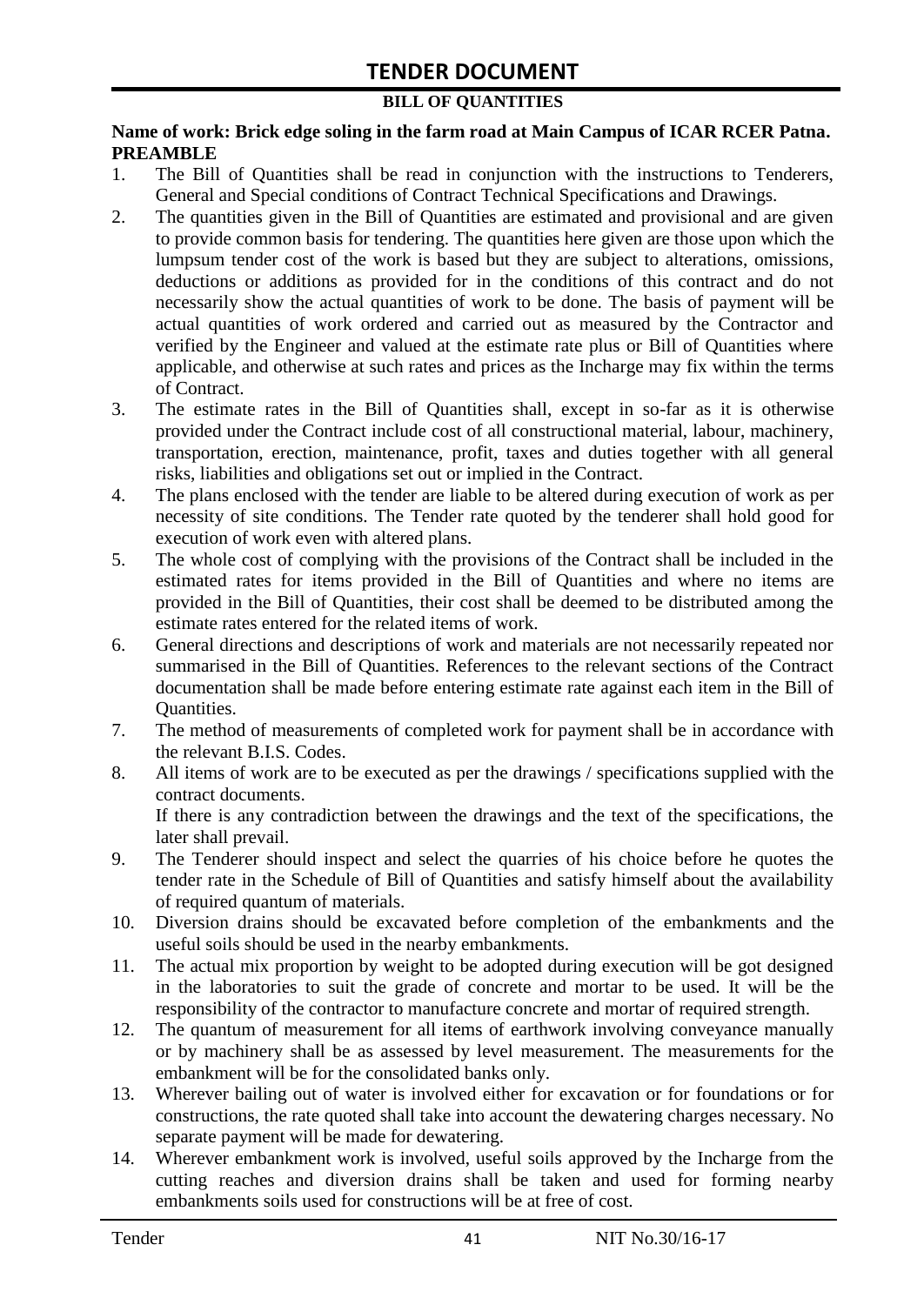#### **BILL OF QUANTITIES**

#### **Name of work: Brick edge soling in the farm road at Main Campus of ICAR RCER Patna. PREAMBLE**

- 1. The Bill of Quantities shall be read in conjunction with the instructions to Tenderers, General and Special conditions of Contract Technical Specifications and Drawings.
- 2. The quantities given in the Bill of Quantities are estimated and provisional and are given to provide common basis for tendering. The quantities here given are those upon which the lumpsum tender cost of the work is based but they are subject to alterations, omissions, deductions or additions as provided for in the conditions of this contract and do not necessarily show the actual quantities of work to be done. The basis of payment will be actual quantities of work ordered and carried out as measured by the Contractor and verified by the Engineer and valued at the estimate rate plus or Bill of Quantities where applicable, and otherwise at such rates and prices as the Incharge may fix within the terms of Contract.
- 3. The estimate rates in the Bill of Quantities shall, except in so-far as it is otherwise provided under the Contract include cost of all constructional material, labour, machinery, transportation, erection, maintenance, profit, taxes and duties together with all general risks, liabilities and obligations set out or implied in the Contract.
- 4. The plans enclosed with the tender are liable to be altered during execution of work as per necessity of site conditions. The Tender rate quoted by the tenderer shall hold good for execution of work even with altered plans.
- 5. The whole cost of complying with the provisions of the Contract shall be included in the estimated rates for items provided in the Bill of Quantities and where no items are provided in the Bill of Quantities, their cost shall be deemed to be distributed among the estimate rates entered for the related items of work.
- 6. General directions and descriptions of work and materials are not necessarily repeated nor summarised in the Bill of Quantities. References to the relevant sections of the Contract documentation shall be made before entering estimate rate against each item in the Bill of Quantities.
- 7. The method of measurements of completed work for payment shall be in accordance with the relevant B.I.S. Codes.
- 8. All items of work are to be executed as per the drawings / specifications supplied with the contract documents. If there is any contradiction between the drawings and the text of the specifications, the
- later shall prevail. 9. The Tenderer should inspect and select the quarries of his choice before he quotes the tender rate in the Schedule of Bill of Quantities and satisfy himself about the availability of required quantum of materials.
- 10. Diversion drains should be excavated before completion of the embankments and the useful soils should be used in the nearby embankments.
- 11. The actual mix proportion by weight to be adopted during execution will be got designed in the laboratories to suit the grade of concrete and mortar to be used. It will be the responsibility of the contractor to manufacture concrete and mortar of required strength.
- 12. The quantum of measurement for all items of earthwork involving conveyance manually or by machinery shall be as assessed by level measurement. The measurements for the embankment will be for the consolidated banks only.
- 13. Wherever bailing out of water is involved either for excavation or for foundations or for constructions, the rate quoted shall take into account the dewatering charges necessary. No separate payment will be made for dewatering.
- 14. Wherever embankment work is involved, useful soils approved by the Incharge from the cutting reaches and diversion drains shall be taken and used for forming nearby embankments soils used for constructions will be at free of cost.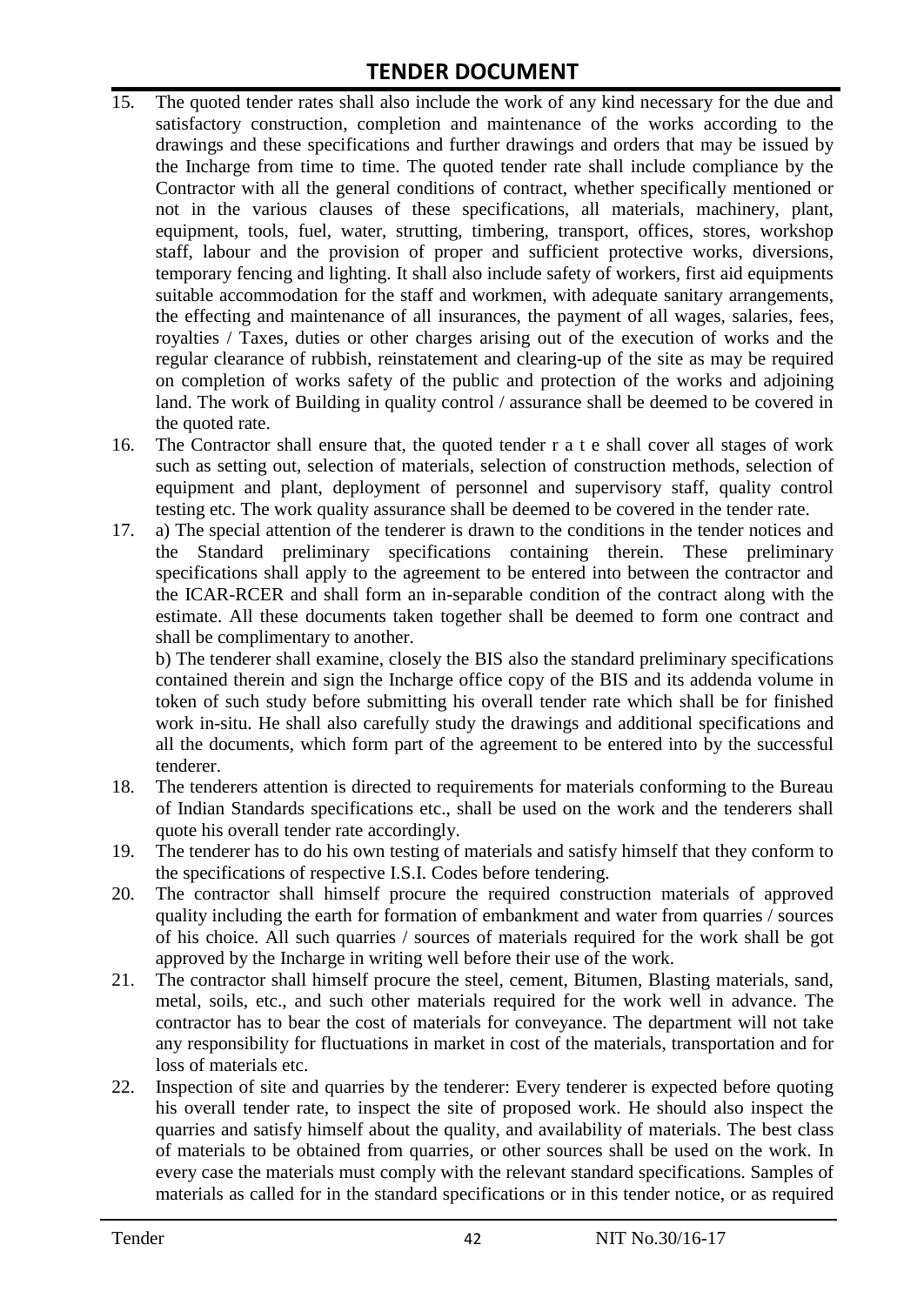# **TENDER DOCUMENT**

- 15. The quoted tender rates shall also include the work of any kind necessary for the due and satisfactory construction, completion and maintenance of the works according to the drawings and these specifications and further drawings and orders that may be issued by the Incharge from time to time. The quoted tender rate shall include compliance by the Contractor with all the general conditions of contract, whether specifically mentioned or not in the various clauses of these specifications, all materials, machinery, plant, equipment, tools, fuel, water, strutting, timbering, transport, offices, stores, workshop staff, labour and the provision of proper and sufficient protective works, diversions, temporary fencing and lighting. It shall also include safety of workers, first aid equipments suitable accommodation for the staff and workmen, with adequate sanitary arrangements, the effecting and maintenance of all insurances, the payment of all wages, salaries, fees, royalties / Taxes, duties or other charges arising out of the execution of works and the regular clearance of rubbish, reinstatement and clearing-up of the site as may be required on completion of works safety of the public and protection of the works and adjoining land. The work of Building in quality control / assurance shall be deemed to be covered in the quoted rate.
- 16. The Contractor shall ensure that, the quoted tender r a t e shall cover all stages of work such as setting out, selection of materials, selection of construction methods, selection of equipment and plant, deployment of personnel and supervisory staff, quality control testing etc. The work quality assurance shall be deemed to be covered in the tender rate.
- 17. a) The special attention of the tenderer is drawn to the conditions in the tender notices and the Standard preliminary specifications containing therein. These preliminary specifications shall apply to the agreement to be entered into between the contractor and the ICAR-RCER and shall form an in-separable condition of the contract along with the estimate. All these documents taken together shall be deemed to form one contract and shall be complimentary to another.

b) The tenderer shall examine, closely the BIS also the standard preliminary specifications contained therein and sign the Incharge office copy of the BIS and its addenda volume in token of such study before submitting his overall tender rate which shall be for finished work in-situ. He shall also carefully study the drawings and additional specifications and all the documents, which form part of the agreement to be entered into by the successful tenderer.

- 18. The tenderers attention is directed to requirements for materials conforming to the Bureau of Indian Standards specifications etc., shall be used on the work and the tenderers shall quote his overall tender rate accordingly.
- 19. The tenderer has to do his own testing of materials and satisfy himself that they conform to the specifications of respective I.S.I. Codes before tendering.
- 20. The contractor shall himself procure the required construction materials of approved quality including the earth for formation of embankment and water from quarries / sources of his choice. All such quarries / sources of materials required for the work shall be got approved by the Incharge in writing well before their use of the work.
- 21. The contractor shall himself procure the steel, cement, Bitumen, Blasting materials, sand, metal, soils, etc., and such other materials required for the work well in advance. The contractor has to bear the cost of materials for conveyance. The department will not take any responsibility for fluctuations in market in cost of the materials, transportation and for loss of materials etc.
- 22. Inspection of site and quarries by the tenderer: Every tenderer is expected before quoting his overall tender rate, to inspect the site of proposed work. He should also inspect the quarries and satisfy himself about the quality, and availability of materials. The best class of materials to be obtained from quarries, or other sources shall be used on the work. In every case the materials must comply with the relevant standard specifications. Samples of materials as called for in the standard specifications or in this tender notice, or as required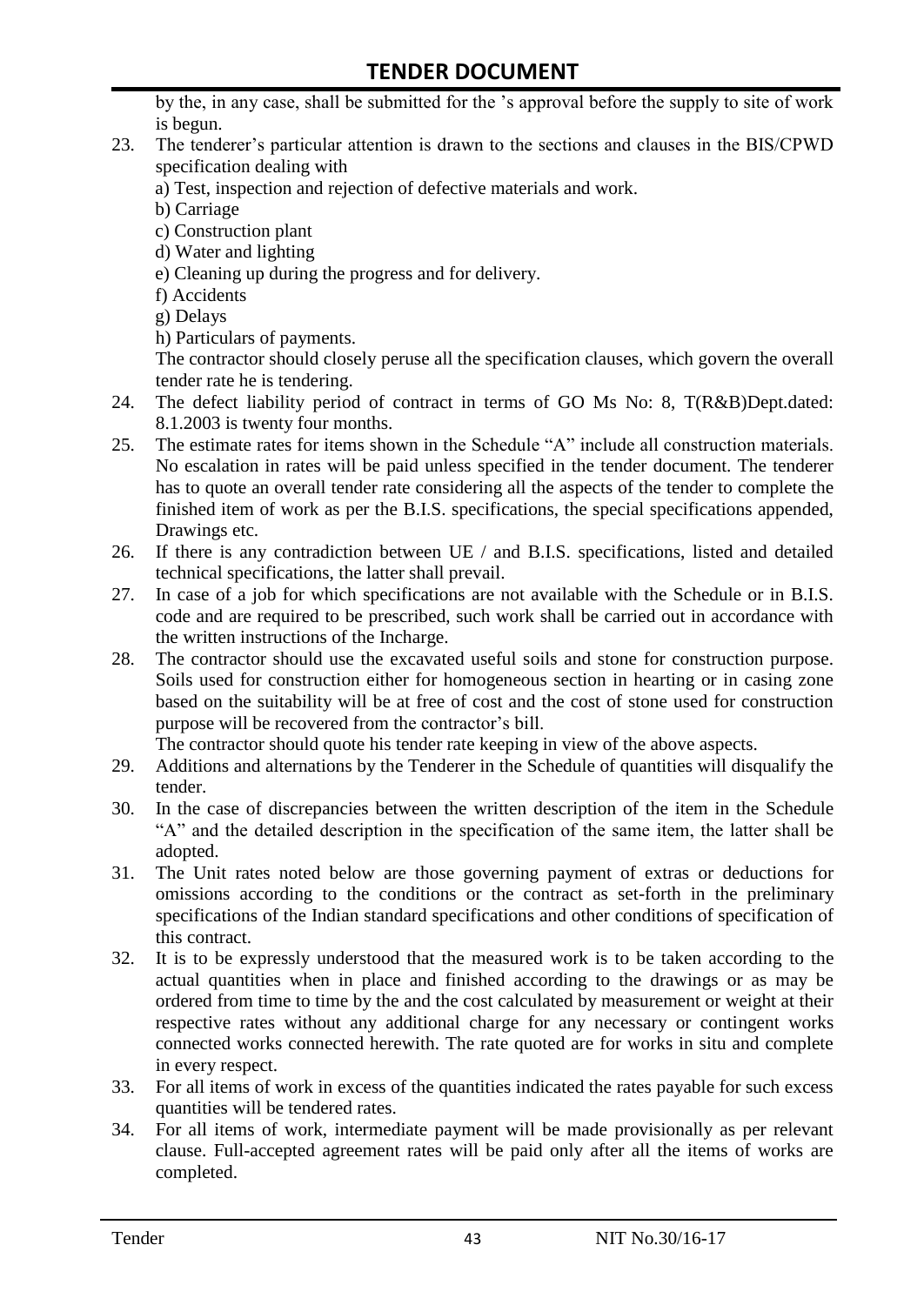by the, in any case, shall be submitted for the "s approval before the supply to site of work is begun.

- 23. The tenderer"s particular attention is drawn to the sections and clauses in the BIS/CPWD specification dealing with
	- a) Test, inspection and rejection of defective materials and work.
	- b) Carriage
	- c) Construction plant
	- d) Water and lighting
	- e) Cleaning up during the progress and for delivery.
	- f) Accidents
	- g) Delays
	- h) Particulars of payments.

The contractor should closely peruse all the specification clauses, which govern the overall tender rate he is tendering.

- 24. The defect liability period of contract in terms of GO Ms No: 8, T(R&B)Dept.dated: 8.1.2003 is twenty four months.
- 25. The estimate rates for items shown in the Schedule "A" include all construction materials. No escalation in rates will be paid unless specified in the tender document. The tenderer has to quote an overall tender rate considering all the aspects of the tender to complete the finished item of work as per the B.I.S. specifications, the special specifications appended, Drawings etc.
- 26. If there is any contradiction between UE / and B.I.S. specifications, listed and detailed technical specifications, the latter shall prevail.
- 27. In case of a job for which specifications are not available with the Schedule or in B.I.S. code and are required to be prescribed, such work shall be carried out in accordance with the written instructions of the Incharge.
- 28. The contractor should use the excavated useful soils and stone for construction purpose. Soils used for construction either for homogeneous section in hearting or in casing zone based on the suitability will be at free of cost and the cost of stone used for construction purpose will be recovered from the contractor's bill.

The contractor should quote his tender rate keeping in view of the above aspects.

- 29. Additions and alternations by the Tenderer in the Schedule of quantities will disqualify the tender.
- 30. In the case of discrepancies between the written description of the item in the Schedule "A" and the detailed description in the specification of the same item, the latter shall be adopted.
- 31. The Unit rates noted below are those governing payment of extras or deductions for omissions according to the conditions or the contract as set-forth in the preliminary specifications of the Indian standard specifications and other conditions of specification of this contract.
- 32. It is to be expressly understood that the measured work is to be taken according to the actual quantities when in place and finished according to the drawings or as may be ordered from time to time by the and the cost calculated by measurement or weight at their respective rates without any additional charge for any necessary or contingent works connected works connected herewith. The rate quoted are for works in situ and complete in every respect.
- 33. For all items of work in excess of the quantities indicated the rates payable for such excess quantities will be tendered rates.
- 34. For all items of work, intermediate payment will be made provisionally as per relevant clause. Full-accepted agreement rates will be paid only after all the items of works are completed.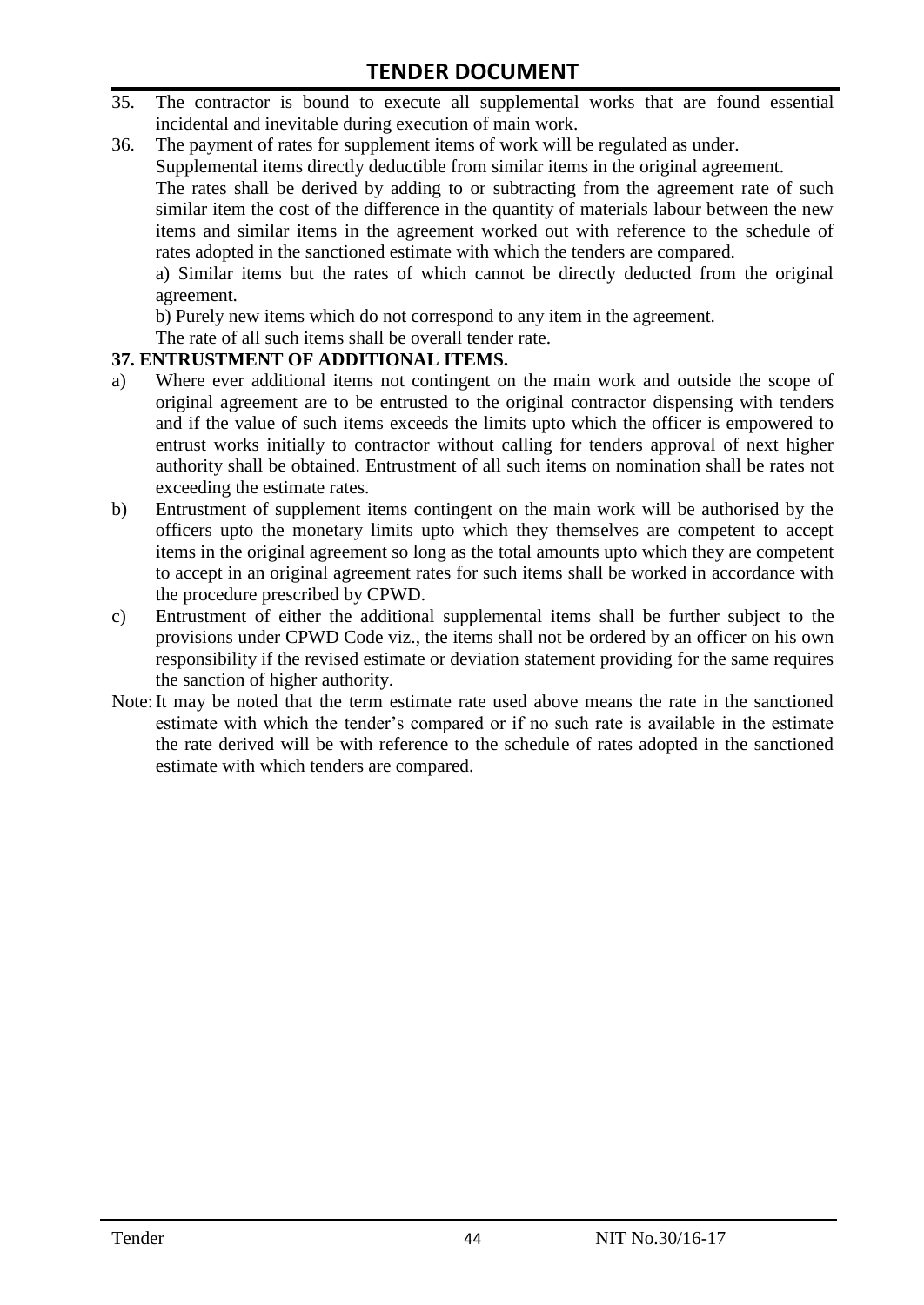- 35. The contractor is bound to execute all supplemental works that are found essential incidental and inevitable during execution of main work.
- 36. The payment of rates for supplement items of work will be regulated as under.

Supplemental items directly deductible from similar items in the original agreement.

The rates shall be derived by adding to or subtracting from the agreement rate of such similar item the cost of the difference in the quantity of materials labour between the new items and similar items in the agreement worked out with reference to the schedule of rates adopted in the sanctioned estimate with which the tenders are compared.

a) Similar items but the rates of which cannot be directly deducted from the original agreement.

b) Purely new items which do not correspond to any item in the agreement.

The rate of all such items shall be overall tender rate.

#### **37. ENTRUSTMENT OF ADDITIONAL ITEMS.**

- a) Where ever additional items not contingent on the main work and outside the scope of original agreement are to be entrusted to the original contractor dispensing with tenders and if the value of such items exceeds the limits upto which the officer is empowered to entrust works initially to contractor without calling for tenders approval of next higher authority shall be obtained. Entrustment of all such items on nomination shall be rates not exceeding the estimate rates.
- b) Entrustment of supplement items contingent on the main work will be authorised by the officers upto the monetary limits upto which they themselves are competent to accept items in the original agreement so long as the total amounts upto which they are competent to accept in an original agreement rates for such items shall be worked in accordance with the procedure prescribed by CPWD.
- c) Entrustment of either the additional supplemental items shall be further subject to the provisions under CPWD Code viz., the items shall not be ordered by an officer on his own responsibility if the revised estimate or deviation statement providing for the same requires the sanction of higher authority.
- Note:It may be noted that the term estimate rate used above means the rate in the sanctioned estimate with which the tender"s compared or if no such rate is available in the estimate the rate derived will be with reference to the schedule of rates adopted in the sanctioned estimate with which tenders are compared.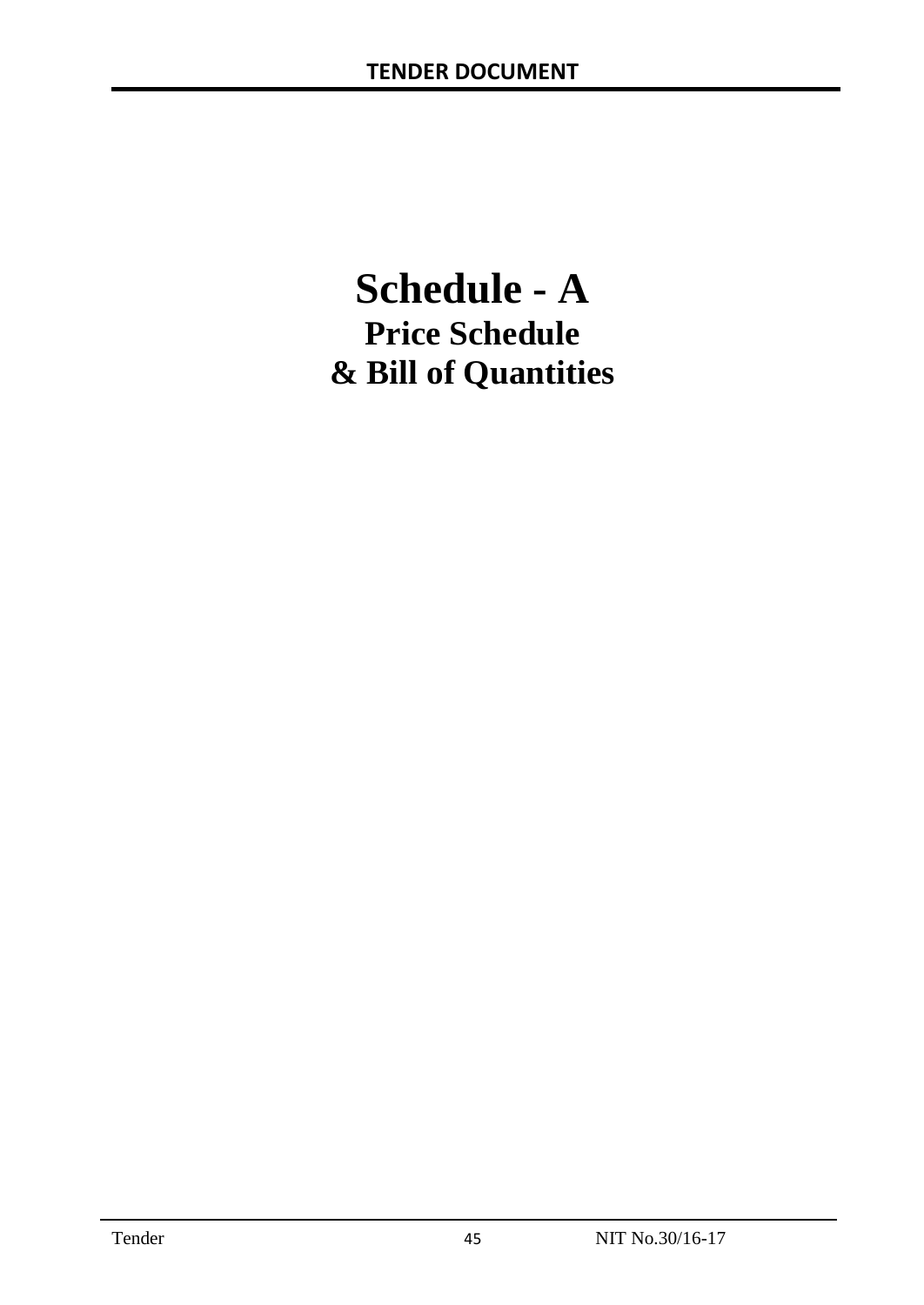# **Schedule - A Price Schedule & Bill of Quantities**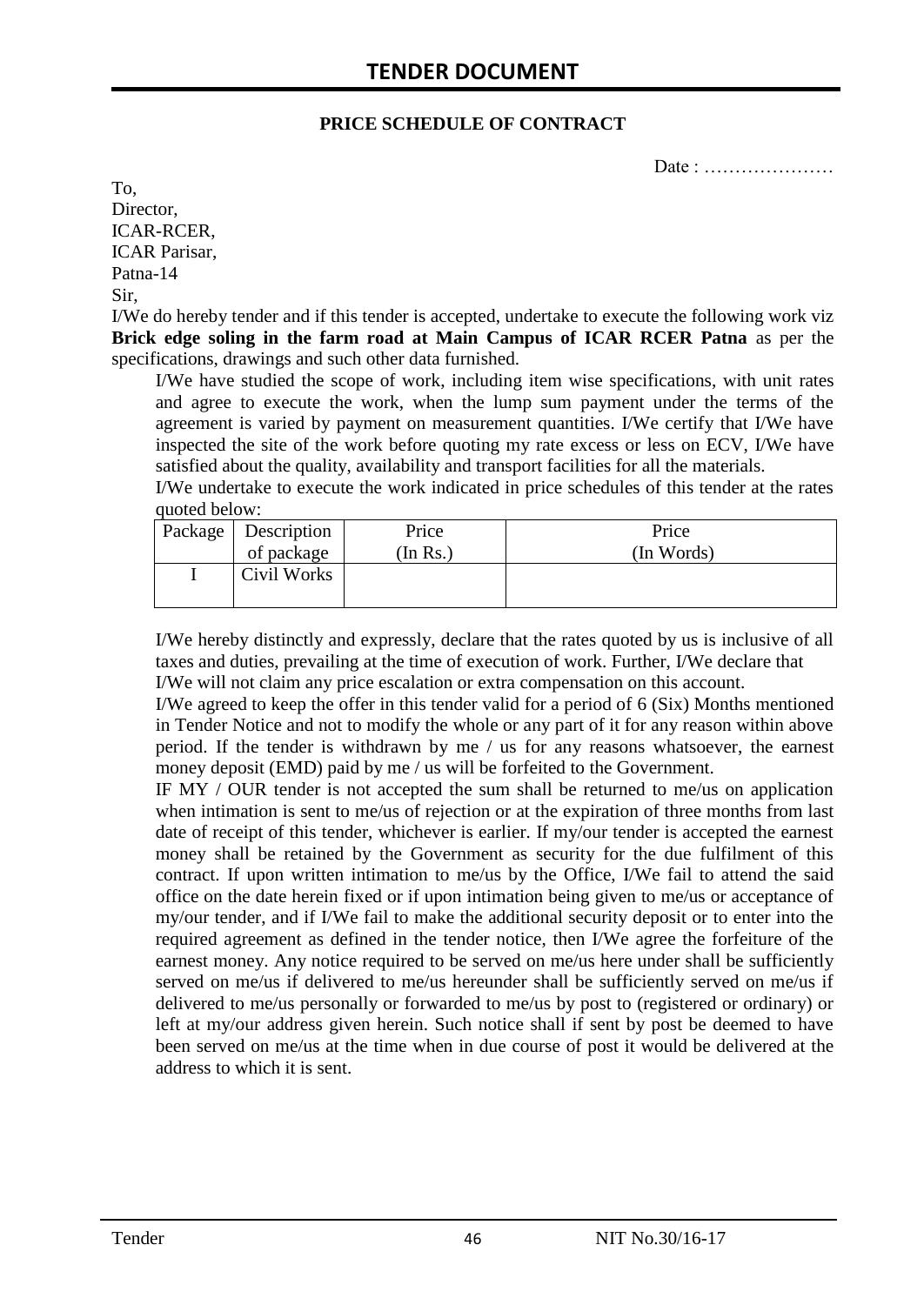#### **PRICE SCHEDULE OF CONTRACT**

Date : …………………

To, Director, ICAR-RCER, ICAR Parisar, Patna-14 Sir,

I/We do hereby tender and if this tender is accepted, undertake to execute the following work viz **Brick edge soling in the farm road at Main Campus of ICAR RCER Patna** as per the specifications, drawings and such other data furnished.

I/We have studied the scope of work, including item wise specifications, with unit rates and agree to execute the work, when the lump sum payment under the terms of the agreement is varied by payment on measurement quantities. I/We certify that I/We have inspected the site of the work before quoting my rate excess or less on ECV, I/We have satisfied about the quality, availability and transport facilities for all the materials.

I/We undertake to execute the work indicated in price schedules of this tender at the rates quoted below:

| Package   Description | Price    | Price      |
|-----------------------|----------|------------|
| of package            | (In Rs.) | (In Words) |
| Civil Works           |          |            |
|                       |          |            |

I/We hereby distinctly and expressly, declare that the rates quoted by us is inclusive of all taxes and duties, prevailing at the time of execution of work. Further, I/We declare that I/We will not claim any price escalation or extra compensation on this account.

I/We agreed to keep the offer in this tender valid for a period of 6 (Six) Months mentioned in Tender Notice and not to modify the whole or any part of it for any reason within above period. If the tender is withdrawn by me / us for any reasons whatsoever, the earnest money deposit (EMD) paid by me / us will be forfeited to the Government.

IF MY / OUR tender is not accepted the sum shall be returned to me/us on application when intimation is sent to me/us of rejection or at the expiration of three months from last date of receipt of this tender, whichever is earlier. If my/our tender is accepted the earnest money shall be retained by the Government as security for the due fulfilment of this contract. If upon written intimation to me/us by the Office, I/We fail to attend the said office on the date herein fixed or if upon intimation being given to me/us or acceptance of my/our tender, and if I/We fail to make the additional security deposit or to enter into the required agreement as defined in the tender notice, then I/We agree the forfeiture of the earnest money. Any notice required to be served on me/us here under shall be sufficiently served on me/us if delivered to me/us hereunder shall be sufficiently served on me/us if delivered to me/us personally or forwarded to me/us by post to (registered or ordinary) or left at my/our address given herein. Such notice shall if sent by post be deemed to have been served on me/us at the time when in due course of post it would be delivered at the address to which it is sent.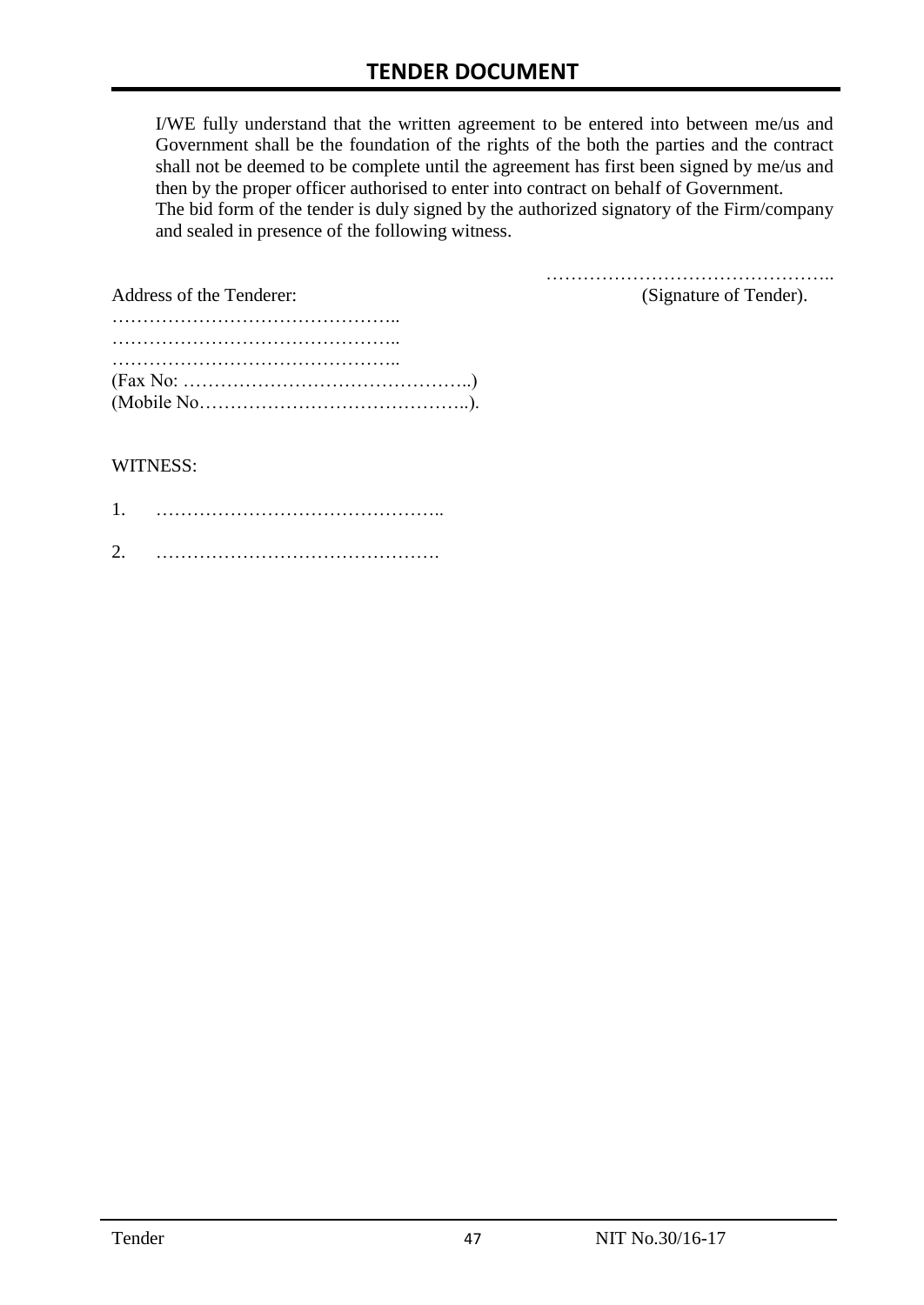I/WE fully understand that the written agreement to be entered into between me/us and Government shall be the foundation of the rights of the both the parties and the contract shall not be deemed to be complete until the agreement has first been signed by me/us and then by the proper officer authorised to enter into contract on behalf of Government. The bid form of the tender is duly signed by the authorized signatory of the Firm/company and sealed in presence of the following witness.

| Address of the Tenderer:                                                                  | (Signature of Tender). |
|-------------------------------------------------------------------------------------------|------------------------|
|                                                                                           |                        |
|                                                                                           |                        |
|                                                                                           |                        |
| $(Fax No: \dots \dots \dots \dots \dots \dots \dots \dots \dots \dots \dots \dots \dots)$ |                        |
|                                                                                           |                        |

#### WITNESS:

| ⌒ |  |
|---|--|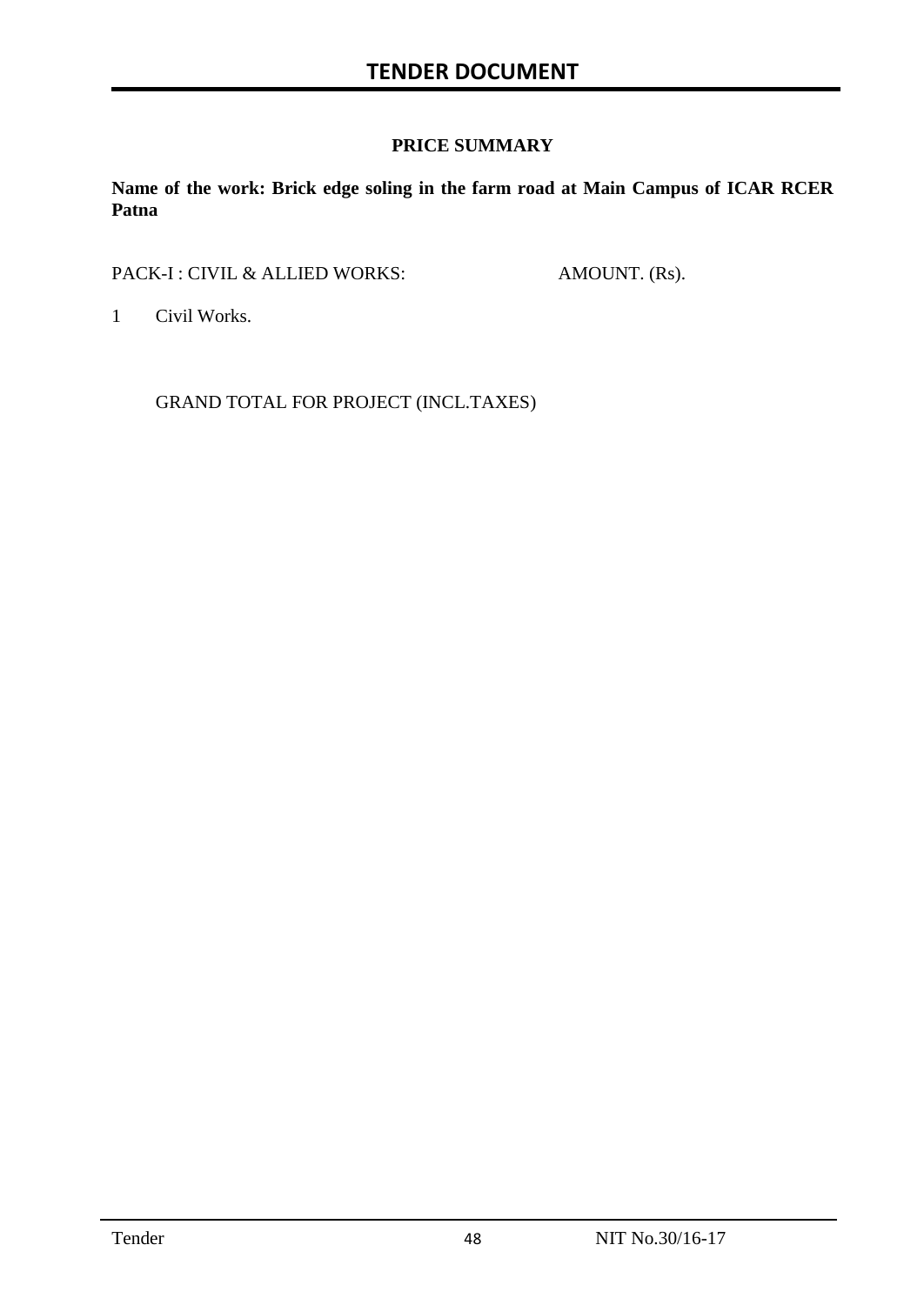#### **PRICE SUMMARY**

**Name of the work: Brick edge soling in the farm road at Main Campus of ICAR RCER Patna**

PACK-I : CIVIL & ALLIED WORKS: AMOUNT. (Rs).

1 Civil Works.

GRAND TOTAL FOR PROJECT (INCL.TAXES)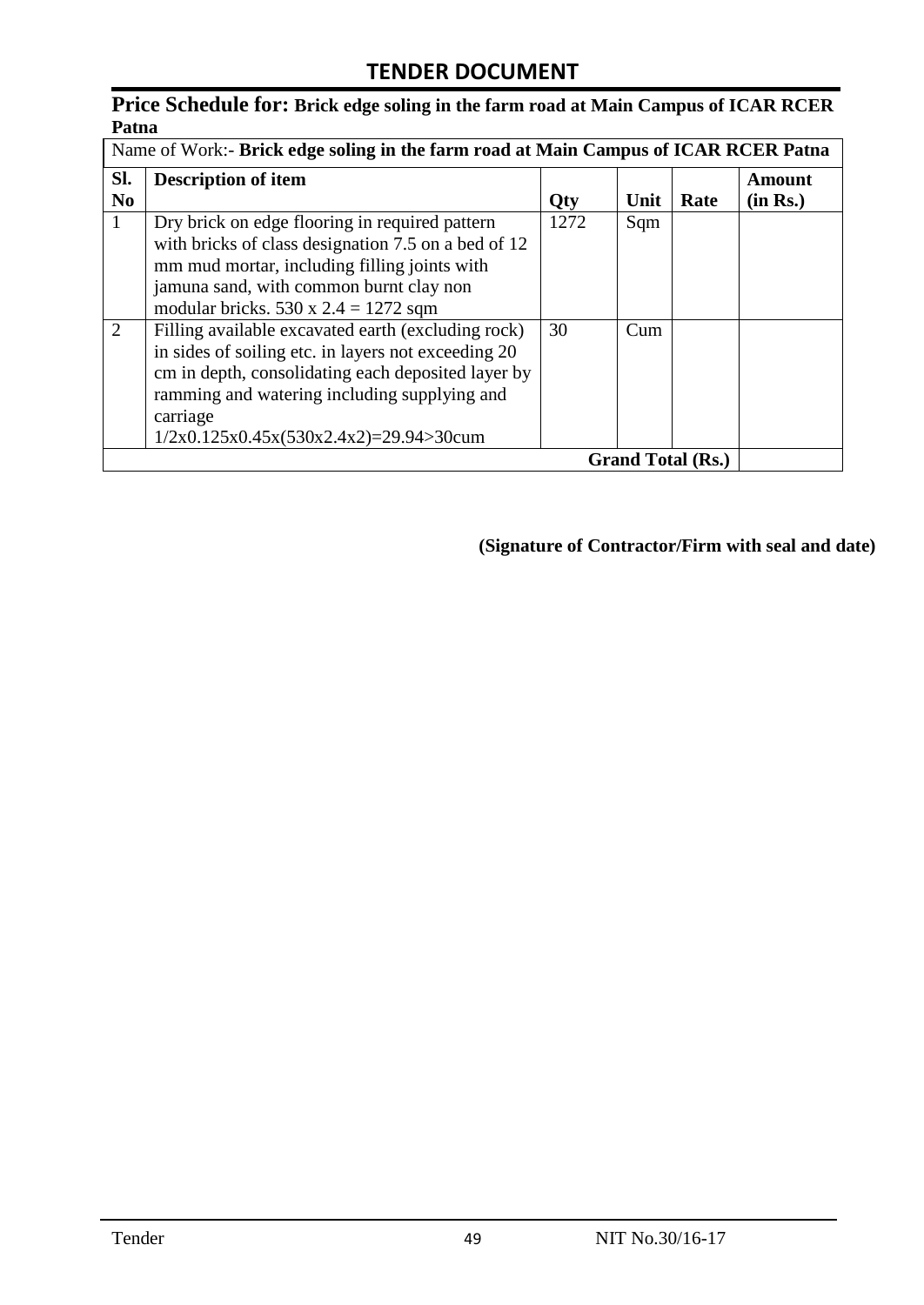### **Price Schedule for: Brick edge soling in the farm road at Main Campus of ICAR RCER Patna**

|                       | Name of Work:- Brick edge soling in the farm road at Main Campus of ICAR RCER Patna                                                                                                                                                                                                                   |            |            |                          |                           |
|-----------------------|-------------------------------------------------------------------------------------------------------------------------------------------------------------------------------------------------------------------------------------------------------------------------------------------------------|------------|------------|--------------------------|---------------------------|
| Sl.<br>N <sub>0</sub> | <b>Description of item</b>                                                                                                                                                                                                                                                                            | Qty        | Unit       | Rate                     | <b>Amount</b><br>(in Rs.) |
| 1<br>$\overline{2}$   | Dry brick on edge flooring in required pattern<br>with bricks of class designation 7.5 on a bed of 12<br>mm mud mortar, including filling joints with<br>jamuna sand, with common burnt clay non<br>modular bricks. $530 \times 2.4 = 1272$ sqm<br>Filling available excavated earth (excluding rock) | 1272<br>30 | Sqm<br>Cum |                          |                           |
|                       | in sides of soiling etc. in layers not exceeding 20<br>cm in depth, consolidating each deposited layer by<br>ramming and watering including supplying and<br>carriage<br>$1/2x0.125x0.45x(530x2.4x2)=29.94>30$ cum                                                                                    |            |            |                          |                           |
|                       |                                                                                                                                                                                                                                                                                                       |            |            | <b>Grand Total (Rs.)</b> |                           |

**(Signature of Contractor/Firm with seal and date)**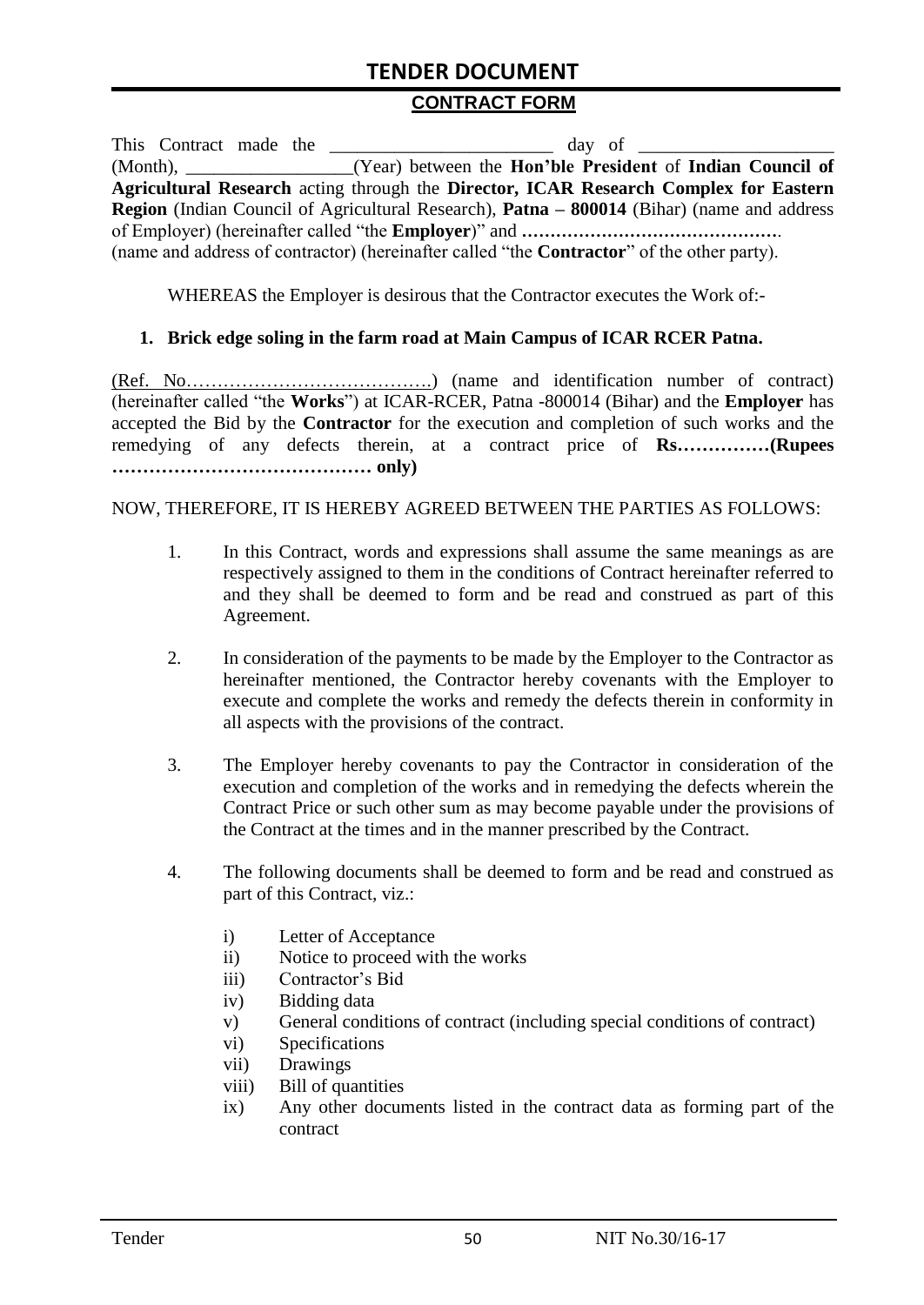# **TENDER DOCUMENT**

#### **CONTRACT FORM**

| This Contract made the |                                                                                                          |
|------------------------|----------------------------------------------------------------------------------------------------------|
|                        | (Month), _______________(Year) between the Hon'ble President of Indian Council of                        |
|                        | Agricultural Research acting through the Director, ICAR Research Complex for Eastern                     |
|                        | <b>Region</b> (Indian Council of Agricultural Research), <b>Patna – 800014</b> (Bihar) (name and address |
|                        |                                                                                                          |
|                        | (name and address of contractor) (hereinafter called "the <b>Contractor</b> " of the other party).       |

WHEREAS the Employer is desirous that the Contractor executes the Work of:-

#### **1. Brick edge soling in the farm road at Main Campus of ICAR RCER Patna.**

(Ref. No………………………………….) (name and identification number of contract) (hereinafter called "the **Works**") at ICAR-RCER, Patna -800014 (Bihar) and the **Employer** has accepted the Bid by the **Contractor** for the execution and completion of such works and the remedying of any defects therein, at a contract price of **Rs……………(Rupees …………………………………… only)**

#### NOW, THEREFORE, IT IS HEREBY AGREED BETWEEN THE PARTIES AS FOLLOWS:

- 1. In this Contract, words and expressions shall assume the same meanings as are respectively assigned to them in the conditions of Contract hereinafter referred to and they shall be deemed to form and be read and construed as part of this Agreement.
- 2. In consideration of the payments to be made by the Employer to the Contractor as hereinafter mentioned, the Contractor hereby covenants with the Employer to execute and complete the works and remedy the defects therein in conformity in all aspects with the provisions of the contract.
- 3. The Employer hereby covenants to pay the Contractor in consideration of the execution and completion of the works and in remedying the defects wherein the Contract Price or such other sum as may become payable under the provisions of the Contract at the times and in the manner prescribed by the Contract.
- 4. The following documents shall be deemed to form and be read and construed as part of this Contract, viz.:
	- i) Letter of Acceptance
	- ii) Notice to proceed with the works
	- iii) Contractor's Bid
	- iv) Bidding data
	- v) General conditions of contract (including special conditions of contract)
	- vi) Specifications
	- vii) Drawings
	- viii) Bill of quantities
	- ix) Any other documents listed in the contract data as forming part of the contract